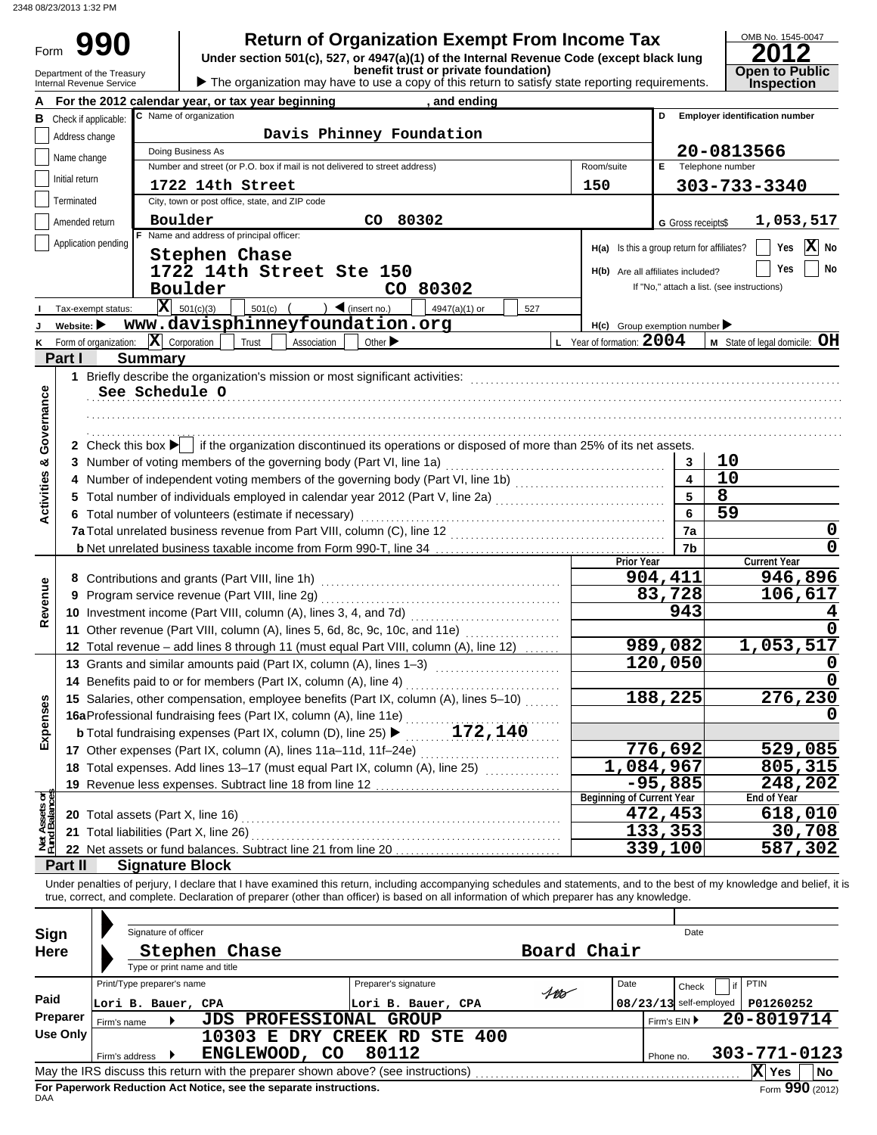Form

Department of the Treasury **Depart Community of the Open to Public**<br>Internal Revenue Service **Department of the Service Community of the Treasury of this return to satisfy state reporting requirements. 990 a** Return of Organization Exempt From Income Tax **Promed Solution Code (except black lung 2012**<br>
Under section 501(c), 527, or 4947(a)(1) of the Internal Revenue Code (except black lung **2012** 

| 201:                                 |  |
|--------------------------------------|--|
|                                      |  |
|                                      |  |
| <b>Open to Public<br/>Inspection</b> |  |

|                                |                                | For the 2012 calendar year, or tax year beginning<br>and ending                                                                                                         |                                             |                          |                                            |
|--------------------------------|--------------------------------|-------------------------------------------------------------------------------------------------------------------------------------------------------------------------|---------------------------------------------|--------------------------|--------------------------------------------|
|                                | <b>B</b> Check if applicable:  | C Name of organization                                                                                                                                                  |                                             | D                        | <b>Employer identification number</b>      |
|                                | Address change                 | Davis Phinney Foundation                                                                                                                                                |                                             |                          |                                            |
|                                | Name change                    | Doing Business As                                                                                                                                                       |                                             |                          | 20-0813566                                 |
|                                |                                | Number and street (or P.O. box if mail is not delivered to street address)                                                                                              | Room/suite                                  | E Telephone number       |                                            |
|                                | Initial return                 | 1722 14th Street                                                                                                                                                        | 150                                         |                          | 303-733-3340                               |
|                                | Terminated                     | City, town or post office, state, and ZIP code                                                                                                                          |                                             |                          |                                            |
|                                | Amended return                 | 80302<br>Boulder<br>CO.                                                                                                                                                 |                                             | G Gross receipts\$       | 1,053,517                                  |
|                                | Application pending            | F Name and address of principal officer:                                                                                                                                |                                             |                          |                                            |
|                                |                                | Stephen Chase                                                                                                                                                           | H(a) Is this a group return for affiliates? |                          | X No<br>Yes                                |
|                                |                                | 1722 14th Street Ste 150                                                                                                                                                | H(b) Are all affiliates included?           |                          | No<br>Yes                                  |
|                                |                                | Boulder<br>CO 80302                                                                                                                                                     |                                             |                          | If "No," attach a list. (see instructions) |
|                                | Tax-exempt status:             | $ \mathbf{X} $ 501(c)(3)<br>$\bigcup$ (insert no.)<br>$501(c)$ (<br>4947(a)(1) or<br>527                                                                                |                                             |                          |                                            |
|                                | Website: $\blacktriangleright$ | www.davisphinneyfoundation.org                                                                                                                                          | H(c) Group exemption number                 |                          |                                            |
| K                              |                                | Form of organization: $\ \mathbf{X}\ $ Corporation<br>Trust<br>Association<br>Other $\blacktriangleright$                                                               | L Year of formation: $2004$                 |                          | M State of legal domicile: OH              |
|                                | Part I                         | <b>Summary</b>                                                                                                                                                          |                                             |                          |                                            |
|                                |                                |                                                                                                                                                                         |                                             |                          |                                            |
|                                |                                | See Schedule O                                                                                                                                                          |                                             |                          |                                            |
| Governance                     |                                |                                                                                                                                                                         |                                             |                          |                                            |
|                                |                                |                                                                                                                                                                         |                                             |                          |                                            |
|                                |                                |                                                                                                                                                                         |                                             |                          |                                            |
|                                |                                | 2 Check this box $\blacktriangleright$ if the organization discontinued its operations or disposed of more than 25% of its net assets.                                  |                                             |                          |                                            |
|                                |                                | 3 Number of voting members of the governing body (Part VI, line 1a)                                                                                                     |                                             | 3                        | 10                                         |
|                                | 4                              | Number of independent voting members of the governing body (Part VI, line 1b) [10] [10] [10] [10] [10] [10] [1                                                          |                                             | $\overline{\mathbf{4}}$  | 10                                         |
| <b>Activities &amp;</b>        |                                | 5 Total number of individuals employed in calendar year 2012 (Part V, line 2a) [1, [1, [1, [1, [1, [1, [1, [1, [1]]                                                     |                                             | 5                        | $\overline{8}$                             |
|                                |                                | 6 Total number of volunteers (estimate if necessary)                                                                                                                    |                                             | 6                        | $\overline{59}$                            |
|                                |                                |                                                                                                                                                                         |                                             | 7a                       | 0                                          |
|                                |                                |                                                                                                                                                                         |                                             | 7b                       | $\mathbf 0$                                |
|                                |                                |                                                                                                                                                                         | Prior Year                                  |                          | <b>Current Year</b>                        |
|                                |                                |                                                                                                                                                                         |                                             | 904,411                  | 946,896                                    |
| Revenue                        | 9                              |                                                                                                                                                                         |                                             | 83,728                   | 106,617                                    |
|                                |                                |                                                                                                                                                                         |                                             | 943                      |                                            |
|                                |                                | 11 Other revenue (Part VIII, column (A), lines 5, 6d, 8c, 9c, 10c, and 11e)                                                                                             |                                             |                          |                                            |
|                                |                                | 12 Total revenue - add lines 8 through 11 (must equal Part VIII, column (A), line 12)                                                                                   |                                             | 989,082                  | 1,053,517                                  |
|                                |                                | 13 Grants and similar amounts paid (Part IX, column (A), lines 1-3)                                                                                                     |                                             | 120,050                  |                                            |
|                                |                                | 14 Benefits paid to or for members (Part IX, column (A), line 4)                                                                                                        |                                             |                          |                                            |
|                                |                                | 15 Salaries, other compensation, employee benefits (Part IX, column (A), lines 5-10)                                                                                    |                                             | 188,225                  | 276,230                                    |
| penses                         |                                |                                                                                                                                                                         |                                             |                          |                                            |
|                                |                                | 172,140<br><b>b</b> Total fundraising expenses (Part IX, column (D), line 25) $\blacktriangleright$                                                                     |                                             |                          |                                            |
| ű                              |                                | 17 Other expenses (Part IX, column (A), lines 11a-11d, 11f-24e)                                                                                                         |                                             | 776,692                  | 529,085                                    |
|                                |                                |                                                                                                                                                                         | $\overline{1}$ , 084, 967                   |                          | 805,315                                    |
|                                |                                | 19 Revenue less expenses. Subtract line 18 from line 12                                                                                                                 |                                             | $-95,885$                | 248,202                                    |
| Net Assets or<br>Fund Balances |                                |                                                                                                                                                                         | <b>Beginning of Current Year</b>            |                          | End of Year                                |
|                                |                                |                                                                                                                                                                         |                                             | $\overline{472}$ , 453   | 618,010                                    |
|                                |                                | 21 Total liabilities (Part X, line 26)                                                                                                                                  |                                             | 133,353                  | 30,708                                     |
|                                |                                | 22 Net assets or fund balances. Subtract line 21 from line 20                                                                                                           |                                             | 339,100                  | 587,302                                    |
|                                | Part II                        | <b>Signature Block</b>                                                                                                                                                  |                                             |                          |                                            |
|                                |                                | Under penalties of perjury, I declare that I have examined this return, including accompanying schedules and statements, and to the best of my knowledge and belief, it |                                             |                          |                                            |
|                                |                                | true, correct, and complete. Declaration of preparer (other than officer) is based on all information of which preparer has any knowledge.                              |                                             |                          |                                            |
|                                |                                |                                                                                                                                                                         |                                             |                          |                                            |
| Sign                           |                                | Signature of officer                                                                                                                                                    |                                             | Date                     |                                            |
| <b>Here</b>                    |                                | Board Chair<br>Stephen Chase                                                                                                                                            |                                             |                          |                                            |
|                                |                                | Type or print name and title                                                                                                                                            |                                             |                          |                                            |
|                                |                                | Print/Type preparer's name<br>Preparer's signature                                                                                                                      | Date                                        | Check                    | <b>PTIN</b>                                |
| Paid                           |                                | $400 -$<br>Lori B. Bauer, CPA<br>Lori B. Bauer, CPA                                                                                                                     |                                             | $08/23/13$ self-employed | P01260252                                  |
|                                | Preparer<br>Firm's name        | <b>JDS PROFESSIONAL GROUP</b>                                                                                                                                           |                                             | Firm's EIN ▶             | 20-8019714                                 |
|                                | <b>Use Only</b>                | 10303 E DRY CREEK RD STE 400                                                                                                                                            |                                             |                          |                                            |
|                                | Firm's address                 | 80112<br>ENGLEWOOD, CO                                                                                                                                                  |                                             | Phone no.                | 303-771-0123                               |
|                                |                                |                                                                                                                                                                         |                                             |                          | $ X $ Yes<br>No                            |

| Sign<br><b>Here</b> |                                                  | Signature of officer<br>Type or print name and title | Stephen Chase                                                                                                                                           |                                                            |     | Board Chair | Date                              |                                        |     |
|---------------------|--------------------------------------------------|------------------------------------------------------|---------------------------------------------------------------------------------------------------------------------------------------------------------|------------------------------------------------------------|-----|-------------|-----------------------------------|----------------------------------------|-----|
| Paid<br>Preparer    | Print/Type preparer's name<br>Lori B. Bauer, CPA |                                                      | <b>JDS PROFESSIONAL</b>                                                                                                                                 | Preparer's signature<br>Lori B. Bauer, CPA<br><b>GROUP</b> | 100 | Date        | Check<br>$08/23/13$ self-employed | <b>PTIN</b><br>P01260252<br>20-8019714 |     |
| Use Only            | Firm's name<br>Firm's address                    |                                                      | 10303<br>Е<br>ENGLEWOOD, CO                                                                                                                             | DRY CREEK RD STE 400<br>80112                              |     |             | Firm's $EIN$<br>Phone no.         | $303 - 771 - 0123$                     |     |
|                     |                                                  |                                                      | May the IRS discuss this return with the preparer shown above? (see instructions)<br>For Paperwork Reduction Act Notice, see the separate instructions. |                                                            |     |             |                                   | X Yes<br>Form 990 (2012)               | ∣No |
| DAA                 |                                                  |                                                      |                                                                                                                                                         |                                                            |     |             |                                   |                                        |     |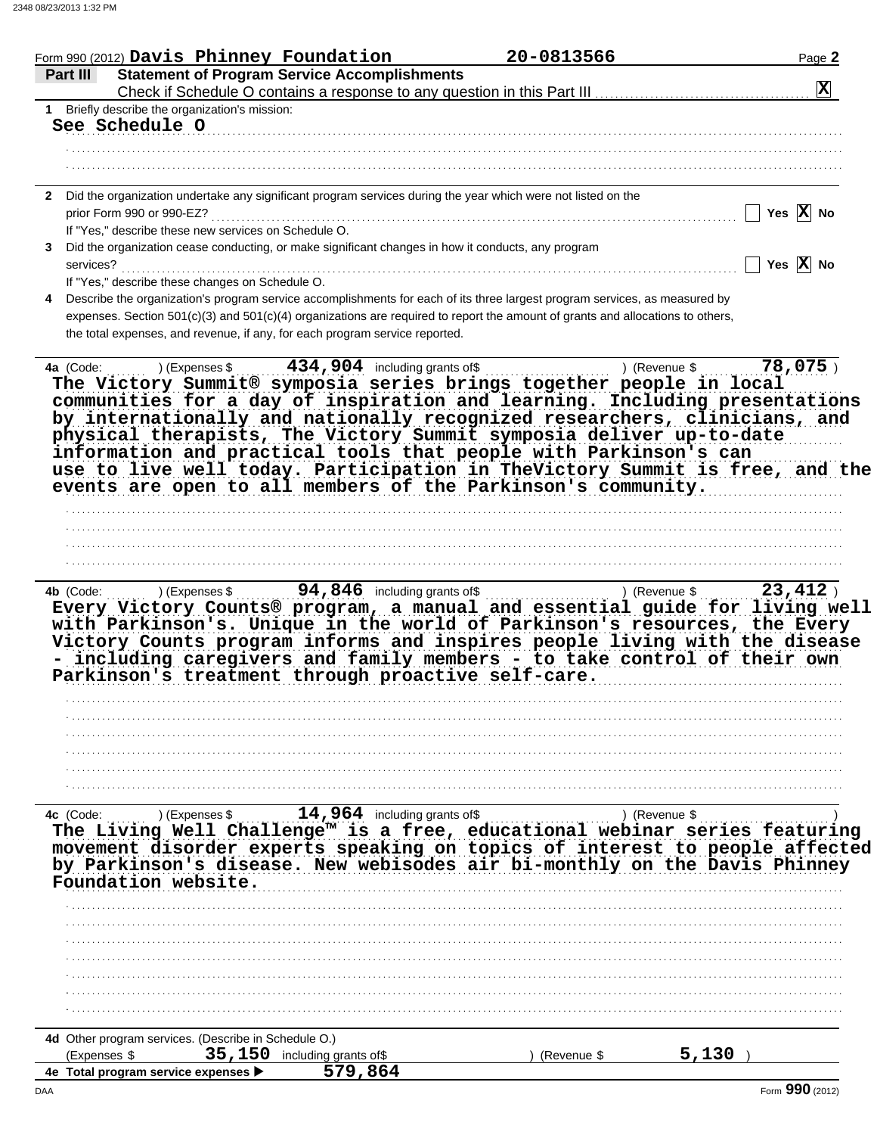| Form 990 (2012) Davis Phinney Foundation                                                                                                                                                                                                                                                                                                                       |                                                            |                                                                          | Page 2                      |
|----------------------------------------------------------------------------------------------------------------------------------------------------------------------------------------------------------------------------------------------------------------------------------------------------------------------------------------------------------------|------------------------------------------------------------|--------------------------------------------------------------------------|-----------------------------|
| <b>Statement of Program Service Accomplishments</b><br>Part III                                                                                                                                                                                                                                                                                                |                                                            |                                                                          | $ \mathbf{X} $              |
| 1 Briefly describe the organization's mission:                                                                                                                                                                                                                                                                                                                 |                                                            | Check if Schedule O contains a response to any question in this Part III |                             |
| See Schedule O                                                                                                                                                                                                                                                                                                                                                 |                                                            |                                                                          |                             |
|                                                                                                                                                                                                                                                                                                                                                                |                                                            |                                                                          |                             |
|                                                                                                                                                                                                                                                                                                                                                                |                                                            |                                                                          |                             |
|                                                                                                                                                                                                                                                                                                                                                                |                                                            |                                                                          |                             |
| Did the organization undertake any significant program services during the year which were not listed on the<br>$\mathbf{2}$                                                                                                                                                                                                                                   |                                                            |                                                                          |                             |
| prior Form 990 or 990-EZ?                                                                                                                                                                                                                                                                                                                                      |                                                            |                                                                          | Yes $\overline{X}$ No       |
| If "Yes," describe these new services on Schedule O.                                                                                                                                                                                                                                                                                                           |                                                            |                                                                          |                             |
| Did the organization cease conducting, or make significant changes in how it conducts, any program                                                                                                                                                                                                                                                             |                                                            |                                                                          |                             |
| services?                                                                                                                                                                                                                                                                                                                                                      |                                                            |                                                                          | Yes $\overline{X}$ No       |
| If "Yes," describe these changes on Schedule O.                                                                                                                                                                                                                                                                                                                |                                                            |                                                                          |                             |
| Describe the organization's program service accomplishments for each of its three largest program services, as measured by                                                                                                                                                                                                                                     |                                                            |                                                                          |                             |
| expenses. Section 501(c)(3) and 501(c)(4) organizations are required to report the amount of grants and allocations to others,                                                                                                                                                                                                                                 |                                                            |                                                                          |                             |
| the total expenses, and revenue, if any, for each program service reported.                                                                                                                                                                                                                                                                                    |                                                            |                                                                          |                             |
|                                                                                                                                                                                                                                                                                                                                                                |                                                            |                                                                          |                             |
| ) (Expenses \$<br>4a (Code:                                                                                                                                                                                                                                                                                                                                    | $\frac{434}{1904}$ including grants of \$                  |                                                                          | $78,075$ )<br>) (Revenue \$ |
| information and practical tools that people with Parkinson's can<br>use to live well today. Participation in TheVictory Summit is free, and the<br>events are open to all members of the Parkinson's community.                                                                                                                                                |                                                            |                                                                          |                             |
|                                                                                                                                                                                                                                                                                                                                                                |                                                            |                                                                          |                             |
|                                                                                                                                                                                                                                                                                                                                                                |                                                            |                                                                          |                             |
|                                                                                                                                                                                                                                                                                                                                                                |                                                            |                                                                          |                             |
|                                                                                                                                                                                                                                                                                                                                                                |                                                            |                                                                          |                             |
| <b>4b</b> (Code:<br>Every Victory Counts® program, a manual and essential guide for living well                                                                                                                                                                                                                                                                | ) (Expenses $\frac{1}{2}$ , 94, 846 including grants of \$ |                                                                          | 23,412<br>) (Revenue \$     |
| with Parkinson's. Unique in the world of Parkinson's resources, the Every<br>Victory Counts program informs and inspires people living with the disease<br>including caregivers and family members - to take control of their own<br>Parkinson's treatment through proactive self-care.                                                                        |                                                            |                                                                          |                             |
|                                                                                                                                                                                                                                                                                                                                                                |                                                            |                                                                          |                             |
|                                                                                                                                                                                                                                                                                                                                                                |                                                            |                                                                          |                             |
|                                                                                                                                                                                                                                                                                                                                                                |                                                            |                                                                          |                             |
|                                                                                                                                                                                                                                                                                                                                                                |                                                            |                                                                          |                             |
|                                                                                                                                                                                                                                                                                                                                                                |                                                            |                                                                          |                             |
|                                                                                                                                                                                                                                                                                                                                                                |                                                            |                                                                          |                             |
|                                                                                                                                                                                                                                                                                                                                                                |                                                            |                                                                          |                             |
| ) (Expenses \$                                                                                                                                                                                                                                                                                                                                                 | $14,964$ including grants of \$                            |                                                                          | ) (Revenue \$               |
|                                                                                                                                                                                                                                                                                                                                                                |                                                            |                                                                          |                             |
|                                                                                                                                                                                                                                                                                                                                                                |                                                            |                                                                          |                             |
|                                                                                                                                                                                                                                                                                                                                                                |                                                            |                                                                          |                             |
|                                                                                                                                                                                                                                                                                                                                                                |                                                            |                                                                          |                             |
|                                                                                                                                                                                                                                                                                                                                                                |                                                            |                                                                          |                             |
|                                                                                                                                                                                                                                                                                                                                                                |                                                            |                                                                          |                             |
|                                                                                                                                                                                                                                                                                                                                                                |                                                            |                                                                          |                             |
|                                                                                                                                                                                                                                                                                                                                                                |                                                            |                                                                          |                             |
|                                                                                                                                                                                                                                                                                                                                                                |                                                            |                                                                          |                             |
| 4c (Code:<br>The Living Well Challenge <sup>™</sup> is a free, educational webinar series featuring<br>movement disorder experts speaking on topics of interest to people affected<br>by Parkinson's disease. New webisodes air bi-monthly on the Davis Phinney<br>Foundation website.<br>4d Other program services. (Describe in Schedule O.)<br>(Expenses \$ | 35, 150 including grants of \$<br>579,864                  | ) (Revenue \$                                                            | 5,130                       |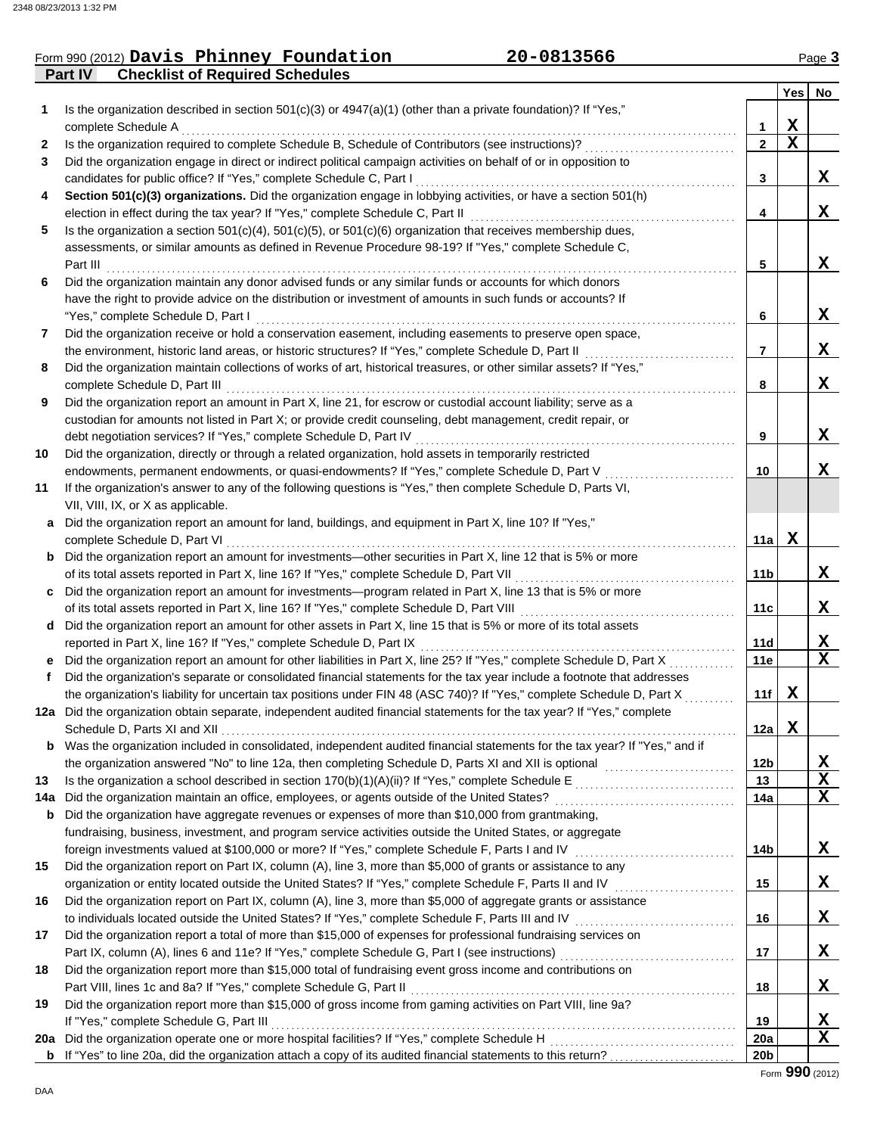## Form 990 (2012) Page **3 Davis Phinney Foundation 20-0813566**

**Part IV Checklist of Required Schedules**

|              |                                                                                                                              |                        | Yes         | No                      |
|--------------|------------------------------------------------------------------------------------------------------------------------------|------------------------|-------------|-------------------------|
| 1            | Is the organization described in section $501(c)(3)$ or $4947(a)(1)$ (other than a private foundation)? If "Yes,"            |                        |             |                         |
|              | complete Schedule A                                                                                                          | 1                      | $\mathbf x$ |                         |
| $\mathbf{2}$ | Is the organization required to complete Schedule B, Schedule of Contributors (see instructions)?                            | $\overline{2}$         | $\mathbf x$ |                         |
| 3            | Did the organization engage in direct or indirect political campaign activities on behalf of or in opposition to             |                        |             |                         |
|              | candidates for public office? If "Yes," complete Schedule C, Part I                                                          | 3                      |             | x                       |
| 4            | Section 501(c)(3) organizations. Did the organization engage in lobbying activities, or have a section 501(h)                |                        |             |                         |
|              | election in effect during the tax year? If "Yes," complete Schedule C, Part II                                               | 4                      |             | X                       |
| 5            | Is the organization a section $501(c)(4)$ , $501(c)(5)$ , or $501(c)(6)$ organization that receives membership dues,         |                        |             |                         |
|              | assessments, or similar amounts as defined in Revenue Procedure 98-19? If "Yes," complete Schedule C,                        |                        |             |                         |
|              | Part III                                                                                                                     | 5                      |             | X                       |
| 6            | Did the organization maintain any donor advised funds or any similar funds or accounts for which donors                      |                        |             |                         |
|              | have the right to provide advice on the distribution or investment of amounts in such funds or accounts? If                  |                        |             |                         |
|              | "Yes," complete Schedule D, Part I                                                                                           | 6                      |             | X                       |
| 7            | Did the organization receive or hold a conservation easement, including easements to preserve open space,                    |                        |             |                         |
|              | the environment, historic land areas, or historic structures? If "Yes," complete Schedule D, Part II                         | 7                      |             | x                       |
| 8            | Did the organization maintain collections of works of art, historical treasures, or other similar assets? If "Yes,"          |                        |             |                         |
|              | complete Schedule D, Part III                                                                                                | 8                      |             | X                       |
| 9            | Did the organization report an amount in Part X, line 21, for escrow or custodial account liability; serve as a              |                        |             |                         |
|              | custodian for amounts not listed in Part X; or provide credit counseling, debt management, credit repair, or                 |                        |             |                         |
|              | debt negotiation services? If "Yes," complete Schedule D, Part IV                                                            | 9                      |             | x                       |
| 10           | Did the organization, directly or through a related organization, hold assets in temporarily restricted                      |                        |             |                         |
|              | endowments, permanent endowments, or quasi-endowments? If "Yes," complete Schedule D, Part V                                 | 10                     |             | x                       |
| 11           | If the organization's answer to any of the following questions is "Yes," then complete Schedule D, Parts VI,                 |                        |             |                         |
|              | VII, VIII, IX, or X as applicable.                                                                                           |                        |             |                         |
| a            | Did the organization report an amount for land, buildings, and equipment in Part X, line 10? If "Yes,"                       |                        |             |                         |
|              | complete Schedule D, Part VI                                                                                                 | 11a                    | $\mathbf X$ |                         |
|              | <b>b</b> Did the organization report an amount for investments—other securities in Part X, line 12 that is 5% or more        |                        |             |                         |
|              | of its total assets reported in Part X, line 16? If "Yes," complete Schedule D, Part VII                                     | 11b                    |             | X                       |
|              | c Did the organization report an amount for investments—program related in Part X, line 13 that is 5% or more                |                        |             |                         |
|              | of its total assets reported in Part X, line 16? If "Yes," complete Schedule D, Part VIII [[[[[[[[[[[[[[[[[[[[               | 11c                    |             | x                       |
|              | d Did the organization report an amount for other assets in Part X, line 15 that is 5% or more of its total assets           |                        |             |                         |
|              | reported in Part X, line 16? If "Yes," complete Schedule D, Part IX                                                          | 11d                    |             | X                       |
|              | e Did the organization report an amount for other liabilities in Part X, line 25? If "Yes," complete Schedule D, Part X      | 11e                    |             | $\overline{\mathbf{x}}$ |
| f            | Did the organization's separate or consolidated financial statements for the tax year include a footnote that addresses      |                        |             |                         |
|              | the organization's liability for uncertain tax positions under FIN 48 (ASC 740)? If "Yes," complete Schedule D, Part X       | 11f                    | $\mathbf X$ |                         |
|              | 12a Did the organization obtain separate, independent audited financial statements for the tax year? If "Yes," complete      |                        |             |                         |
|              |                                                                                                                              | 12a                    | x           |                         |
|              | b Was the organization included in consolidated, independent audited financial statements for the tax year? If "Yes," and if |                        |             |                         |
|              | the organization answered "No" to line 12a, then completing Schedule D, Parts XI and XII is optional                         | 12b                    |             | X                       |
| 13           |                                                                                                                              | 13                     |             | X                       |
| 14a          |                                                                                                                              | 14a                    |             | $\mathbf x$             |
| b            | Did the organization have aggregate revenues or expenses of more than \$10,000 from grantmaking,                             |                        |             |                         |
|              | fundraising, business, investment, and program service activities outside the United States, or aggregate                    |                        |             |                         |
|              | foreign investments valued at \$100,000 or more? If "Yes," complete Schedule F, Parts I and IV [[[[[[[[[[[[[[[[              | 14b                    |             | X                       |
| 15           | Did the organization report on Part IX, column (A), line 3, more than \$5,000 of grants or assistance to any                 |                        |             |                         |
|              |                                                                                                                              | 15                     |             | X                       |
| 16           | Did the organization report on Part IX, column (A), line 3, more than \$5,000 of aggregate grants or assistance              |                        |             |                         |
|              | to individuals located outside the United States? If "Yes," complete Schedule F, Parts III and IV [[[[[[[[[[[                | 16                     |             | X                       |
| 17           | Did the organization report a total of more than \$15,000 of expenses for professional fundraising services on               |                        |             |                         |
|              |                                                                                                                              | 17                     |             | X                       |
| 18           | Did the organization report more than \$15,000 total of fundraising event gross income and contributions on                  |                        |             |                         |
|              | Part VIII, lines 1c and 8a? If "Yes," complete Schedule G, Part II                                                           | 18                     |             | X                       |
| 19           | Did the organization report more than \$15,000 of gross income from gaming activities on Part VIII, line 9a?                 |                        |             |                         |
|              | If "Yes," complete Schedule G, Part III                                                                                      | 19                     |             | X<br>X                  |
|              |                                                                                                                              | 20a<br>20 <sub>b</sub> |             |                         |
|              |                                                                                                                              |                        |             |                         |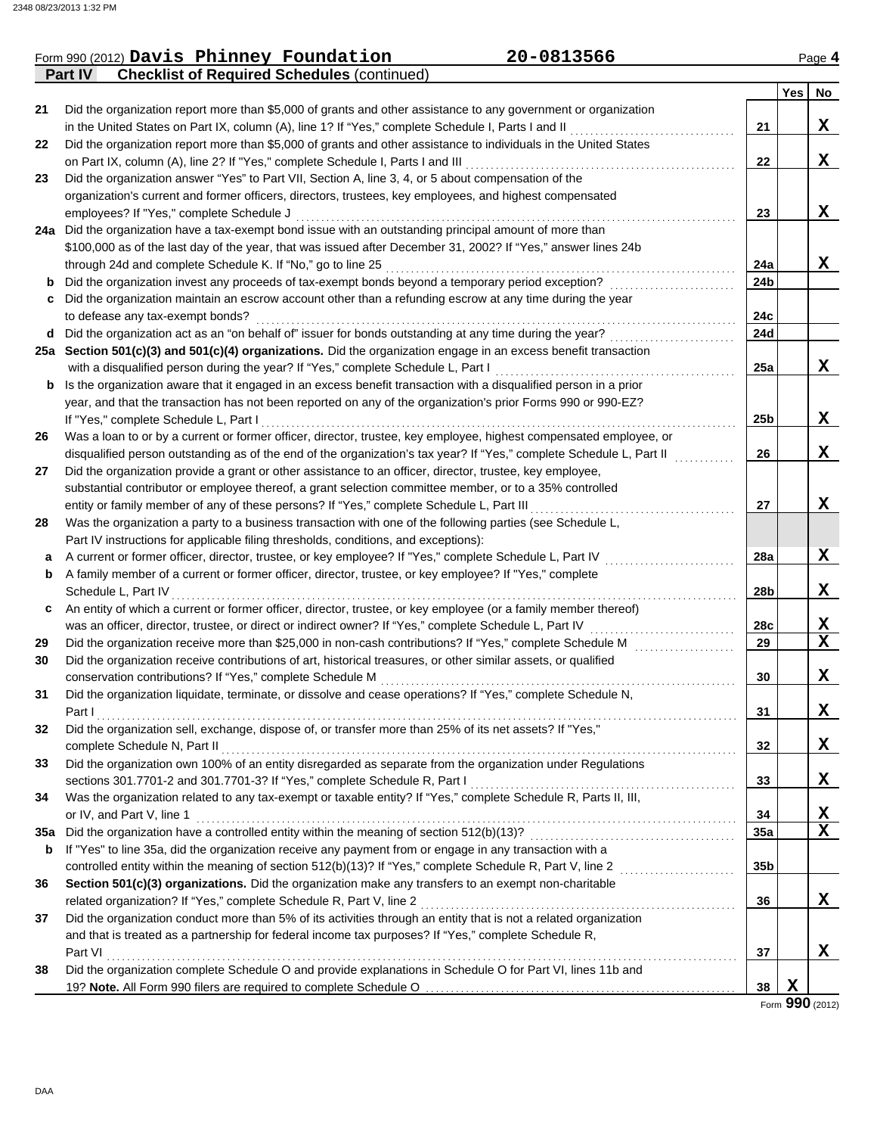|     | 20-0813566<br>Form 990 (2012) Davis Phinney Foundation                                                               |                 |        | Page 4      |
|-----|----------------------------------------------------------------------------------------------------------------------|-----------------|--------|-------------|
|     | <b>Part IV</b><br><b>Checklist of Required Schedules (continued)</b>                                                 |                 |        |             |
|     |                                                                                                                      |                 | Yes No |             |
| 21  | Did the organization report more than \$5,000 of grants and other assistance to any government or organization       |                 |        |             |
|     | in the United States on Part IX, column (A), line 1? If "Yes," complete Schedule I, Parts I and II                   | 21              |        | X           |
| 22  | Did the organization report more than \$5,000 of grants and other assistance to individuals in the United States     |                 |        |             |
|     | on Part IX, column (A), line 2? If "Yes," complete Schedule I, Parts I and III                                       | 22              |        | X           |
| 23  | Did the organization answer "Yes" to Part VII, Section A, line 3, 4, or 5 about compensation of the                  |                 |        |             |
|     | organization's current and former officers, directors, trustees, key employees, and highest compensated              |                 |        |             |
|     | employees? If "Yes," complete Schedule J                                                                             | 23              |        | X           |
|     | 24a Did the organization have a tax-exempt bond issue with an outstanding principal amount of more than              |                 |        |             |
|     | \$100,000 as of the last day of the year, that was issued after December 31, 2002? If "Yes," answer lines 24b        |                 |        |             |
|     | through 24d and complete Schedule K. If "No," go to line 25                                                          | 24a             |        | X           |
| b   | Did the organization invest any proceeds of tax-exempt bonds beyond a temporary period exception?                    | 24b             |        |             |
|     | c Did the organization maintain an escrow account other than a refunding escrow at any time during the year          |                 |        |             |
|     | to defease any tax-exempt bonds?                                                                                     | 24c             |        |             |
|     | d Did the organization act as an "on behalf of" issuer for bonds outstanding at any time during the year?            | 24d             |        |             |
|     | 25a Section 501(c)(3) and 501(c)(4) organizations. Did the organization engage in an excess benefit transaction      |                 |        |             |
|     | with a disqualified person during the year? If "Yes," complete Schedule L, Part I                                    | 25a             |        | X           |
| b   | Is the organization aware that it engaged in an excess benefit transaction with a disqualified person in a prior     |                 |        |             |
|     | year, and that the transaction has not been reported on any of the organization's prior Forms 990 or 990-EZ?         |                 |        |             |
|     | If "Yes," complete Schedule L, Part I                                                                                | 25 <sub>b</sub> |        | X           |
| 26  | Was a loan to or by a current or former officer, director, trustee, key employee, highest compensated employee, or   |                 |        |             |
|     | disqualified person outstanding as of the end of the organization's tax year? If "Yes," complete Schedule L, Part II | 26              |        | X           |
| 27  | Did the organization provide a grant or other assistance to an officer, director, trustee, key employee,             |                 |        |             |
|     | substantial contributor or employee thereof, a grant selection committee member, or to a 35% controlled              |                 |        |             |
|     | entity or family member of any of these persons? If "Yes," complete Schedule L, Part III                             | 27              |        | X           |
| 28  | Was the organization a party to a business transaction with one of the following parties (see Schedule L,            |                 |        |             |
|     | Part IV instructions for applicable filing thresholds, conditions, and exceptions):                                  |                 |        |             |
| а   | A current or former officer, director, trustee, or key employee? If "Yes," complete Schedule L, Part IV              | 28a             |        | X           |
| b   | A family member of a current or former officer, director, trustee, or key employee? If "Yes," complete               |                 |        |             |
|     | Schedule L, Part IV                                                                                                  | 28b             |        | X           |
| c   | An entity of which a current or former officer, director, trustee, or key employee (or a family member thereof)      |                 |        |             |
|     | was an officer, director, trustee, or direct or indirect owner? If "Yes," complete Schedule L, Part IV               | 28c             |        | X           |
| 29  | Did the organization receive more than \$25,000 in non-cash contributions? If "Yes," complete Schedule M             | 29              |        | $\mathbf X$ |
| 30  | Did the organization receive contributions of art, historical treasures, or other similar assets, or qualified       |                 |        |             |
|     | conservation contributions? If "Yes," complete Schedule M                                                            | 30              |        | X           |
| 31  | Did the organization liquidate, terminate, or dissolve and cease operations? If "Yes," complete Schedule N,          |                 |        |             |
|     | Part I                                                                                                               | 31              |        | X           |
| 32  | Did the organization sell, exchange, dispose of, or transfer more than 25% of its net assets? If "Yes,"              |                 |        |             |
|     | complete Schedule N, Part II                                                                                         | 32              |        | X           |
| 33  | Did the organization own 100% of an entity disregarded as separate from the organization under Regulations           |                 |        |             |
|     | sections 301.7701-2 and 301.7701-3? If "Yes," complete Schedule R, Part I                                            | 33              |        | X           |
| 34  | Was the organization related to any tax-exempt or taxable entity? If "Yes," complete Schedule R, Parts II, III,      |                 |        |             |
|     | or IV, and Part V, line 1                                                                                            | 34              |        | <u>x</u>    |
| 35a | Did the organization have a controlled entity within the meaning of section 512(b)(13)?                              | 35a             |        | $\mathbf X$ |
| b   | If "Yes" to line 35a, did the organization receive any payment from or engage in any transaction with a              |                 |        |             |
|     | controlled entity within the meaning of section 512(b)(13)? If "Yes," complete Schedule R, Part V, line 2            | 35b             |        |             |
| 36  | Section 501(c)(3) organizations. Did the organization make any transfers to an exempt non-charitable                 |                 |        |             |
|     | related organization? If "Yes," complete Schedule R, Part V, line 2                                                  | 36              |        | X           |
| 37  | Did the organization conduct more than 5% of its activities through an entity that is not a related organization     |                 |        |             |
|     | and that is treated as a partnership for federal income tax purposes? If "Yes," complete Schedule R,                 |                 |        |             |
|     | Part VI                                                                                                              | 37              |        | X           |
| 38  | Did the organization complete Schedule O and provide explanations in Schedule O for Part VI, lines 11b and           |                 |        |             |
|     |                                                                                                                      | 38              | X      |             |
|     |                                                                                                                      |                 |        |             |

Form **990** (2012)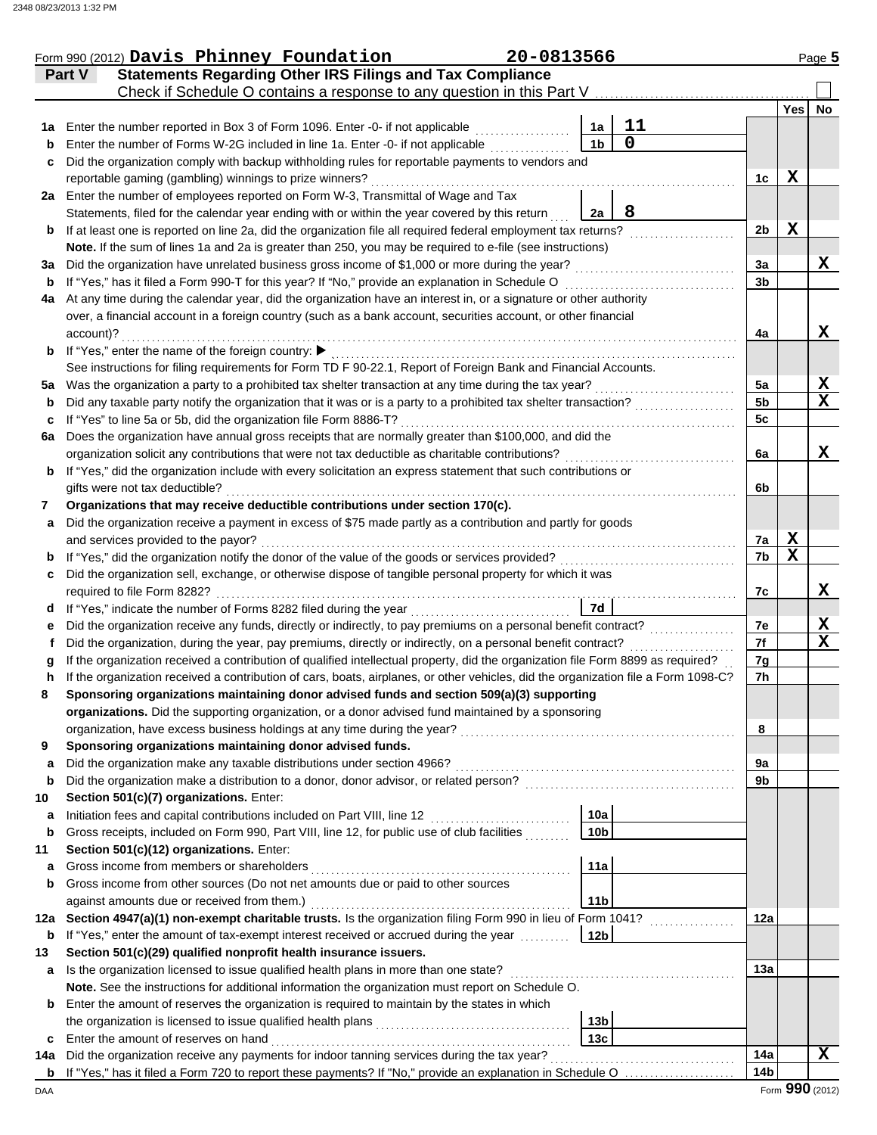|         | Form 990 (2012) Davis Phinney Foundation                                                                                                                  | 20-0813566 |                 |                |                 |                 | Page 5      |
|---------|-----------------------------------------------------------------------------------------------------------------------------------------------------------|------------|-----------------|----------------|-----------------|-----------------|-------------|
|         | <b>Statements Regarding Other IRS Filings and Tax Compliance</b><br>Part V                                                                                |            |                 |                |                 |                 |             |
|         | Check if Schedule O contains a response to any question in this Part V                                                                                    |            |                 |                |                 |                 |             |
|         |                                                                                                                                                           |            |                 |                |                 | <b>Yes</b>      | No          |
| 1a      | Enter the number reported in Box 3 of Form 1096. Enter -0- if not applicable                                                                              |            | 1a              | 11             |                 |                 |             |
| b       | Enter the number of Forms W-2G included in line 1a. Enter -0- if not applicable                                                                           |            | 1 <sub>b</sub>  | $\overline{0}$ |                 |                 |             |
| c       | Did the organization comply with backup withholding rules for reportable payments to vendors and                                                          |            |                 |                |                 |                 |             |
|         | reportable gaming (gambling) winnings to prize winners?                                                                                                   |            |                 |                | 1c              | $\mathbf X$     |             |
|         | 2a Enter the number of employees reported on Form W-3, Transmittal of Wage and Tax                                                                        |            |                 |                |                 |                 |             |
|         | Statements, filed for the calendar year ending with or within the year covered by this return                                                             |            | 2a              | 8              |                 |                 |             |
| b       | If at least one is reported on line 2a, did the organization file all required federal employment tax returns?                                            |            |                 |                | 2 <sub>b</sub>  | $\mathbf X$     |             |
|         | Note. If the sum of lines 1a and 2a is greater than 250, you may be required to e-file (see instructions)                                                 |            |                 |                |                 |                 |             |
| За      | Did the organization have unrelated business gross income of \$1,000 or more during the year?                                                             |            |                 |                | 3a              |                 | X           |
| b       | If "Yes," has it filed a Form 990-T for this year? If "No," provide an explanation in Schedule O                                                          |            |                 |                | 3b              |                 |             |
| 4a      | At any time during the calendar year, did the organization have an interest in, or a signature or other authority                                         |            |                 |                |                 |                 |             |
|         | over, a financial account in a foreign country (such as a bank account, securities account, or other financial                                            |            |                 |                |                 |                 | X           |
|         | account)?<br>If "Yes," enter the name of the foreign country: ▶                                                                                           |            |                 |                | 4a              |                 |             |
| b       | See instructions for filing requirements for Form TD F 90-22.1, Report of Foreign Bank and Financial Accounts.                                            |            |                 |                |                 |                 |             |
|         | Was the organization a party to a prohibited tax shelter transaction at any time during the tax year?                                                     |            |                 |                | 5a              |                 | X           |
| 5а<br>b | Did any taxable party notify the organization that it was or is a party to a prohibited tax shelter transaction?                                          |            |                 |                | 5 <sub>b</sub>  |                 | $\mathbf x$ |
| c       | If "Yes" to line 5a or 5b, did the organization file Form 8886-T?                                                                                         |            |                 |                | 5 <sub>c</sub>  |                 |             |
| 6a      | Does the organization have annual gross receipts that are normally greater than \$100,000, and did the                                                    |            |                 |                |                 |                 |             |
|         | organization solicit any contributions that were not tax deductible as charitable contributions?                                                          |            |                 |                | 6a              |                 | x           |
| b       | If "Yes," did the organization include with every solicitation an express statement that such contributions or                                            |            |                 |                |                 |                 |             |
|         | gifts were not tax deductible?                                                                                                                            |            |                 |                | 6b              |                 |             |
| 7       | Organizations that may receive deductible contributions under section 170(c).                                                                             |            |                 |                |                 |                 |             |
| a       | Did the organization receive a payment in excess of \$75 made partly as a contribution and partly for goods                                               |            |                 |                |                 |                 |             |
|         | and services provided to the payor?                                                                                                                       |            |                 |                | 7a              | X               |             |
| b       | If "Yes," did the organization notify the donor of the value of the goods or services provided?                                                           |            |                 |                | 7b              | $\mathbf x$     |             |
| c       | Did the organization sell, exchange, or otherwise dispose of tangible personal property for which it was                                                  |            |                 |                |                 |                 |             |
|         | required to file Form 8282?                                                                                                                               |            |                 |                | 7c              |                 | X           |
| d       | If "Yes," indicate the number of Forms 8282 filed during the year<br>.                                                                                    |            | 7d              |                |                 |                 |             |
| е       | Did the organization receive any funds, directly or indirectly, to pay premiums on a personal benefit contract?                                           |            |                 |                | 7e              |                 | X           |
| f       | Did the organization, during the year, pay premiums, directly or indirectly, on a personal benefit contract?                                              |            |                 |                | 7f              |                 | $\mathbf x$ |
| a       | If the organization received a contribution of qualified intellectual property, did the organization file Form 8899 as required?                          |            |                 |                | 7g              |                 |             |
| h       | If the organization received a contribution of cars, boats, airplanes, or other vehicles, did the organization file a Form 1098-C?                        |            |                 |                | 7h              |                 |             |
|         | Sponsoring organizations maintaining donor advised funds and section 509(a)(3) supporting                                                                 |            |                 |                |                 |                 |             |
|         | organizations. Did the supporting organization, or a donor advised fund maintained by a sponsoring                                                        |            |                 |                |                 |                 |             |
|         | organization, have excess business holdings at any time during the year?                                                                                  |            |                 |                | 8               |                 |             |
| 9       | Sponsoring organizations maintaining donor advised funds.                                                                                                 |            |                 |                |                 |                 |             |
| a       | Did the organization make any taxable distributions under section 4966?                                                                                   |            |                 |                | 9а              |                 |             |
| b       | Did the organization make a distribution to a donor, donor advisor, or related person?                                                                    |            |                 |                | 9b              |                 |             |
| 10      | Section 501(c)(7) organizations. Enter:                                                                                                                   |            |                 |                |                 |                 |             |
| a       | Initiation fees and capital contributions included on Part VIII, line 12                                                                                  |            | 10a             |                |                 |                 |             |
| b       | Gross receipts, included on Form 990, Part VIII, line 12, for public use of club facilities                                                               |            | 10 <sub>b</sub> |                |                 |                 |             |
| 11      | Section 501(c)(12) organizations. Enter:                                                                                                                  |            |                 |                |                 |                 |             |
| a       | Gross income from members or shareholders                                                                                                                 |            | 11a             |                |                 |                 |             |
| b       | Gross income from other sources (Do not net amounts due or paid to other sources                                                                          |            |                 |                |                 |                 |             |
|         | against amounts due or received from them.)<br>Section 4947(a)(1) non-exempt charitable trusts. Is the organization filing Form 990 in lieu of Form 1041? |            | 11 <sub>b</sub> |                | 12a             |                 |             |
| 12a     | If "Yes," enter the amount of tax-exempt interest received or accrued during the year                                                                     |            | 12 <sub>b</sub> |                |                 |                 |             |
| b<br>13 | Section 501(c)(29) qualified nonprofit health insurance issuers.                                                                                          |            |                 |                |                 |                 |             |
| a       | Is the organization licensed to issue qualified health plans in more than one state?                                                                      |            |                 |                | 13a             |                 |             |
|         | Note. See the instructions for additional information the organization must report on Schedule O.                                                         |            |                 |                |                 |                 |             |
| b       | Enter the amount of reserves the organization is required to maintain by the states in which                                                              |            |                 |                |                 |                 |             |
|         |                                                                                                                                                           |            | 13 <sub>b</sub> |                |                 |                 |             |
| c       | Enter the amount of reserves on hand                                                                                                                      |            | 13c             |                |                 |                 |             |
| 14a     | Did the organization receive any payments for indoor tanning services during the tax year?                                                                |            |                 |                | 14a             |                 | x           |
| b       | If "Yes," has it filed a Form 720 to report these payments? If "No," provide an explanation in Schedule O                                                 |            |                 |                | 14 <sub>b</sub> |                 |             |
| DAA     |                                                                                                                                                           |            |                 |                |                 | Form 990 (2012) |             |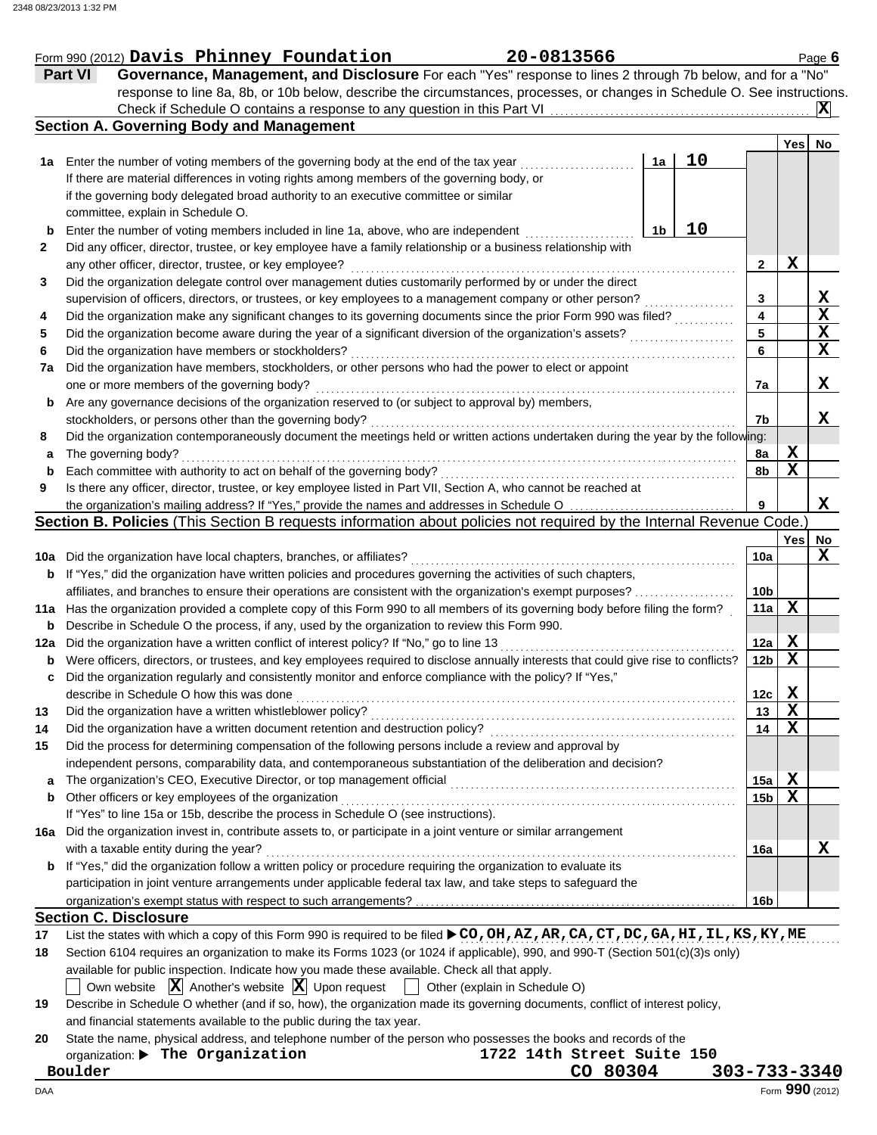|     | Part VI<br>Governance, Management, and Disclosure For each "Yes" response to lines 2 through 7b below, and for a "No"               |          |    |                 |             |                                 |  |
|-----|-------------------------------------------------------------------------------------------------------------------------------------|----------|----|-----------------|-------------|---------------------------------|--|
|     | response to line 8a, 8b, or 10b below, describe the circumstances, processes, or changes in Schedule O. See instructions.           |          |    |                 |             |                                 |  |
|     |                                                                                                                                     |          |    |                 |             | $ {\bf X} $                     |  |
|     | <b>Section A. Governing Body and Management</b>                                                                                     |          |    |                 |             |                                 |  |
|     |                                                                                                                                     |          |    |                 | Yes         | No                              |  |
| 1a  | Enter the number of voting members of the governing body at the end of the tax year                                                 | 1a       | 10 |                 |             |                                 |  |
|     | If there are material differences in voting rights among members of the governing body, or                                          |          |    |                 |             |                                 |  |
|     | if the governing body delegated broad authority to an executive committee or similar                                                |          |    |                 |             |                                 |  |
|     | committee, explain in Schedule O.                                                                                                   |          |    |                 |             |                                 |  |
| b   | Enter the number of voting members included in line 1a, above, who are independent                                                  | 1b       | 10 |                 |             |                                 |  |
| 2   | Did any officer, director, trustee, or key employee have a family relationship or a business relationship with                      |          |    |                 |             |                                 |  |
|     | any other officer, director, trustee, or key employee?                                                                              |          |    | 2               | X           |                                 |  |
| 3   | Did the organization delegate control over management duties customarily performed by or under the direct                           |          |    |                 |             |                                 |  |
|     | supervision of officers, directors, or trustees, or key employees to a management company or other person?                          |          |    | 3               |             | $\frac{\mathbf{X}}{\mathbf{X}}$ |  |
| 4   | Did the organization make any significant changes to its governing documents since the prior Form 990 was filed?                    |          |    | 4               |             |                                 |  |
| 5   | Did the organization become aware during the year of a significant diversion of the organization's assets?                          |          |    | 5               |             | X                               |  |
| 6   | Did the organization have members or stockholders?                                                                                  |          |    | 6               |             | $\mathbf x$                     |  |
| 7a  | Did the organization have members, stockholders, or other persons who had the power to elect or appoint                             |          |    |                 |             |                                 |  |
|     | one or more members of the governing body?                                                                                          |          |    | 7a              |             | X                               |  |
| b   | Are any governance decisions of the organization reserved to (or subject to approval by) members,                                   |          |    |                 |             |                                 |  |
|     | stockholders, or persons other than the governing body?                                                                             |          |    | 7b              |             | X                               |  |
| 8   | Did the organization contemporaneously document the meetings held or written actions undertaken during the year by the following:   |          |    |                 |             |                                 |  |
| a   | The governing body?                                                                                                                 |          |    | 8a              | x           |                                 |  |
| b   | Each committee with authority to act on behalf of the governing body?                                                               |          |    | 8b              | $\mathbf X$ |                                 |  |
| 9   | Is there any officer, director, trustee, or key employee listed in Part VII, Section A, who cannot be reached at                    |          |    |                 |             |                                 |  |
|     | the organization's mailing address? If "Yes," provide the names and addresses in Schedule O                                         |          |    |                 |             | X                               |  |
|     | Section B. Policies (This Section B requests information about policies not required by the Internal Revenue Code.)                 |          |    |                 |             |                                 |  |
|     |                                                                                                                                     |          |    |                 | Yes         | No                              |  |
| 10a | Did the organization have local chapters, branches, or affiliates?                                                                  |          |    | 10a             |             | X                               |  |
| b   | If "Yes," did the organization have written policies and procedures governing the activities of such chapters,                      |          |    |                 |             |                                 |  |
|     | affiliates, and branches to ensure their operations are consistent with the organization's exempt purposes?                         |          |    | 10 <sub>b</sub> |             |                                 |  |
| 11a | Has the organization provided a complete copy of this Form 990 to all members of its governing body before filing the form?         |          |    | 11a             | $\mathbf X$ |                                 |  |
| b   | Describe in Schedule O the process, if any, used by the organization to review this Form 990.                                       |          |    |                 |             |                                 |  |
| 12a | Did the organization have a written conflict of interest policy? If "No," go to line 13                                             |          |    | 12a             | X           |                                 |  |
| b   | Were officers, directors, or trustees, and key employees required to disclose annually interests that could give rise to conflicts? |          |    | 12 <sub>b</sub> | $\mathbf x$ |                                 |  |
| c   | Did the organization regularly and consistently monitor and enforce compliance with the policy? If "Yes,"                           |          |    |                 |             |                                 |  |
|     | describe in Schedule O how this was done                                                                                            |          |    | 12c             | Х           |                                 |  |
| 13  | Did the organization have a written whistleblower policy?                                                                           |          |    | 13              | X           |                                 |  |
| 14  | Did the organization have a written document retention and destruction policy?                                                      |          |    | 14              | X           |                                 |  |
| 15  | Did the process for determining compensation of the following persons include a review and approval by                              |          |    |                 |             |                                 |  |
|     | independent persons, comparability data, and contemporaneous substantiation of the deliberation and decision?                       |          |    |                 |             |                                 |  |
| a   | The organization's CEO, Executive Director, or top management official                                                              |          |    | 15a             | X           |                                 |  |
| b   | Other officers or key employees of the organization                                                                                 |          |    | 15b             | X           |                                 |  |
|     | If "Yes" to line 15a or 15b, describe the process in Schedule O (see instructions).                                                 |          |    |                 |             |                                 |  |
|     | 16a Did the organization invest in, contribute assets to, or participate in a joint venture or similar arrangement                  |          |    |                 |             |                                 |  |
|     | with a taxable entity during the year?                                                                                              |          |    | 16a             |             | X                               |  |
| b   | If "Yes," did the organization follow a written policy or procedure requiring the organization to evaluate its                      |          |    |                 |             |                                 |  |
|     | participation in joint venture arrangements under applicable federal tax law, and take steps to safeguard the                       |          |    |                 |             |                                 |  |
|     |                                                                                                                                     |          |    | 16b             |             |                                 |  |
|     | <b>Section C. Disclosure</b>                                                                                                        |          |    |                 |             |                                 |  |
| 17  | List the states with which a copy of this Form 990 is required to be filed ▶ CO, OH, AZ, AR, CA, CT, DC, GA, HI, IL, KS, KY, ME     |          |    |                 |             |                                 |  |
| 18  | Section 6104 requires an organization to make its Forms 1023 (or 1024 if applicable), 990, and 990-T (Section 501(c)(3)s only)      |          |    |                 |             |                                 |  |
|     | available for public inspection. Indicate how you made these available. Check all that apply.                                       |          |    |                 |             |                                 |  |
|     | Own website $ \mathbf{X} $ Another's website $ \mathbf{X} $ Upon request<br>Other (explain in Schedule O)                           |          |    |                 |             |                                 |  |
| 19  | Describe in Schedule O whether (and if so, how), the organization made its governing documents, conflict of interest policy,        |          |    |                 |             |                                 |  |
|     | and financial statements available to the public during the tax year.                                                               |          |    |                 |             |                                 |  |
| 20  | State the name, physical address, and telephone number of the person who possesses the books and records of the                     |          |    |                 |             |                                 |  |
|     | 1722 14th Street Suite 150<br>organization: > The Organization                                                                      |          |    |                 |             |                                 |  |
|     | Boulder                                                                                                                             | CO 80304 |    |                 |             | $303 - 733 - 3340$              |  |
| DAA |                                                                                                                                     |          |    |                 |             | Form 990 (2012)                 |  |
|     |                                                                                                                                     |          |    |                 |             |                                 |  |

Form 990 (2012) Page **6**

**Davis Phinney Foundation 20-0813566**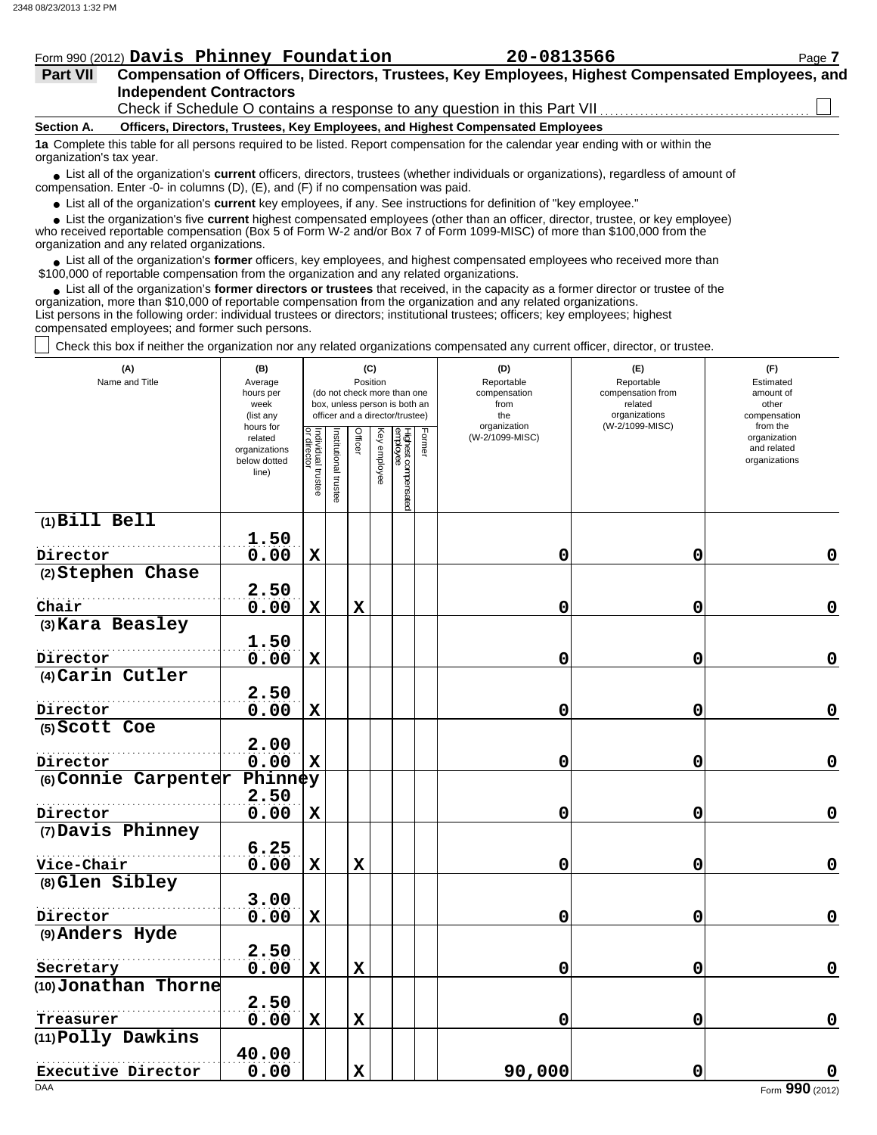|                 | Form 990 (2012) Davis Phinney Foundation                                                                                                                      | 20-0813566                                                                                       | Page 7 |  |  |  |  |  |  |  |  |
|-----------------|---------------------------------------------------------------------------------------------------------------------------------------------------------------|--------------------------------------------------------------------------------------------------|--------|--|--|--|--|--|--|--|--|
| <b>Part VII</b> |                                                                                                                                                               | Compensation of Officers, Directors, Trustees, Key Employees, Highest Compensated Employees, and |        |  |  |  |  |  |  |  |  |
|                 | <b>Independent Contractors</b>                                                                                                                                |                                                                                                  |        |  |  |  |  |  |  |  |  |
|                 | Check if Schedule O contains a response to any question in this Part VII.                                                                                     |                                                                                                  |        |  |  |  |  |  |  |  |  |
| Section A.      | Officers, Directors, Trustees, Key Employees, and Highest Compensated Employees                                                                               |                                                                                                  |        |  |  |  |  |  |  |  |  |
|                 | 1a Complete this table for all persons required to be listed. Report compensation for the calendar year ending with or within the<br>organization's tax year. |                                                                                                  |        |  |  |  |  |  |  |  |  |

■ List all of the organization's **current** officers, directors, trustees (whether individuals or organizations), regardless of amount of compensation. Enter -0- in columns (D), (E), and (F) if no compensation was paid.

● List all of the organization's **current** key employees, if any. See instructions for definition of "key employee."

 $\bullet$  List the organization's five **current** highest compensated employees (other than an officer, director, trustee, or key employee)<br>a received reportable compensation (Box 5 of Form  $M-2$  and/or Box 7 of Form 1000-MISC)

who received reportable compensation (Box 5 of Form W-2 and/or Box 7 of Form 1099-MISC) of more than \$100,000 from the organization and any related organizations.

• List all of the organization's **former** officers, key employees, and highest compensated employees who received more than<br>00,000 of reportable compensation from the erganization and any related erganizations. \$100,000 of reportable compensation from the organization and any related organizations.

List all of the organization's **former directors or trustees** that received, in the capacity as a former director or trustee of the • List all of the organization's **former directors or trustees** that received, in the capacity as a former director organization, more than \$10,000 of reportable compensation from the organization and any related organizat List persons in the following order: individual trustees or directors; institutional trustees; officers; key employees; highest compensated employees; and former such persons.

Check this box if neither the organization nor any related organizations compensated any current officer, director, or trustee.

| (A)<br>Name and Title       | (B)<br>Average<br>hours per<br>week<br>(list any<br>hours for |                                   |                      | (C)<br>Position |              | (do not check more than one<br>box, unless person is both an<br>officer and a director/trustee) | (D)<br>Reportable<br>compensation<br>from<br>the<br>organization | (E)<br>Reportable<br>compensation from<br>related<br>organizations<br>(W-2/1099-MISC) | (F)<br>Estimated<br>amount of<br>other<br>compensation<br>from the |
|-----------------------------|---------------------------------------------------------------|-----------------------------------|----------------------|-----------------|--------------|-------------------------------------------------------------------------------------------------|------------------------------------------------------------------|---------------------------------------------------------------------------------------|--------------------------------------------------------------------|
|                             | related<br>organizations<br>below dotted<br>line)             | Individual trustee<br>or director | nstitutional trustee | Officer         | Key employee | Former<br>Highest compensated<br><sup>employee</sup>                                            | (W-2/1099-MISC)                                                  |                                                                                       | organization<br>and related<br>organizations                       |
| $(1)$ Bill Bell             |                                                               |                                   |                      |                 |              |                                                                                                 |                                                                  |                                                                                       |                                                                    |
| Director                    | 1.50<br>0.00                                                  | $\mathbf x$                       |                      |                 |              |                                                                                                 | 0                                                                | 0                                                                                     | 0                                                                  |
| (2) Stephen Chase           |                                                               |                                   |                      |                 |              |                                                                                                 |                                                                  |                                                                                       |                                                                    |
|                             | 2.50                                                          |                                   |                      |                 |              |                                                                                                 |                                                                  |                                                                                       |                                                                    |
| Chair                       | 0.00                                                          | $\mathbf x$                       |                      | $\mathbf x$     |              |                                                                                                 | 0                                                                | 0                                                                                     | $\mathbf 0$                                                        |
| (3) Kara Beasley            |                                                               |                                   |                      |                 |              |                                                                                                 |                                                                  |                                                                                       |                                                                    |
|                             | 1.50                                                          |                                   |                      |                 |              |                                                                                                 |                                                                  |                                                                                       |                                                                    |
| Director                    | 0.00                                                          | $\mathbf x$                       |                      |                 |              |                                                                                                 | 0                                                                | 0                                                                                     | $\mathbf 0$                                                        |
| (4) Carin Cutler            | 2.50                                                          |                                   |                      |                 |              |                                                                                                 |                                                                  |                                                                                       |                                                                    |
| Director                    | 0.00                                                          | $\mathbf x$                       |                      |                 |              |                                                                                                 | 0                                                                | 0                                                                                     | $\mathbf 0$                                                        |
| (5) Scott Coe               |                                                               |                                   |                      |                 |              |                                                                                                 |                                                                  |                                                                                       |                                                                    |
|                             | 2.00                                                          |                                   |                      |                 |              |                                                                                                 |                                                                  |                                                                                       |                                                                    |
| Director                    | 0.00                                                          | $\mathbf x$                       |                      |                 |              |                                                                                                 | 0                                                                | 0                                                                                     | $\mathbf 0$                                                        |
| (6) Connie Carpenter        | Phinney                                                       |                                   |                      |                 |              |                                                                                                 |                                                                  |                                                                                       |                                                                    |
|                             | 2.50                                                          |                                   |                      |                 |              |                                                                                                 |                                                                  |                                                                                       |                                                                    |
| Director                    | 0.00                                                          | $\mathbf x$                       |                      |                 |              |                                                                                                 | 0                                                                | 0                                                                                     | $\mathbf 0$                                                        |
| (7) Davis Phinney           |                                                               |                                   |                      |                 |              |                                                                                                 |                                                                  |                                                                                       |                                                                    |
|                             | 6.25                                                          |                                   |                      |                 |              |                                                                                                 |                                                                  |                                                                                       |                                                                    |
| Vice-Chair                  | 0.00                                                          | $\mathbf x$                       |                      | $\mathbf X$     |              |                                                                                                 | 0                                                                | 0                                                                                     | 0                                                                  |
| (8) Glen Sibley             |                                                               |                                   |                      |                 |              |                                                                                                 |                                                                  |                                                                                       |                                                                    |
|                             | 3.00                                                          |                                   |                      |                 |              |                                                                                                 | 0                                                                |                                                                                       | $\mathbf 0$                                                        |
| Director<br>(9) Anders Hyde | 0.00                                                          | $\mathbf x$                       |                      |                 |              |                                                                                                 |                                                                  | 0                                                                                     |                                                                    |
|                             | 2.50                                                          |                                   |                      |                 |              |                                                                                                 |                                                                  |                                                                                       |                                                                    |
| Secretary                   | 0.00                                                          | $\mathbf x$                       |                      | $\mathbf x$     |              |                                                                                                 | 0                                                                | 0                                                                                     | $\mathbf 0$                                                        |
| (10) Jonathan Thorne        |                                                               |                                   |                      |                 |              |                                                                                                 |                                                                  |                                                                                       |                                                                    |
|                             | 2.50                                                          |                                   |                      |                 |              |                                                                                                 |                                                                  |                                                                                       |                                                                    |
| Treasurer                   | 0.00                                                          | $\mathbf x$                       |                      | $\mathbf x$     |              |                                                                                                 | 0                                                                | 0                                                                                     | $\mathbf 0$                                                        |
| (11) Polly Dawkins          |                                                               |                                   |                      |                 |              |                                                                                                 |                                                                  |                                                                                       |                                                                    |
|                             | 40.00                                                         |                                   |                      |                 |              |                                                                                                 |                                                                  |                                                                                       |                                                                    |
| Executive Director          | 0.00                                                          |                                   |                      | $\mathbf x$     |              |                                                                                                 | 90,000                                                           | 0                                                                                     | O                                                                  |
| <b>DAA</b>                  |                                                               |                                   |                      |                 |              |                                                                                                 |                                                                  |                                                                                       | Form 990 (2012)                                                    |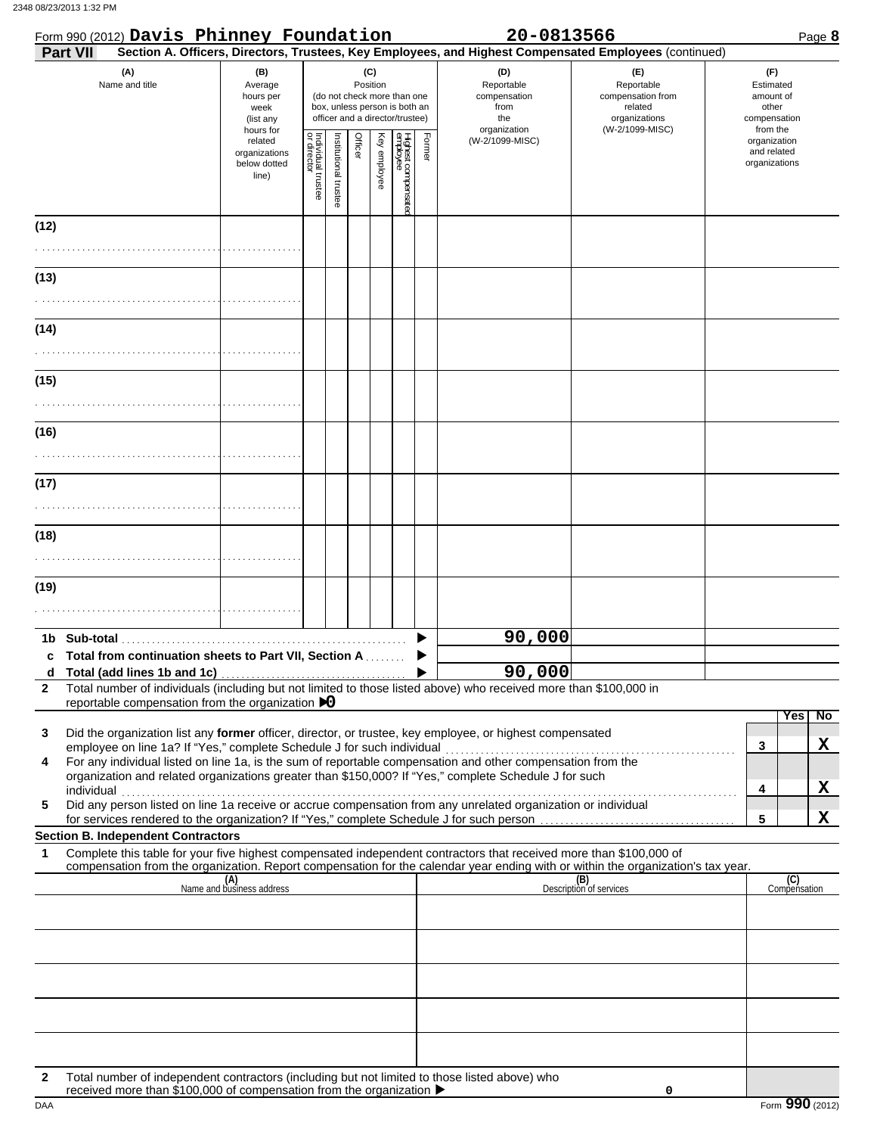|              | Form 990 (2012) Davis Phinney Foundation                                                                                                                                                                                                                                                       |                                                               |                                   |                       |         |                 |                                                                                                 |        | 20-0813566                                                                                             |                                                                                       | Page 8                                                             |
|--------------|------------------------------------------------------------------------------------------------------------------------------------------------------------------------------------------------------------------------------------------------------------------------------------------------|---------------------------------------------------------------|-----------------------------------|-----------------------|---------|-----------------|-------------------------------------------------------------------------------------------------|--------|--------------------------------------------------------------------------------------------------------|---------------------------------------------------------------------------------------|--------------------------------------------------------------------|
|              | Part VII                                                                                                                                                                                                                                                                                       |                                                               |                                   |                       |         |                 |                                                                                                 |        | Section A. Officers, Directors, Trustees, Key Employees, and Highest Compensated Employees (continued) |                                                                                       |                                                                    |
|              | (A)<br>Name and title                                                                                                                                                                                                                                                                          | (B)<br>Average<br>hours per<br>week<br>(list any<br>hours for |                                   |                       |         | (C)<br>Position | (do not check more than one<br>box, unless person is both an<br>officer and a director/trustee) |        | (D)<br>Reportable<br>compensation<br>from<br>the<br>organization                                       | (E)<br>Reportable<br>compensation from<br>related<br>organizations<br>(W-2/1099-MISC) | (F)<br>Estimated<br>amount of<br>other<br>compensation<br>from the |
|              |                                                                                                                                                                                                                                                                                                | related<br>organizations<br>below dotted<br>line)             | Individual trustee<br>or director | Institutional trustee | Officer | Key employee    | Highest compensate<br>employee                                                                  | Former | (W-2/1099-MISC)                                                                                        |                                                                                       | organization<br>and related<br>organizations                       |
| (12)         |                                                                                                                                                                                                                                                                                                |                                                               |                                   |                       |         |                 |                                                                                                 |        |                                                                                                        |                                                                                       |                                                                    |
|              |                                                                                                                                                                                                                                                                                                |                                                               |                                   |                       |         |                 |                                                                                                 |        |                                                                                                        |                                                                                       |                                                                    |
| (13)         |                                                                                                                                                                                                                                                                                                |                                                               |                                   |                       |         |                 |                                                                                                 |        |                                                                                                        |                                                                                       |                                                                    |
| (14)         |                                                                                                                                                                                                                                                                                                |                                                               |                                   |                       |         |                 |                                                                                                 |        |                                                                                                        |                                                                                       |                                                                    |
|              |                                                                                                                                                                                                                                                                                                |                                                               |                                   |                       |         |                 |                                                                                                 |        |                                                                                                        |                                                                                       |                                                                    |
| (15)         |                                                                                                                                                                                                                                                                                                |                                                               |                                   |                       |         |                 |                                                                                                 |        |                                                                                                        |                                                                                       |                                                                    |
|              |                                                                                                                                                                                                                                                                                                |                                                               |                                   |                       |         |                 |                                                                                                 |        |                                                                                                        |                                                                                       |                                                                    |
| (16)         |                                                                                                                                                                                                                                                                                                |                                                               |                                   |                       |         |                 |                                                                                                 |        |                                                                                                        |                                                                                       |                                                                    |
| (17)         |                                                                                                                                                                                                                                                                                                |                                                               |                                   |                       |         |                 |                                                                                                 |        |                                                                                                        |                                                                                       |                                                                    |
|              |                                                                                                                                                                                                                                                                                                |                                                               |                                   |                       |         |                 |                                                                                                 |        |                                                                                                        |                                                                                       |                                                                    |
| (18)         |                                                                                                                                                                                                                                                                                                |                                                               |                                   |                       |         |                 |                                                                                                 |        |                                                                                                        |                                                                                       |                                                                    |
| (19)         |                                                                                                                                                                                                                                                                                                |                                                               |                                   |                       |         |                 |                                                                                                 |        |                                                                                                        |                                                                                       |                                                                    |
|              |                                                                                                                                                                                                                                                                                                |                                                               |                                   |                       |         |                 |                                                                                                 |        |                                                                                                        |                                                                                       |                                                                    |
|              |                                                                                                                                                                                                                                                                                                |                                                               |                                   |                       |         |                 |                                                                                                 |        | 90,000                                                                                                 |                                                                                       |                                                                    |
|              | Total from continuation sheets to Part VII, Section A                                                                                                                                                                                                                                          |                                                               |                                   |                       |         |                 |                                                                                                 |        | 90,000                                                                                                 |                                                                                       |                                                                    |
| $\mathbf{2}$ | Total number of individuals (including but not limited to those listed above) who received more than \$100,000 in<br>reportable compensation from the organization $\triangleright$ 0                                                                                                          |                                                               |                                   |                       |         |                 |                                                                                                 |        |                                                                                                        |                                                                                       |                                                                    |
| 3            | Did the organization list any former officer, director, or trustee, key employee, or highest compensated                                                                                                                                                                                       |                                                               |                                   |                       |         |                 |                                                                                                 |        |                                                                                                        |                                                                                       | N <sub>o</sub><br><b>Yes</b>                                       |
| 4            | employee on line 1a? If "Yes," complete Schedule J for such individual<br>For any individual listed on line 1a, is the sum of reportable compensation and other compensation from the<br>organization and related organizations greater than \$150,000? If "Yes," complete Schedule J for such |                                                               |                                   |                       |         |                 |                                                                                                 |        |                                                                                                        |                                                                                       | X<br>3                                                             |
| 5            | individual<br>Did any person listed on line 1a receive or accrue compensation from any unrelated organization or individual<br>for services rendered to the organization? If "Yes," complete Schedule J for such person                                                                        |                                                               |                                   |                       |         |                 |                                                                                                 |        |                                                                                                        |                                                                                       | X<br>4<br>X<br>5                                                   |
| 1            | <b>Section B. Independent Contractors</b><br>Complete this table for your five highest compensated independent contractors that received more than \$100,000 of                                                                                                                                |                                                               |                                   |                       |         |                 |                                                                                                 |        |                                                                                                        |                                                                                       |                                                                    |
|              | compensation from the organization. Report compensation for the calendar year ending with or within the organization's tax year.                                                                                                                                                               |                                                               |                                   |                       |         |                 |                                                                                                 |        |                                                                                                        |                                                                                       |                                                                    |
|              |                                                                                                                                                                                                                                                                                                | (A)<br>Name and business address                              |                                   |                       |         |                 |                                                                                                 |        |                                                                                                        | (B)<br>Description of services                                                        | (C)<br>Compensation                                                |
|              |                                                                                                                                                                                                                                                                                                |                                                               |                                   |                       |         |                 |                                                                                                 |        |                                                                                                        |                                                                                       |                                                                    |
|              |                                                                                                                                                                                                                                                                                                |                                                               |                                   |                       |         |                 |                                                                                                 |        |                                                                                                        |                                                                                       |                                                                    |
|              |                                                                                                                                                                                                                                                                                                |                                                               |                                   |                       |         |                 |                                                                                                 |        |                                                                                                        |                                                                                       |                                                                    |
|              |                                                                                                                                                                                                                                                                                                |                                                               |                                   |                       |         |                 |                                                                                                 |        |                                                                                                        |                                                                                       |                                                                    |
| 2            | Total number of independent contractors (including but not limited to those listed above) who<br>received more than \$100,000 of compensation from the organization ▶                                                                                                                          |                                                               |                                   |                       |         |                 |                                                                                                 |        |                                                                                                        | 0                                                                                     |                                                                    |
| DAA          |                                                                                                                                                                                                                                                                                                |                                                               |                                   |                       |         |                 |                                                                                                 |        |                                                                                                        |                                                                                       | Form 990 (2012)                                                    |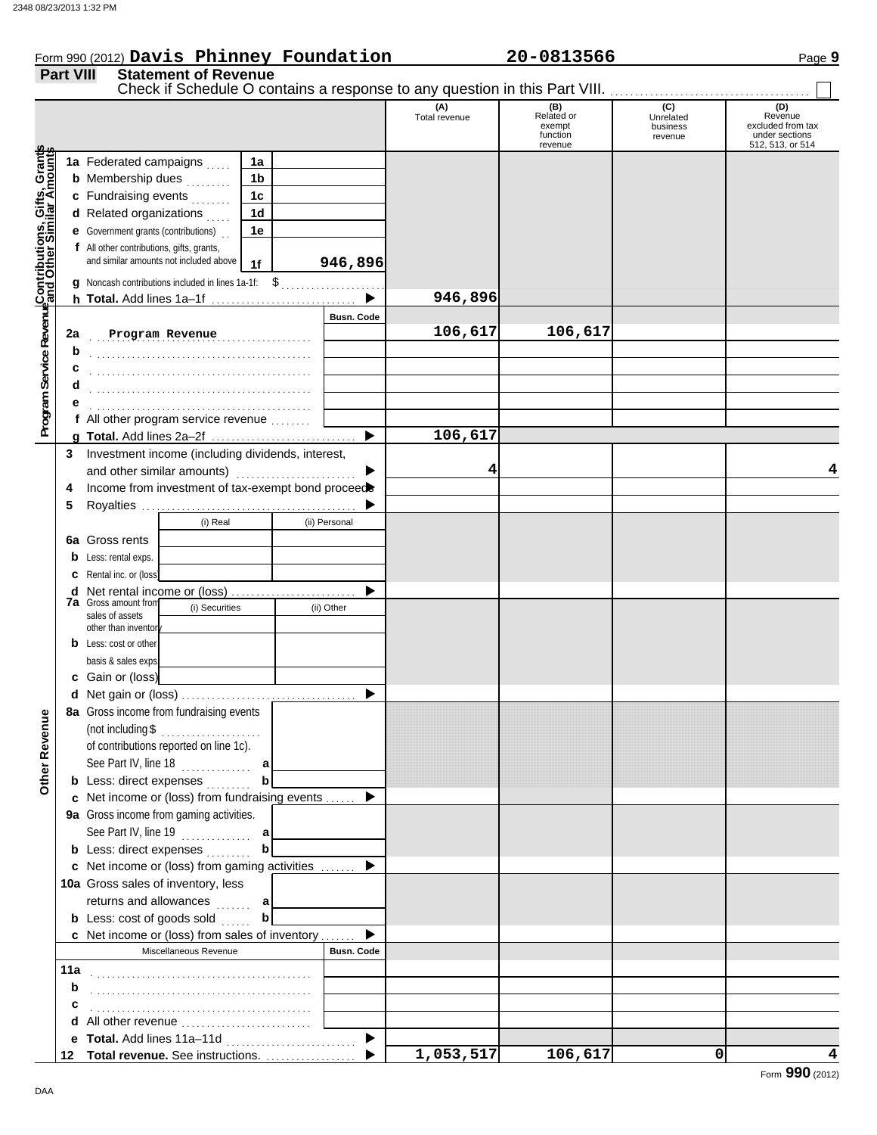|                  | Form 990 (2012) Davis Phinney Foundation                                                                  |               | 20-0813566           |                       | Page 9                              |
|------------------|-----------------------------------------------------------------------------------------------------------|---------------|----------------------|-----------------------|-------------------------------------|
| <b>Part VIII</b> | <b>Statement of Revenue</b><br>Check if Schedule O contains a response to any question in this Part VIII. |               |                      |                       |                                     |
|                  |                                                                                                           | Total revenue | Related or<br>exempt | Unrelated<br>business | (D)<br>Revenue<br>excluded from tax |

|                                                                    |    |                                                                  |                |                   | (A)<br>Total revenue | (B)<br>Related or<br>exempt | (C)<br>Unrelated<br>business | (D)<br>Revenue<br>excluded from tax |
|--------------------------------------------------------------------|----|------------------------------------------------------------------|----------------|-------------------|----------------------|-----------------------------|------------------------------|-------------------------------------|
|                                                                    |    |                                                                  |                |                   |                      | function<br>revenue         | revenue                      | under sections<br>512, 513, or 514  |
|                                                                    |    | 1a Federated campaigns                                           | 1a             |                   |                      |                             |                              |                                     |
|                                                                    |    | <b>b</b> Membership dues                                         | 1b             |                   |                      |                             |                              |                                     |
|                                                                    |    | c Fundraising events                                             | 1 <sub>c</sub> |                   |                      |                             |                              |                                     |
|                                                                    |    | d Related organizations                                          | 1d             |                   |                      |                             |                              |                                     |
|                                                                    |    | <b>e</b> Government grants (contributions)                       | 1e             |                   |                      |                             |                              |                                     |
|                                                                    |    | f All other contributions, gifts, grants,                        |                |                   |                      |                             |                              |                                     |
| Program Service Revenu <mark>eContributions, Gifts, Grant</mark> s |    | and similar amounts not included above                           | 1f             | 946,896           |                      |                             |                              |                                     |
|                                                                    |    |                                                                  |                |                   |                      |                             |                              |                                     |
|                                                                    |    |                                                                  |                |                   | 946,896              |                             |                              |                                     |
|                                                                    |    |                                                                  |                | <b>Busn. Code</b> |                      |                             |                              |                                     |
|                                                                    | 2a | Program Revenue                                                  |                |                   | 106,617              | 106,617                     |                              |                                     |
|                                                                    | b  |                                                                  | .              |                   |                      |                             |                              |                                     |
|                                                                    |    |                                                                  |                |                   |                      |                             |                              |                                     |
|                                                                    | c  |                                                                  |                |                   |                      |                             |                              |                                     |
|                                                                    | d  |                                                                  |                |                   |                      |                             |                              |                                     |
|                                                                    | е  |                                                                  |                |                   |                      |                             |                              |                                     |
|                                                                    |    | f All other program service revenue                              |                |                   |                      |                             |                              |                                     |
|                                                                    |    |                                                                  |                | ▶                 | 106,617              |                             |                              |                                     |
|                                                                    | 3  | Investment income (including dividends, interest,                |                |                   |                      |                             |                              |                                     |
|                                                                    |    | and other similar amounts)                                       |                | ▶                 | 4                    |                             |                              | 4                                   |
|                                                                    | 4  | Income from investment of tax-exempt bond proceed                |                |                   |                      |                             |                              |                                     |
|                                                                    | 5  |                                                                  |                |                   |                      |                             |                              |                                     |
|                                                                    |    | (i) Real                                                         |                | (ii) Personal     |                      |                             |                              |                                     |
|                                                                    |    | <b>6a</b> Gross rents                                            |                |                   |                      |                             |                              |                                     |
|                                                                    |    | <b>b</b> Less: rental exps.                                      |                |                   |                      |                             |                              |                                     |
|                                                                    |    | <b>c</b> Rental inc. or (loss)                                   |                |                   |                      |                             |                              |                                     |
|                                                                    |    |                                                                  |                | ▶                 |                      |                             |                              |                                     |
|                                                                    |    | <b>7a</b> Gross amount from<br>(i) Securities<br>sales of assets |                | (ii) Other        |                      |                             |                              |                                     |
|                                                                    |    | other than inventory                                             |                |                   |                      |                             |                              |                                     |
|                                                                    |    | <b>b</b> Less: cost or other                                     |                |                   |                      |                             |                              |                                     |
|                                                                    |    | basis & sales exps.                                              |                |                   |                      |                             |                              |                                     |
|                                                                    |    | c Gain or (loss)                                                 |                |                   |                      |                             |                              |                                     |
|                                                                    |    |                                                                  |                | ▶                 |                      |                             |                              |                                     |
| nue                                                                |    | 8a Gross income from fundraising events                          |                |                   |                      |                             |                              |                                     |
|                                                                    |    | (not including $\$\ldots$                                        |                |                   |                      |                             |                              |                                     |
|                                                                    |    | of contributions reported on line 1c).                           |                |                   |                      |                             |                              |                                     |
|                                                                    |    | See Part IV, line 18                                             | a              |                   |                      |                             |                              |                                     |
| Other Reve                                                         |    | <b>b</b> Less: direct expenses                                   | b              |                   |                      |                             |                              |                                     |
|                                                                    |    | c Net income or (loss) from fundraising events  ▶                |                |                   |                      |                             |                              |                                     |
|                                                                    |    | 9a Gross income from gaming activities.                          |                |                   |                      |                             |                              |                                     |
|                                                                    |    | See Part IV, line 19                                             | a              |                   |                      |                             |                              |                                     |
|                                                                    |    | <b>b</b> Less: direct expenses                                   | b              |                   |                      |                             |                              |                                     |
|                                                                    |    | c Net income or (loss) from gaming activities                    |                | ▶                 |                      |                             |                              |                                     |
|                                                                    |    | 10a Gross sales of inventory, less                               |                |                   |                      |                             |                              |                                     |
|                                                                    |    | returns and allowances                                           | a              |                   |                      |                             |                              |                                     |
|                                                                    |    | <b>b</b> Less: cost of goods sold                                | b              |                   |                      |                             |                              |                                     |
|                                                                    |    | c Net income or (loss) from sales of inventory                   |                | ▶                 |                      |                             |                              |                                     |
|                                                                    |    | Miscellaneous Revenue                                            |                | <b>Busn. Code</b> |                      |                             |                              |                                     |
|                                                                    |    |                                                                  |                |                   |                      |                             |                              |                                     |
|                                                                    | b  |                                                                  |                |                   |                      |                             |                              |                                     |
|                                                                    | с  |                                                                  |                |                   |                      |                             |                              |                                     |
|                                                                    |    |                                                                  |                |                   |                      |                             |                              |                                     |
|                                                                    |    |                                                                  |                | ▶                 |                      |                             |                              |                                     |
|                                                                    |    | 12 Total revenue. See instructions.                              |                | ▶                 | 1,053,517            | 106,617                     | 0                            | 4                                   |
|                                                                    |    |                                                                  |                |                   |                      |                             |                              |                                     |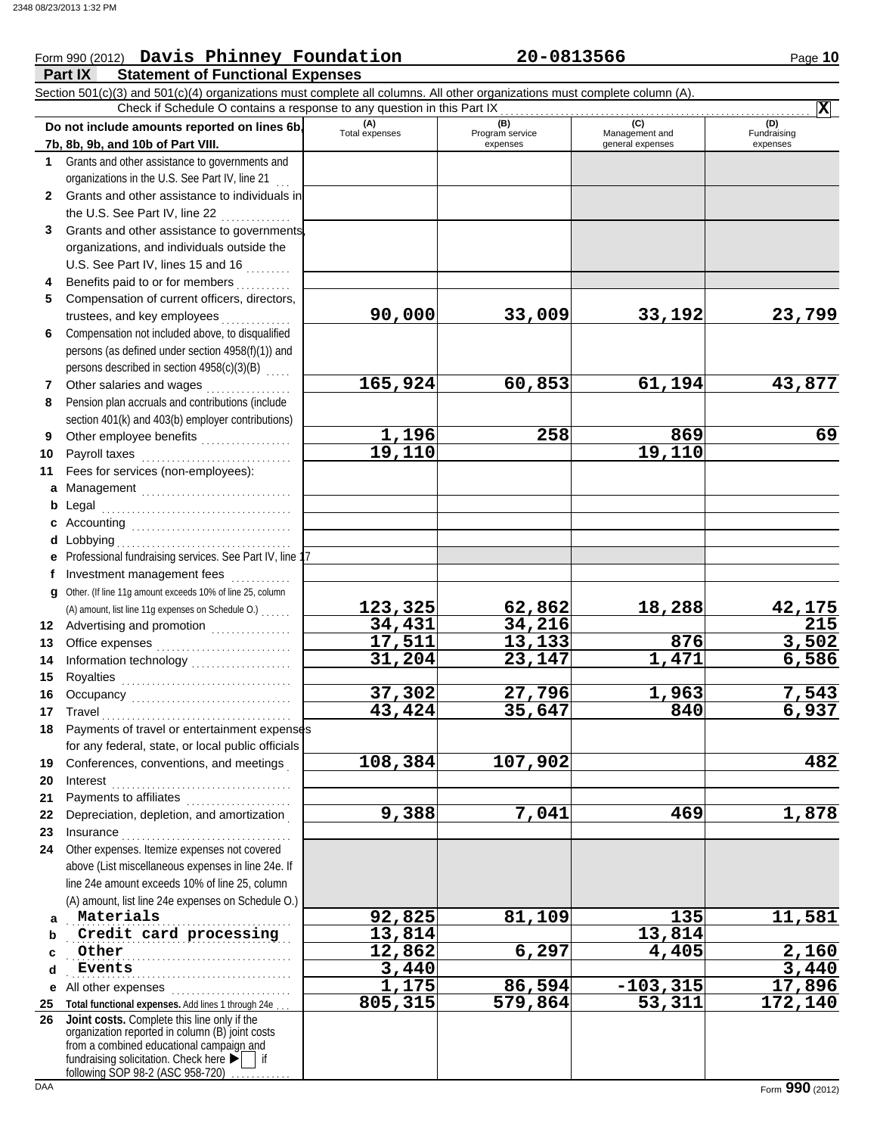#### **Part IX Statement of Functional Expenses** Form 990 (2012) Page **10 Davis Phinney Foundation 20-0813566** Section 501(c)(3) and 501(c)(4) organizations must complete all columns. All other organizations must complete column (A). **Do not include amounts reported on lines 6b, 7b, 8b, 9b, and 10b of Part VIII. 1 2 3 4 5 6 7 8 9 10 11 a** Management .............................. **b** Legal **c** Accounting . . . . . . . . . . . . . . . . . . . . . . . . . . . . . . . . **d** Lobbying . . . . . . . . . . . . . . . . . . . . . . . . . . . . . . . . . . . **e** Professional fundraising services. See Part IV, line 17 **f g** Other. (If line 11g amount exceeds 10% of line 25, column **12** Advertising and promotion . . . . . . . . . . . . . . **13 14 15 16 17 18 19 20 21 22 23 24 a b c d e** All other expenses . . . . . . . . . . . . . . . . . . . . . . . . **25 Total functional expenses.** Add lines 1 through 24e . . . **26** Grants and other assistance to governments and organizations in the U.S. See Part IV, line 21 Grants and other assistance to individuals in the U.S. See Part IV, line 22 ............... Grants and other assistance to governments, organizations, and individuals outside the U.S. See Part IV, lines 15 and 16  $\ldots$ ...... Benefits paid to or for members ........... Compensation of current officers, directors, trustees, and key employees . . . . . . . . Compensation not included above, to disqualified persons (as defined under section 4958(f)(1)) and persons described in section 4958(c)(3)(B) Other salaries and wages .................. Pension plan accruals and contributions (include section 401(k) and 403(b) employer contributions) Other employee benefits .................. Payroll taxes . . . . . . . . . . . . . . . . . . . . . . . . . . . . . . Fees for services (non-employees): Legal . . . . . . . . . . . . . . . . . . . . . . . . . . . . . . . . . . . . . . Investment management fees ............. Office expenses . . . . . . . . . . . . . . . . . . . . . . . . . . . Information technology . . . . . . . . . . . . . . . . . . . . Royalties . . . . . . . . . . . . . . . . . . . . . . . . . . . . . . . . . . Occupancy . . . . . . . . . . . . . . . . . . . . . . . . . . . . . . . . Travel . . . . . . . . . . . . . . . . . . . . . . . . . . . . . . . . . . . . . . Payments of travel or entertainment expenses for any federal, state, or local public officials Conferences, conventions, and meetings . Interest . . . . . . . . . . . . . . . . . . . . . . . . . . . . . . . . . . . . Payments to affiliates ...................... Depreciation, depletion, and amortization . Insurance . . . . . . . . . . . . . . . . . . . . . . . . . . . . . . . . . . Other expenses. Itemize expenses not covered above (List miscellaneous expenses in line 24e. If line 24e amount exceeds 10% of line 25, column (A) amount, list line 24e expenses on Schedule O.) fundraising solicitation. Check here  $\blacktriangleright$  | if organization reported in column (B) joint costs from a combined educational campaign and **(A) (B) (B)** (C) (C) (D)<br>Total expenses Program service Management and Fundrai expenses general expenses (D)<br>Fundraising expenses Materials **Credit card processing 13,814** 13,814 . . . . . . . . . . . . . . . . . . . . . . . . . . . . . . . . . . . . . . . . . . . . . . . . . . . . . . . . . . . . . . . . . . . . . . . . . . . . . . . . . . . . . . . . . . Check if Schedule O contains a response to any question in this Part IX **Joint costs.** Complete this line only if the (A) amount, list line 11g expenses on Schedule O.) . . . . . . **X 90,000 33,009 33,192 23,799 165,924 60,853 61,194 43,877 1,196 258 869 69 19,110 19,110 123,325 62,862 18,288 42,175 34,431 34,216 215** <u>13,133 876 3,502<br>23,147 1,471 6,586</u> **31,204 37,302 27,796 1,963 7,543 43,424 35,647 840 6,937 108,384 107,902 482 9,388 7,041 469 1,878 Materials 92,825 81,109 135 11,581 Other 12,862 6,297 4,405 2,160 Events 3,440 3,440 1,175 86,594 -103,315 17,896 805,315 579,864 53,311 172,140**

following SOP 98-2 (ASC 958-720)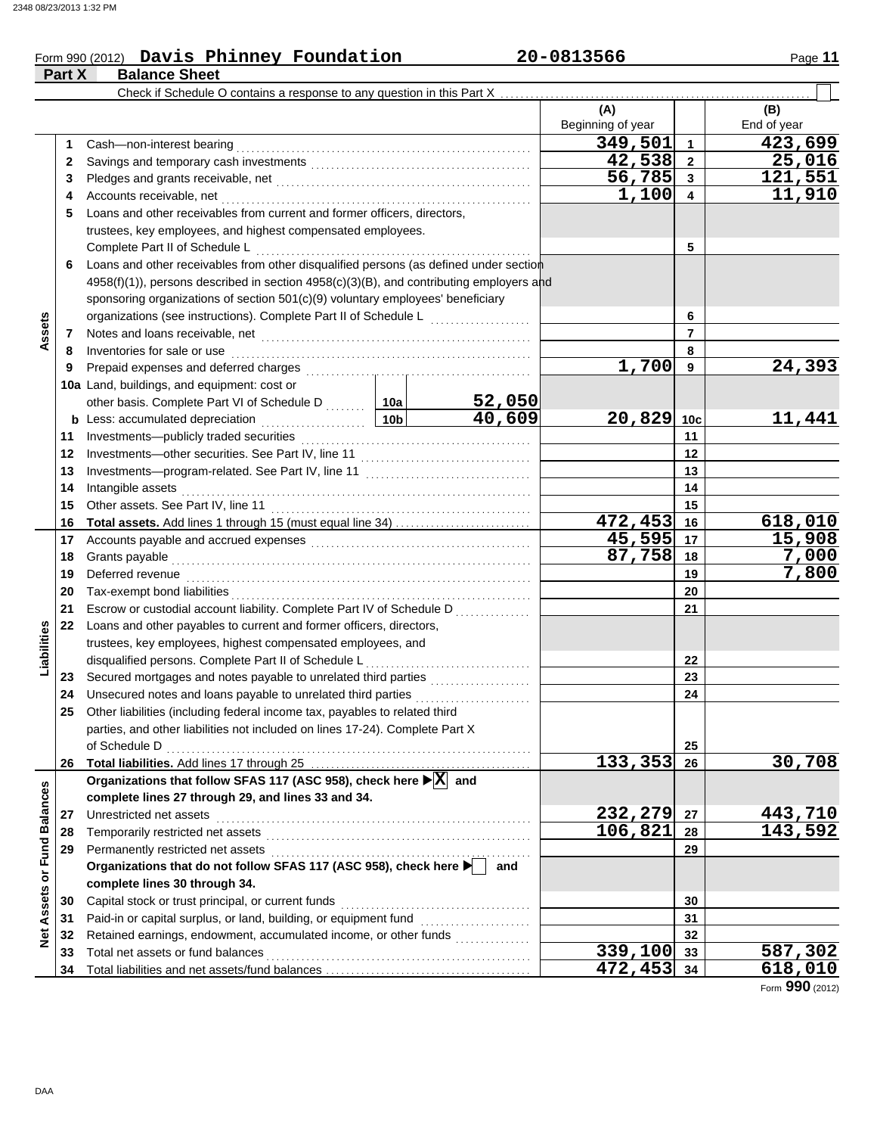### Form 990 (2012) Page **11 Davis Phinney Foundation 20-0813566**

|                                | Part X | <b>Balance Sheet</b>                                                                                                                                                                                                           |  |                       |                         |                |             |
|--------------------------------|--------|--------------------------------------------------------------------------------------------------------------------------------------------------------------------------------------------------------------------------------|--|-----------------------|-------------------------|----------------|-------------|
|                                |        |                                                                                                                                                                                                                                |  |                       |                         |                |             |
|                                |        |                                                                                                                                                                                                                                |  |                       | (A)                     |                | (B)         |
|                                |        |                                                                                                                                                                                                                                |  |                       | Beginning of year       |                | End of year |
|                                | 1      |                                                                                                                                                                                                                                |  |                       | 349,501                 | $\mathbf{1}$   | 423,699     |
|                                | 2      |                                                                                                                                                                                                                                |  | 42,538                | $\overline{\mathbf{2}}$ | 25,016         |             |
|                                | 3      |                                                                                                                                                                                                                                |  | $\overline{56}$ , 785 | $\overline{3}$          | 121,551        |             |
|                                | 4      |                                                                                                                                                                                                                                |  |                       | 1,100                   | 4              | 11,910      |
|                                | 5      | Loans and other receivables from current and former officers, directors,                                                                                                                                                       |  |                       |                         |                |             |
|                                |        | trustees, key employees, and highest compensated employees.                                                                                                                                                                    |  |                       |                         |                |             |
|                                |        | Complete Part II of Schedule L                                                                                                                                                                                                 |  |                       |                         | 5              |             |
|                                | 6      | Loans and other receivables from other disqualified persons (as defined under section                                                                                                                                          |  |                       |                         |                |             |
|                                |        | 4958(f)(1)), persons described in section 4958(c)(3)(B), and contributing employers and                                                                                                                                        |  |                       |                         |                |             |
|                                |        | sponsoring organizations of section 501(c)(9) voluntary employees' beneficiary                                                                                                                                                 |  |                       |                         |                |             |
|                                |        |                                                                                                                                                                                                                                |  |                       |                         | 6              |             |
| Assets                         | 7      |                                                                                                                                                                                                                                |  |                       |                         | $\overline{7}$ |             |
|                                | 8      | Inventories for sale or use contained and a series of the state of the state of the state of the state of the                                                                                                                  |  |                       |                         | 8              |             |
|                                | 9      |                                                                                                                                                                                                                                |  |                       | 1,700                   | 9              | 24,393      |
|                                |        | 10a Land, buildings, and equipment: cost or                                                                                                                                                                                    |  |                       |                         |                |             |
|                                |        | other basis. Complete Part VI of Schedule D  10a   52,050                                                                                                                                                                      |  |                       |                         |                |             |
|                                |        | b Less: accumulated depreciation<br>10b                                                                                                                                                                                        |  | 40,609                | 20,829                  | 10c            | 11,441      |
|                                | 11     |                                                                                                                                                                                                                                |  |                       |                         | 11             |             |
|                                | 12     |                                                                                                                                                                                                                                |  |                       |                         | 12             |             |
|                                | 13     |                                                                                                                                                                                                                                |  |                       |                         | 13             |             |
|                                | 14     | Intangible assets                                                                                                                                                                                                              |  |                       | 14                      |                |             |
|                                | 15     |                                                                                                                                                                                                                                |  |                       |                         | 15             |             |
|                                | 16     |                                                                                                                                                                                                                                |  |                       | 472,453                 | 16             | 618,010     |
|                                | 17     |                                                                                                                                                                                                                                |  |                       | 45,595 17               |                | 15,908      |
|                                | 18     |                                                                                                                                                                                                                                |  |                       | 87,758                  | 18             | 7,000       |
|                                | 19     | Deferred revenue information and contact the contract of the contract of the contract of the contract of the contract of the contract of the contract of the contract of the contract of the contract of the contract of the c |  |                       |                         | 19             | 7,800       |
|                                | 20     |                                                                                                                                                                                                                                |  |                       |                         | 20             |             |
|                                | 21     | Escrow or custodial account liability. Complete Part IV of Schedule D                                                                                                                                                          |  |                       |                         | 21             |             |
| Liabilities                    | 22     | Loans and other payables to current and former officers, directors,<br>trustees, key employees, highest compensated employees, and                                                                                             |  |                       |                         |                |             |
|                                |        | disqualified persons. Complete Part II of Schedule L                                                                                                                                                                           |  |                       |                         | 22             |             |
|                                | 23     | Secured mortgages and notes payable to unrelated third parties [[11, 11, 11, 11, 11, 11, 11, 11]                                                                                                                               |  |                       |                         | 23             |             |
|                                | 24     | Unsecured notes and loans payable to unrelated third parties                                                                                                                                                                   |  |                       |                         | 24             |             |
|                                | 25     | Other liabilities (including federal income tax, payables to related third                                                                                                                                                     |  |                       |                         |                |             |
|                                |        | parties, and other liabilities not included on lines 17-24). Complete Part X                                                                                                                                                   |  |                       |                         |                |             |
|                                |        |                                                                                                                                                                                                                                |  |                       |                         | 25             |             |
|                                | 26     |                                                                                                                                                                                                                                |  |                       | 133,353                 | 26             | 30,708      |
|                                |        | Organizations that follow SFAS 117 (ASC 958), check here ▶ X and                                                                                                                                                               |  |                       |                         |                |             |
|                                |        | complete lines 27 through 29, and lines 33 and 34.                                                                                                                                                                             |  |                       |                         |                |             |
|                                | 27     | Unrestricted net assets                                                                                                                                                                                                        |  |                       | 232,279                 | 27             | 443,710     |
|                                | 28     |                                                                                                                                                                                                                                |  |                       | 106,821                 | 28             | 143,592     |
|                                | 29     |                                                                                                                                                                                                                                |  |                       |                         | 29             |             |
|                                |        | Organizations that do not follow SFAS 117 (ASC 958), check here                                                                                                                                                                |  | and                   |                         |                |             |
| <b>Assets or Fund Balances</b> |        | complete lines 30 through 34.                                                                                                                                                                                                  |  |                       |                         |                |             |
|                                | 30     | Capital stock or trust principal, or current funds                                                                                                                                                                             |  |                       |                         | 30             |             |
|                                | 31     |                                                                                                                                                                                                                                |  |                       |                         | 31             |             |
| <b>Net</b>                     | 32     | Retained earnings, endowment, accumulated income, or other funds                                                                                                                                                               |  |                       |                         | 32             |             |
|                                | 33     | Total net assets or fund balances                                                                                                                                                                                              |  |                       | 339,100                 | 33             | 587,302     |
|                                | 34     |                                                                                                                                                                                                                                |  |                       | 472,453                 | 34             | 618,010     |

Form **990** (2012)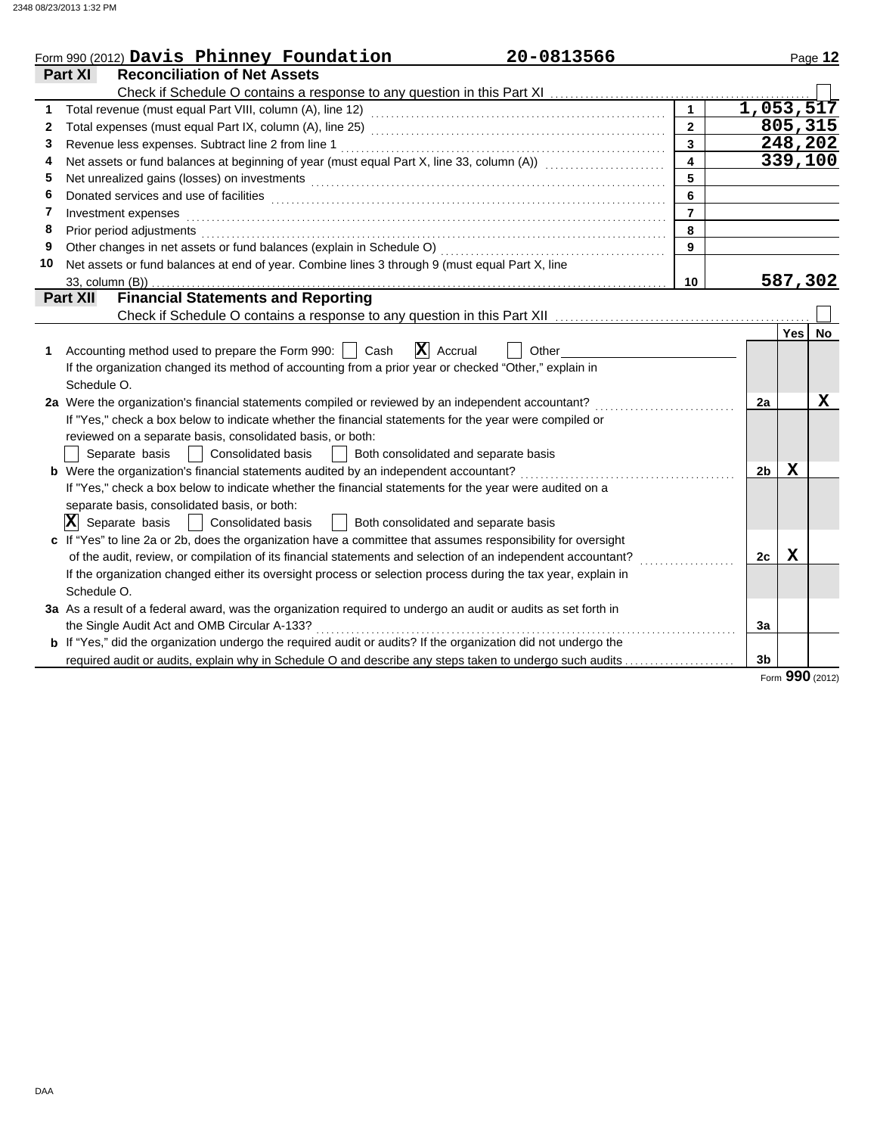|    | 20-0813566<br>Form 990 (2012) Davis Phinney Foundation                                                                |                         |                |                  | Page 12 |
|----|-----------------------------------------------------------------------------------------------------------------------|-------------------------|----------------|------------------|---------|
|    | <b>Reconciliation of Net Assets</b><br>Part XI                                                                        |                         |                |                  |         |
|    |                                                                                                                       |                         |                |                  |         |
|    |                                                                                                                       |                         | 1,053,517      |                  |         |
| 2  |                                                                                                                       | $\mathbf{2}$            |                |                  | 805,315 |
| 3  |                                                                                                                       |                         |                |                  | 248,202 |
| 4  | Net assets or fund balances at beginning of year (must equal Part X, line 33, column (A))                             | $\overline{\mathbf{4}}$ |                |                  | 339,100 |
| 5  |                                                                                                                       |                         |                |                  |         |
| 6  |                                                                                                                       | 6                       |                |                  |         |
| 7  | Investment expenses                                                                                                   | $\overline{7}$          |                |                  |         |
| 8  | Prior period adjustments                                                                                              | 8                       |                |                  |         |
| 9  | Other changes in net assets or fund balances (explain in Schedule O)                                                  | 9                       |                |                  |         |
| 10 | Net assets or fund balances at end of year. Combine lines 3 through 9 (must equal Part X, line                        |                         |                |                  |         |
|    | 33, column (B))                                                                                                       | 10                      |                |                  | 587,302 |
|    | <b>Financial Statements and Reporting</b><br><b>Part XII</b>                                                          |                         |                |                  |         |
|    |                                                                                                                       |                         |                |                  |         |
|    |                                                                                                                       |                         |                | Yes <sup>1</sup> | No.     |
| 1  | $ \mathbf{X} $ Accrual<br>Accounting method used to prepare the Form 990:     Cash<br>Other                           |                         |                |                  |         |
|    | If the organization changed its method of accounting from a prior year or checked "Other," explain in                 |                         |                |                  |         |
|    | Schedule O.                                                                                                           |                         |                |                  |         |
|    | 2a Were the organization's financial statements compiled or reviewed by an independent accountant?                    |                         | 2a             |                  | х       |
|    | If "Yes," check a box below to indicate whether the financial statements for the year were compiled or                |                         |                |                  |         |
|    | reviewed on a separate basis, consolidated basis, or both:                                                            |                         |                |                  |         |
|    | <b>Consolidated basis</b><br>  Both consolidated and separate basis<br>Separate basis                                 |                         |                |                  |         |
|    | <b>b</b> Were the organization's financial statements audited by an independent accountant?                           |                         | 2 <sub>b</sub> | х                |         |
|    | If "Yes," check a box below to indicate whether the financial statements for the year were audited on a               |                         |                |                  |         |
|    | separate basis, consolidated basis, or both:                                                                          |                         |                |                  |         |
|    | $ \mathbf{X} $ Separate basis<br>Consolidated basis<br>Both consolidated and separate basis                           |                         |                |                  |         |
|    | c If "Yes" to line 2a or 2b, does the organization have a committee that assumes responsibility for oversight         |                         |                |                  |         |
|    | of the audit, review, or compilation of its financial statements and selection of an independent accountant?          |                         | 2c             | $\mathbf X$      |         |
|    | If the organization changed either its oversight process or selection process during the tax year, explain in         |                         |                |                  |         |
|    | Schedule O.                                                                                                           |                         |                |                  |         |
|    | 3a As a result of a federal award, was the organization required to undergo an audit or audits as set forth in        |                         |                |                  |         |
|    | the Single Audit Act and OMB Circular A-133?                                                                          |                         | Зa             |                  |         |
|    | <b>b</b> If "Yes," did the organization undergo the required audit or audits? If the organization did not undergo the |                         |                |                  |         |
|    | required audit or audits, explain why in Schedule O and describe any steps taken to undergo such audits               |                         | 3b             |                  |         |

Form **990** (2012)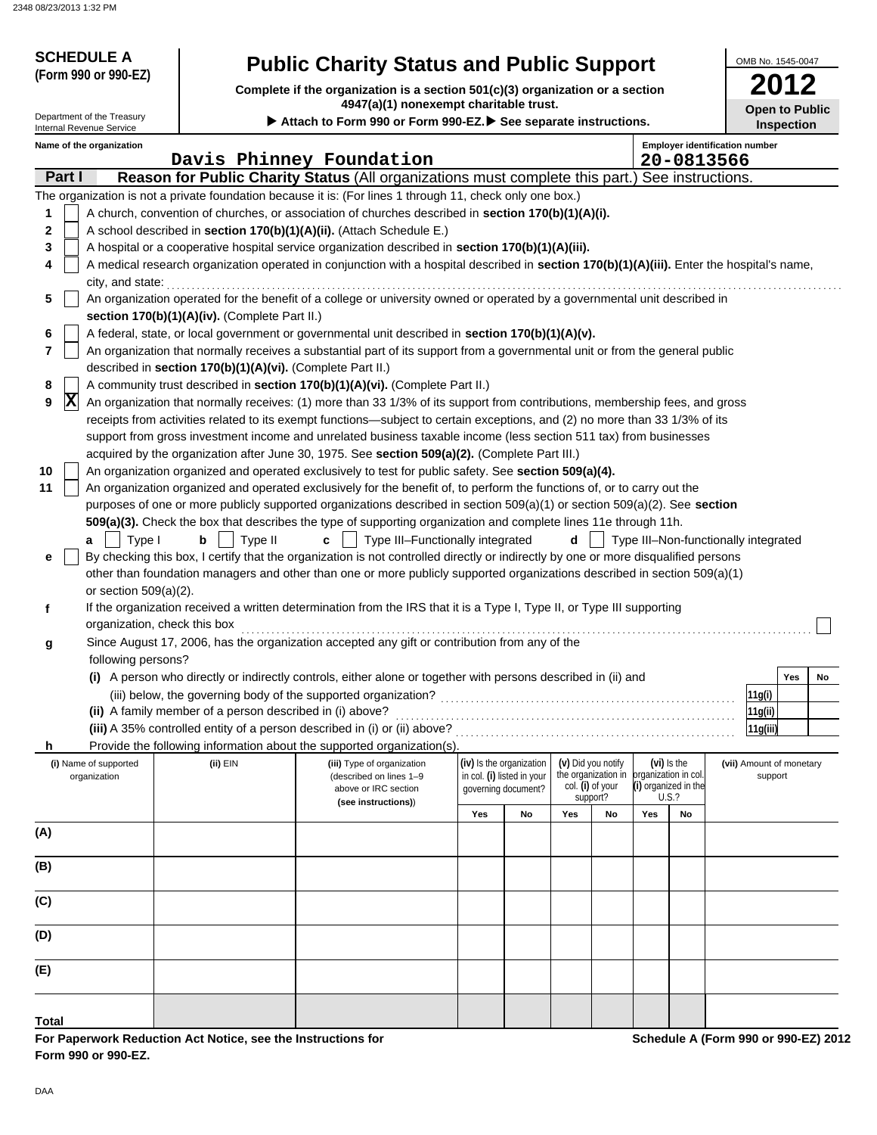| <b>SCHEDULE A</b><br><b>Public Charity Status and Public Support</b><br>(Form 990 or 990-EZ)<br>Complete if the organization is a section 501(c)(3) organization or a section |                                                                                                         |                                                                                                                                                                                                                                                           |     |                                                                               |                  |                                                                | OMB No. 1545-0047 |                                       |                                     |                                      |    |
|-------------------------------------------------------------------------------------------------------------------------------------------------------------------------------|---------------------------------------------------------------------------------------------------------|-----------------------------------------------------------------------------------------------------------------------------------------------------------------------------------------------------------------------------------------------------------|-----|-------------------------------------------------------------------------------|------------------|----------------------------------------------------------------|-------------------|---------------------------------------|-------------------------------------|--------------------------------------|----|
| Department of the Treasury                                                                                                                                                    | 4947(a)(1) nonexempt charitable trust.<br>Attach to Form 990 or Form 990-EZ. See separate instructions. |                                                                                                                                                                                                                                                           |     |                                                                               |                  |                                                                |                   |                                       | <b>Open to Public</b><br>Inspection |                                      |    |
| <b>Internal Revenue Service</b><br>Name of the organization                                                                                                                   |                                                                                                         |                                                                                                                                                                                                                                                           |     |                                                                               |                  |                                                                |                   | <b>Employer identification number</b> |                                     |                                      |    |
|                                                                                                                                                                               |                                                                                                         | Davis Phinney Foundation                                                                                                                                                                                                                                  |     |                                                                               |                  |                                                                |                   | 20-0813566                            |                                     |                                      |    |
| Part I                                                                                                                                                                        |                                                                                                         | Reason for Public Charity Status (All organizations must complete this part.) See instructions.                                                                                                                                                           |     |                                                                               |                  |                                                                |                   |                                       |                                     |                                      |    |
|                                                                                                                                                                               |                                                                                                         | The organization is not a private foundation because it is: (For lines 1 through 11, check only one box.)                                                                                                                                                 |     |                                                                               |                  |                                                                |                   |                                       |                                     |                                      |    |
| 1<br>2                                                                                                                                                                        |                                                                                                         | A church, convention of churches, or association of churches described in section 170(b)(1)(A)(i).<br>A school described in section 170(b)(1)(A)(ii). (Attach Schedule E.)                                                                                |     |                                                                               |                  |                                                                |                   |                                       |                                     |                                      |    |
| 3                                                                                                                                                                             |                                                                                                         | A hospital or a cooperative hospital service organization described in section 170(b)(1)(A)(iii).                                                                                                                                                         |     |                                                                               |                  |                                                                |                   |                                       |                                     |                                      |    |
| 4<br>city, and state:                                                                                                                                                         |                                                                                                         | A medical research organization operated in conjunction with a hospital described in section 170(b)(1)(A)(iii). Enter the hospital's name,                                                                                                                |     |                                                                               |                  |                                                                |                   |                                       |                                     |                                      |    |
| 5                                                                                                                                                                             |                                                                                                         | An organization operated for the benefit of a college or university owned or operated by a governmental unit described in                                                                                                                                 |     |                                                                               |                  |                                                                |                   |                                       |                                     |                                      |    |
|                                                                                                                                                                               | section 170(b)(1)(A)(iv). (Complete Part II.)                                                           |                                                                                                                                                                                                                                                           |     |                                                                               |                  |                                                                |                   |                                       |                                     |                                      |    |
| 6<br>$\overline{7}$                                                                                                                                                           | described in section 170(b)(1)(A)(vi). (Complete Part II.)                                              | A federal, state, or local government or governmental unit described in section 170(b)(1)(A)(v).<br>An organization that normally receives a substantial part of its support from a governmental unit or from the general public                          |     |                                                                               |                  |                                                                |                   |                                       |                                     |                                      |    |
| 8                                                                                                                                                                             |                                                                                                         | A community trust described in section 170(b)(1)(A)(vi). (Complete Part II.)                                                                                                                                                                              |     |                                                                               |                  |                                                                |                   |                                       |                                     |                                      |    |
| $ \mathbf{X} $<br>9                                                                                                                                                           |                                                                                                         | An organization that normally receives: (1) more than 33 1/3% of its support from contributions, membership fees, and gross                                                                                                                               |     |                                                                               |                  |                                                                |                   |                                       |                                     |                                      |    |
|                                                                                                                                                                               |                                                                                                         | receipts from activities related to its exempt functions—subject to certain exceptions, and (2) no more than 33 1/3% of its                                                                                                                               |     |                                                                               |                  |                                                                |                   |                                       |                                     |                                      |    |
|                                                                                                                                                                               |                                                                                                         | support from gross investment income and unrelated business taxable income (less section 511 tax) from businesses                                                                                                                                         |     |                                                                               |                  |                                                                |                   |                                       |                                     |                                      |    |
|                                                                                                                                                                               |                                                                                                         | acquired by the organization after June 30, 1975. See section 509(a)(2). (Complete Part III.)                                                                                                                                                             |     |                                                                               |                  |                                                                |                   |                                       |                                     |                                      |    |
| 10                                                                                                                                                                            |                                                                                                         | An organization organized and operated exclusively to test for public safety. See section 509(a)(4).                                                                                                                                                      |     |                                                                               |                  |                                                                |                   |                                       |                                     |                                      |    |
| 11                                                                                                                                                                            |                                                                                                         | An organization organized and operated exclusively for the benefit of, to perform the functions of, or to carry out the<br>purposes of one or more publicly supported organizations described in section $509(a)(1)$ or section $509(a)(2)$ . See section |     |                                                                               |                  |                                                                |                   |                                       |                                     |                                      |    |
|                                                                                                                                                                               |                                                                                                         | 509(a)(3). Check the box that describes the type of supporting organization and complete lines 11e through 11h.                                                                                                                                           |     |                                                                               |                  |                                                                |                   |                                       |                                     |                                      |    |
| Type I<br>a                                                                                                                                                                   | Type II<br>b                                                                                            | Type III-Functionally integrated<br>c                                                                                                                                                                                                                     |     |                                                                               | d                |                                                                |                   |                                       |                                     | Type III-Non-functionally integrated |    |
| е                                                                                                                                                                             |                                                                                                         | By checking this box, I certify that the organization is not controlled directly or indirectly by one or more disqualified persons                                                                                                                        |     |                                                                               |                  |                                                                |                   |                                       |                                     |                                      |    |
|                                                                                                                                                                               |                                                                                                         | other than foundation managers and other than one or more publicly supported organizations described in section 509(a)(1)                                                                                                                                 |     |                                                                               |                  |                                                                |                   |                                       |                                     |                                      |    |
| or section $509(a)(2)$ .                                                                                                                                                      |                                                                                                         |                                                                                                                                                                                                                                                           |     |                                                                               |                  |                                                                |                   |                                       |                                     |                                      |    |
| f                                                                                                                                                                             |                                                                                                         | If the organization received a written determination from the IRS that it is a Type I, Type II, or Type III supporting                                                                                                                                    |     |                                                                               |                  |                                                                |                   |                                       |                                     |                                      |    |
|                                                                                                                                                                               | organization, check this box                                                                            | Since August 17, 2006, has the organization accepted any gift or contribution from any of the                                                                                                                                                             |     |                                                                               |                  |                                                                |                   |                                       |                                     |                                      |    |
| g<br>following persons?                                                                                                                                                       |                                                                                                         |                                                                                                                                                                                                                                                           |     |                                                                               |                  |                                                                |                   |                                       |                                     |                                      |    |
|                                                                                                                                                                               |                                                                                                         | (i) A person who directly or indirectly controls, either alone or together with persons described in (ii) and                                                                                                                                             |     |                                                                               |                  |                                                                |                   |                                       |                                     | Yes                                  | No |
|                                                                                                                                                                               |                                                                                                         |                                                                                                                                                                                                                                                           |     |                                                                               |                  |                                                                |                   |                                       |                                     | 11g(i)                               |    |
|                                                                                                                                                                               | (ii) A family member of a person described in (i) above?                                                |                                                                                                                                                                                                                                                           |     |                                                                               |                  |                                                                |                   |                                       |                                     | 11g(ii)                              |    |
|                                                                                                                                                                               |                                                                                                         | (iii) A 35% controlled entity of a person described in (i) or (ii) above?                                                                                                                                                                                 |     |                                                                               |                  |                                                                |                   |                                       |                                     | 11g(iii)                             |    |
| h                                                                                                                                                                             |                                                                                                         | Provide the following information about the supported organization(s).                                                                                                                                                                                    |     |                                                                               |                  |                                                                |                   |                                       |                                     |                                      |    |
| (i) Name of supported<br>organization                                                                                                                                         | (ii) EIN                                                                                                | (iii) Type of organization<br>(described on lines 1-9<br>above or IRC section                                                                                                                                                                             |     | (iv) Is the organization<br>in col. (i) listed in your<br>governing document? | col. (i) of your | (v) Did you notify<br>the organization in organization in col. |                   | (vi) Is the<br>(i) organized in the   |                                     | (vii) Amount of monetary<br>support  |    |
|                                                                                                                                                                               |                                                                                                         | (see instructions))                                                                                                                                                                                                                                       | Yes | No                                                                            | Yes              | support?<br>No                                                 | Yes               | U.S.?<br>No                           |                                     |                                      |    |
| (A)                                                                                                                                                                           |                                                                                                         |                                                                                                                                                                                                                                                           |     |                                                                               |                  |                                                                |                   |                                       |                                     |                                      |    |
|                                                                                                                                                                               |                                                                                                         |                                                                                                                                                                                                                                                           |     |                                                                               |                  |                                                                |                   |                                       |                                     |                                      |    |
| (B)                                                                                                                                                                           |                                                                                                         |                                                                                                                                                                                                                                                           |     |                                                                               |                  |                                                                |                   |                                       |                                     |                                      |    |
| (C)                                                                                                                                                                           |                                                                                                         |                                                                                                                                                                                                                                                           |     |                                                                               |                  |                                                                |                   |                                       |                                     |                                      |    |
| (D)                                                                                                                                                                           |                                                                                                         |                                                                                                                                                                                                                                                           |     |                                                                               |                  |                                                                |                   |                                       |                                     |                                      |    |
| (E)                                                                                                                                                                           |                                                                                                         |                                                                                                                                                                                                                                                           |     |                                                                               |                  |                                                                |                   |                                       |                                     |                                      |    |
|                                                                                                                                                                               |                                                                                                         |                                                                                                                                                                                                                                                           |     |                                                                               |                  |                                                                |                   |                                       |                                     |                                      |    |
| <b>Total</b>                                                                                                                                                                  |                                                                                                         |                                                                                                                                                                                                                                                           |     |                                                                               |                  |                                                                |                   |                                       |                                     |                                      |    |

**For Paperwork Reduction Act Notice, see the Instructions for Form 990 or 990-EZ.**

**Schedule A (Form 990 or 990-EZ) 2012**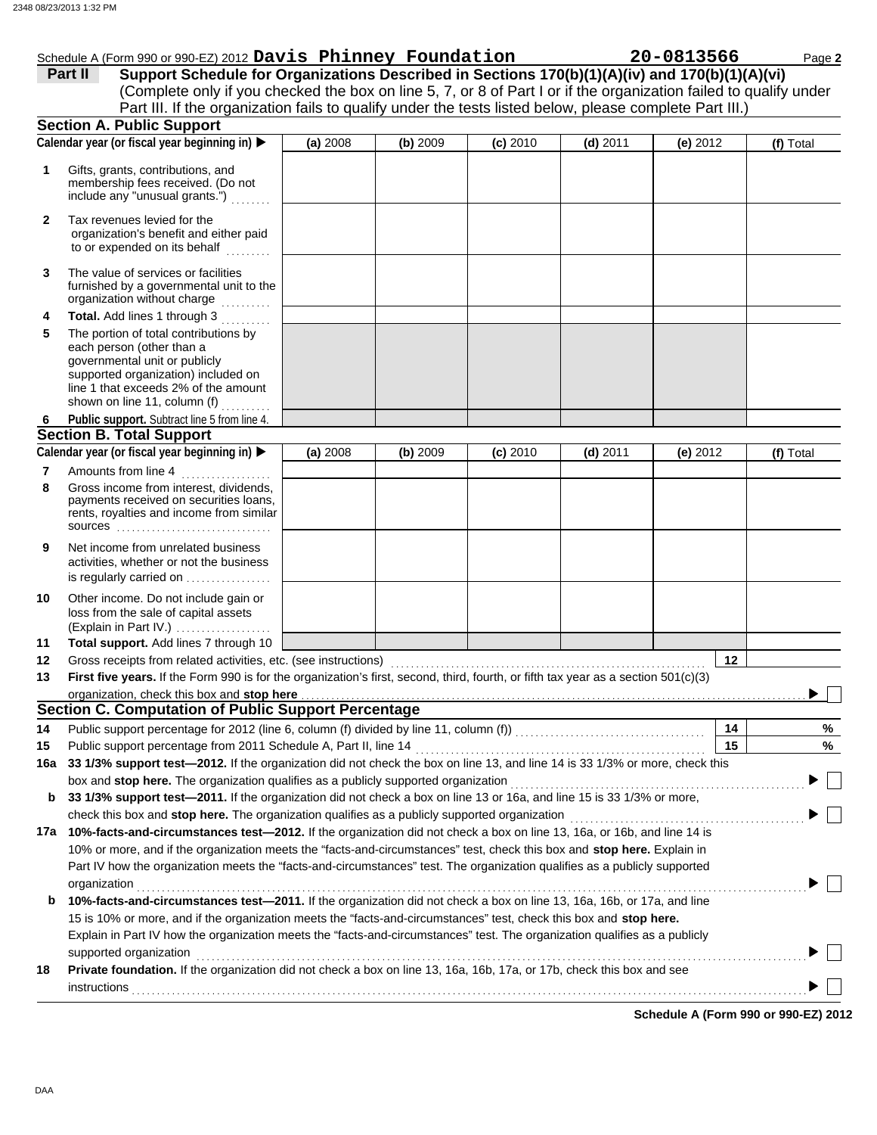# Schedule A (Form 990 or 990-EZ) 2012 **Davis Phinney Foundation 20-0813566** Page 2

|     | Part II<br>Support Schedule for Organizations Described in Sections 170(b)(1)(A)(iv) and 170(b)(1)(A)(vi)<br>(Complete only if you checked the box on line 5, 7, or 8 of Part I or if the organization failed to qualify under<br>Part III. If the organization fails to qualify under the tests listed below, please complete Part III.) |          |          |            |            |            |           |
|-----|-------------------------------------------------------------------------------------------------------------------------------------------------------------------------------------------------------------------------------------------------------------------------------------------------------------------------------------------|----------|----------|------------|------------|------------|-----------|
|     | <b>Section A. Public Support</b>                                                                                                                                                                                                                                                                                                          |          |          |            |            |            |           |
|     | Calendar year (or fiscal year beginning in)                                                                                                                                                                                                                                                                                               | (a) 2008 | (b) 2009 | $(c)$ 2010 | $(d)$ 2011 | $(e)$ 2012 | (f) Total |
| 1   | Gifts, grants, contributions, and<br>membership fees received. (Do not<br>include any "unusual grants.")                                                                                                                                                                                                                                  |          |          |            |            |            |           |
| 2   | Tax revenues levied for the<br>organization's benefit and either paid<br>to or expended on its behalf                                                                                                                                                                                                                                     |          |          |            |            |            |           |
| 3   | The value of services or facilities<br>furnished by a governmental unit to the<br>organization without charge                                                                                                                                                                                                                             |          |          |            |            |            |           |
| 4   | Total. Add lines 1 through 3                                                                                                                                                                                                                                                                                                              |          |          |            |            |            |           |
| 5   | The portion of total contributions by<br>each person (other than a<br>governmental unit or publicly<br>supported organization) included on<br>line 1 that exceeds 2% of the amount<br>shown on line 11, column (f)                                                                                                                        |          |          |            |            |            |           |
| 6   | Public support. Subtract line 5 from line 4.                                                                                                                                                                                                                                                                                              |          |          |            |            |            |           |
|     | <b>Section B. Total Support</b>                                                                                                                                                                                                                                                                                                           |          |          |            |            |            |           |
|     | Calendar year (or fiscal year beginning in)                                                                                                                                                                                                                                                                                               | (a) 2008 | (b) 2009 | (c) 2010   | $(d)$ 2011 | $(e)$ 2012 | (f) Total |
| 7   | Amounts from line 4                                                                                                                                                                                                                                                                                                                       |          |          |            |            |            |           |
| 8   | Gross income from interest, dividends,<br>payments received on securities loans,<br>rents, royalties and income from similar<br><b>SOUICES</b>                                                                                                                                                                                            |          |          |            |            |            |           |
| 9   | Net income from unrelated business<br>activities, whether or not the business<br>is regularly carried on                                                                                                                                                                                                                                  |          |          |            |            |            |           |
| 10  | Other income. Do not include gain or<br>loss from the sale of capital assets<br>(Explain in Part IV.) $\ldots$                                                                                                                                                                                                                            |          |          |            |            |            |           |
| 11  | Total support. Add lines 7 through 10                                                                                                                                                                                                                                                                                                     |          |          |            |            |            |           |
| 12  | Gross receipts from related activities, etc. (see instructions)                                                                                                                                                                                                                                                                           |          |          |            |            | 12         |           |
| 13  | First five years. If the Form 990 is for the organization's first, second, third, fourth, or fifth tax year as a section 501(c)(3)                                                                                                                                                                                                        |          |          |            |            |            |           |
|     | organization, check this box and stop here entity and substitution of the state of the state of the state of the state of the state of the state of the state of the state of the state of the state of the state of the state                                                                                                            |          |          |            |            |            |           |
|     | Section C. Computation of Public Support Percentage                                                                                                                                                                                                                                                                                       |          |          |            |            |            |           |
| 14  |                                                                                                                                                                                                                                                                                                                                           |          |          |            |            | 14         | %         |
| 15  | Public support percentage from 2011 Schedule A, Part II, line 14                                                                                                                                                                                                                                                                          |          |          |            |            | 15         | %         |
| 16a | 33 1/3% support test-2012. If the organization did not check the box on line 13, and line 14 is 33 1/3% or more, check this                                                                                                                                                                                                               |          |          |            |            |            |           |
|     | box and stop here. The organization qualifies as a publicly supported organization                                                                                                                                                                                                                                                        |          |          |            |            |            |           |
| b   | 33 1/3% support test-2011. If the organization did not check a box on line 13 or 16a, and line 15 is 33 1/3% or more,                                                                                                                                                                                                                     |          |          |            |            |            |           |
|     | check this box and stop here. The organization qualifies as a publicly supported organization                                                                                                                                                                                                                                             |          |          |            |            |            |           |
|     | 17a 10%-facts-and-circumstances test-2012. If the organization did not check a box on line 13, 16a, or 16b, and line 14 is                                                                                                                                                                                                                |          |          |            |            |            |           |
|     | 10% or more, and if the organization meets the "facts-and-circumstances" test, check this box and stop here. Explain in<br>Part IV how the organization meets the "facts-and-circumstances" test. The organization qualifies as a publicly supported                                                                                      |          |          |            |            |            |           |
|     | organization                                                                                                                                                                                                                                                                                                                              |          |          |            |            |            |           |
| b   | 10%-facts-and-circumstances test-2011. If the organization did not check a box on line 13, 16a, 16b, or 17a, and line                                                                                                                                                                                                                     |          |          |            |            |            |           |
|     | 15 is 10% or more, and if the organization meets the "facts-and-circumstances" test, check this box and stop here.                                                                                                                                                                                                                        |          |          |            |            |            |           |
|     | Explain in Part IV how the organization meets the "facts-and-circumstances" test. The organization qualifies as a publicly<br>supported organization                                                                                                                                                                                      |          |          |            |            |            |           |
| 18  | Private foundation. If the organization did not check a box on line 13, 16a, 16b, 17a, or 17b, check this box and see<br>instructions                                                                                                                                                                                                     |          |          |            |            |            |           |

**Schedule A (Form 990 or 990-EZ) 2012**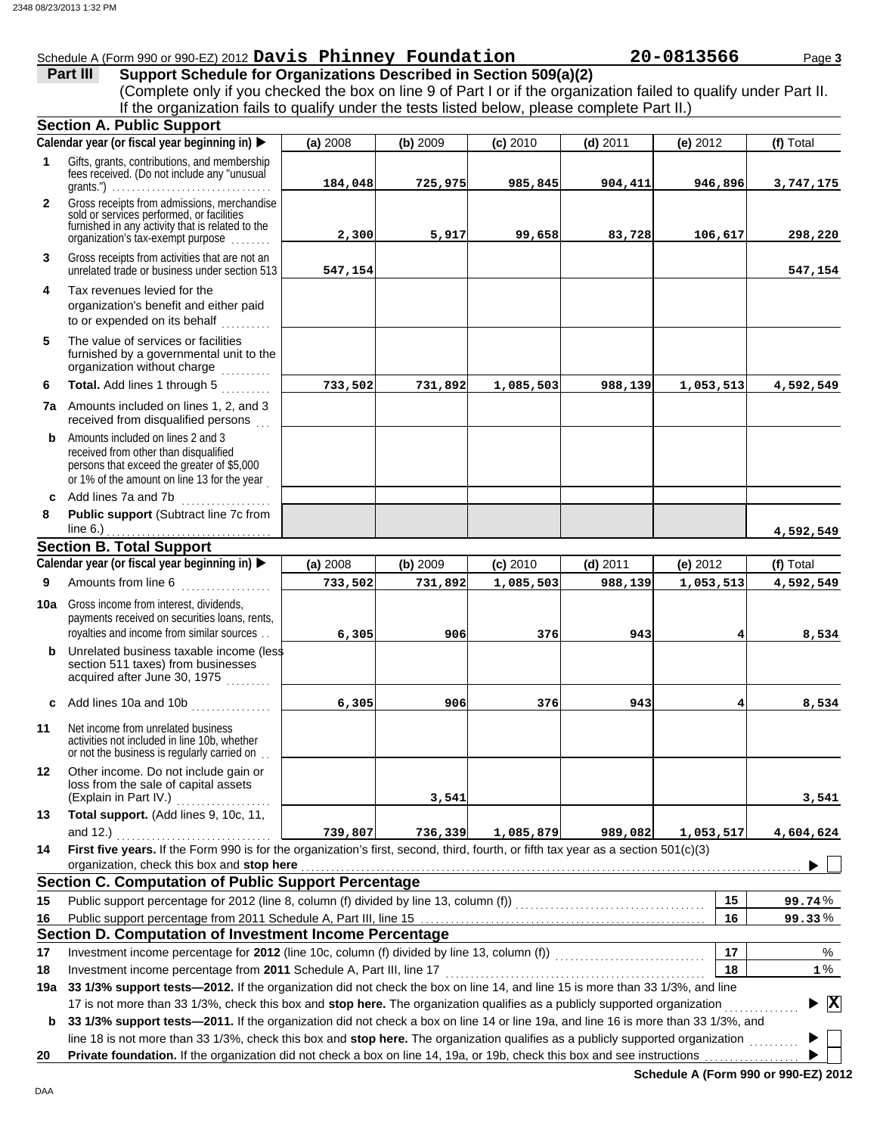## Schedule A (Form 990 or 990-EZ) 2012 **Davis Phinney Foundation 20-0813566** Page 3

**Part III** Support Schedule for Organizations Described in Section 509(a)(2) (Complete only if you checked the box on line 9 of Part I or if the organization failed to qualify under Part II. If the organization fails to qualify under the tests listed below, please complete Part II.)

|              | <b>Section A. Public Support</b>                                                                                                                                                                                                                                |          |          |            |            |            |                                 |
|--------------|-----------------------------------------------------------------------------------------------------------------------------------------------------------------------------------------------------------------------------------------------------------------|----------|----------|------------|------------|------------|---------------------------------|
|              | Calendar year (or fiscal year beginning in)                                                                                                                                                                                                                     | (a) 2008 | (b) 2009 | $(c)$ 2010 | $(d)$ 2011 | (e) 2012   | (f) Total                       |
| 1            | Gifts, grants, contributions, and membership<br>fees received. (Do not include any "unusual<br>grants.") $\ldots \ldots \ldots \ldots \ldots \ldots \ldots \ldots \ldots \ldots$                                                                                | 184,048  | 725,975  | 985,845    | 904,411    | 946,896    | 3,747,175                       |
| $\mathbf{2}$ | Gross receipts from admissions, merchandise<br>sold or services performed, or facilities<br>furnished in any activity that is related to the<br>organization's tax-exempt purpose                                                                               | 2,300    | 5,917    | 99,658     | 83,728     | 106,617    | 298,220                         |
| 3            | Gross receipts from activities that are not an<br>unrelated trade or business under section 513                                                                                                                                                                 | 547,154  |          |            |            |            | 547,154                         |
| 4            | Tax revenues levied for the<br>organization's benefit and either paid<br>to or expended on its behalf<br>dia ang pag-                                                                                                                                           |          |          |            |            |            |                                 |
| 5            | The value of services or facilities<br>furnished by a governmental unit to the<br>organization without charge<br>.                                                                                                                                              |          |          |            |            |            |                                 |
| 6            | Total. Add lines 1 through 5                                                                                                                                                                                                                                    | 733,502  | 731,892  | 1,085,503  | 988,139    | 1,053,513  | 4,592,549                       |
|              | 7a Amounts included on lines 1, 2, and 3<br>received from disqualified persons                                                                                                                                                                                  |          |          |            |            |            |                                 |
| b            | Amounts included on lines 2 and 3<br>received from other than disqualified<br>persons that exceed the greater of \$5,000<br>or 1% of the amount on line 13 for the year                                                                                         |          |          |            |            |            |                                 |
| 8            | c Add lines 7a and 7b<br>Public support (Subtract line 7c from                                                                                                                                                                                                  |          |          |            |            |            |                                 |
|              |                                                                                                                                                                                                                                                                 |          |          |            |            |            | 4,592,549                       |
|              | <b>Section B. Total Support</b>                                                                                                                                                                                                                                 |          |          |            |            |            |                                 |
|              | Calendar year (or fiscal year beginning in)                                                                                                                                                                                                                     | (a) 2008 | (b) 2009 | (c) 2010   | $(d)$ 2011 | $(e)$ 2012 | (f) Total                       |
| 9            | Amounts from line 6<br><u>a sa Barangara</u>                                                                                                                                                                                                                    | 733,502  | 731,892  | 1,085,503  | 988,139    | 1,053,513  | 4,592,549                       |
| 10a          | Gross income from interest, dividends,<br>payments received on securities loans, rents,<br>royalties and income from similar sources                                                                                                                            | 6,305    | 906      | 376        | 943        |            | 8,534                           |
|              | <b>b</b> Unrelated business taxable income (less<br>section 511 taxes) from businesses<br>acquired after June 30, 1975                                                                                                                                          |          |          |            |            |            |                                 |
| c            | Add lines 10a and 10b                                                                                                                                                                                                                                           | 6,305    | 906      | 376        | 943        |            | 8,534                           |
| 11           | Net income from unrelated business<br>activities not included in line 10b, whether<br>or not the business is regularly carried on                                                                                                                               |          |          |            |            |            |                                 |
| 12           | Other income. Do not include gain or<br>loss from the sale of capital assets<br>(Explain in Part IV.)                                                                                                                                                           |          | 3,541    |            |            |            | 3,541                           |
| 13           | Total support. (Add lines 9, 10c, 11,<br>and 12.)                                                                                                                                                                                                               | 739,807  | 736,339  | 1,085,879  | 989,082    | 1,053,517  | 4,604,624                       |
| 14           | First five years. If the Form 990 is for the organization's first, second, third, fourth, or fifth tax year as a section 501(c)(3)                                                                                                                              |          |          |            |            |            |                                 |
|              | organization, check this box and stop here                                                                                                                                                                                                                      |          |          |            |            |            |                                 |
|              | Section C. Computation of Public Support Percentage                                                                                                                                                                                                             |          |          |            |            |            |                                 |
| 15           | Public support percentage for 2012 (line 8, column (f) divided by line 13, column (f)) [[[[[[[[[[[[[[[[[[[[[[                                                                                                                                                   |          |          |            |            | 15         | 99.74%                          |
| 16           |                                                                                                                                                                                                                                                                 |          |          |            |            | 16         | 99.33%                          |
|              | Section D. Computation of Investment Income Percentage                                                                                                                                                                                                          |          |          |            |            |            |                                 |
| 17           | Investment income percentage for 2012 (line 10c, column (f) divided by line 13, column (f)) [[[[[[[[[[[[[[[[[[                                                                                                                                                  |          |          |            |            | 17         | %                               |
| 18           | Investment income percentage from 2011 Schedule A, Part III, line 17                                                                                                                                                                                            |          |          |            |            | 18         | $1\%$                           |
| 19а          | 33 1/3% support tests-2012. If the organization did not check the box on line 14, and line 15 is more than 33 1/3%, and line                                                                                                                                    |          |          |            |            |            |                                 |
|              | 17 is not more than 33 1/3%, check this box and stop here. The organization qualifies as a publicly supported organization<br>33 1/3% support tests-2011. If the organization did not check a box on line 14 or line 19a, and line 16 is more than 33 1/3%, and |          |          |            |            |            | $\blacktriangleright$ $\vert$ X |
| b            | line 18 is not more than 33 1/3%, check this box and stop here. The organization qualifies as a publicly supported organization                                                                                                                                 |          |          |            |            |            |                                 |
| 20           | Private foundation. If the organization did not check a box on line 14, 19a, or 19b, check this box and see instructions                                                                                                                                        |          |          |            |            |            |                                 |

**Schedule A (Form 990 or 990-EZ) 2012**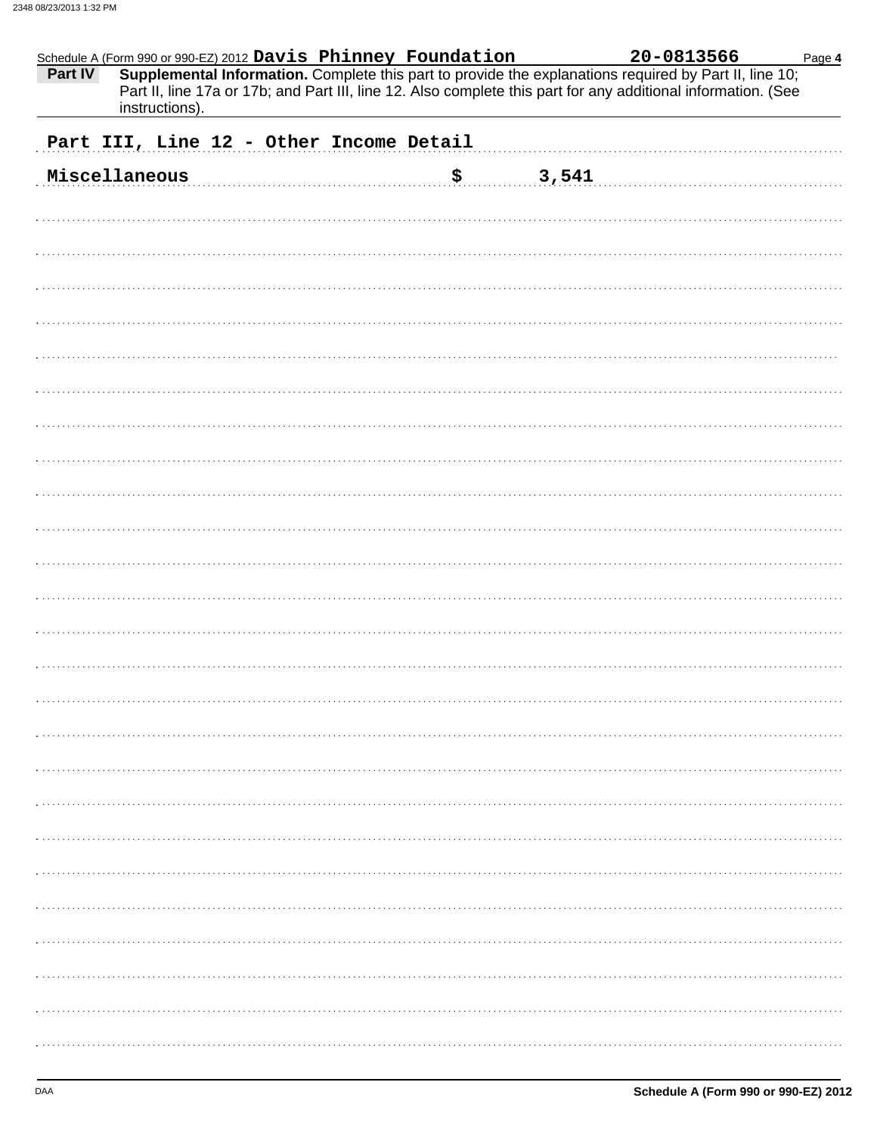| Schedule A (Form 990 or 990-EZ) 2012 Davis Phinney Foundation<br>Part IV<br>Supplemental Information. Complete this part to provide the explanations required by Part II, line 10;<br>Part II, line 17a or 17b; and Part III, line 12. Also complete this part for any additional information. (See | 20-0813566<br>Page 4 |
|-----------------------------------------------------------------------------------------------------------------------------------------------------------------------------------------------------------------------------------------------------------------------------------------------------|----------------------|
| instructions).                                                                                                                                                                                                                                                                                      |                      |
| Part III, Line 12 - Other Income Detail                                                                                                                                                                                                                                                             |                      |
| Miscellaneous<br>\$7,541                                                                                                                                                                                                                                                                            |                      |
|                                                                                                                                                                                                                                                                                                     |                      |
|                                                                                                                                                                                                                                                                                                     |                      |
|                                                                                                                                                                                                                                                                                                     |                      |
|                                                                                                                                                                                                                                                                                                     |                      |
|                                                                                                                                                                                                                                                                                                     |                      |
|                                                                                                                                                                                                                                                                                                     |                      |
|                                                                                                                                                                                                                                                                                                     |                      |
|                                                                                                                                                                                                                                                                                                     |                      |
|                                                                                                                                                                                                                                                                                                     |                      |
|                                                                                                                                                                                                                                                                                                     |                      |
|                                                                                                                                                                                                                                                                                                     |                      |
|                                                                                                                                                                                                                                                                                                     |                      |
|                                                                                                                                                                                                                                                                                                     |                      |
|                                                                                                                                                                                                                                                                                                     |                      |
|                                                                                                                                                                                                                                                                                                     |                      |
|                                                                                                                                                                                                                                                                                                     |                      |
|                                                                                                                                                                                                                                                                                                     |                      |
|                                                                                                                                                                                                                                                                                                     |                      |
|                                                                                                                                                                                                                                                                                                     |                      |
|                                                                                                                                                                                                                                                                                                     |                      |
|                                                                                                                                                                                                                                                                                                     |                      |
|                                                                                                                                                                                                                                                                                                     |                      |
|                                                                                                                                                                                                                                                                                                     |                      |
|                                                                                                                                                                                                                                                                                                     |                      |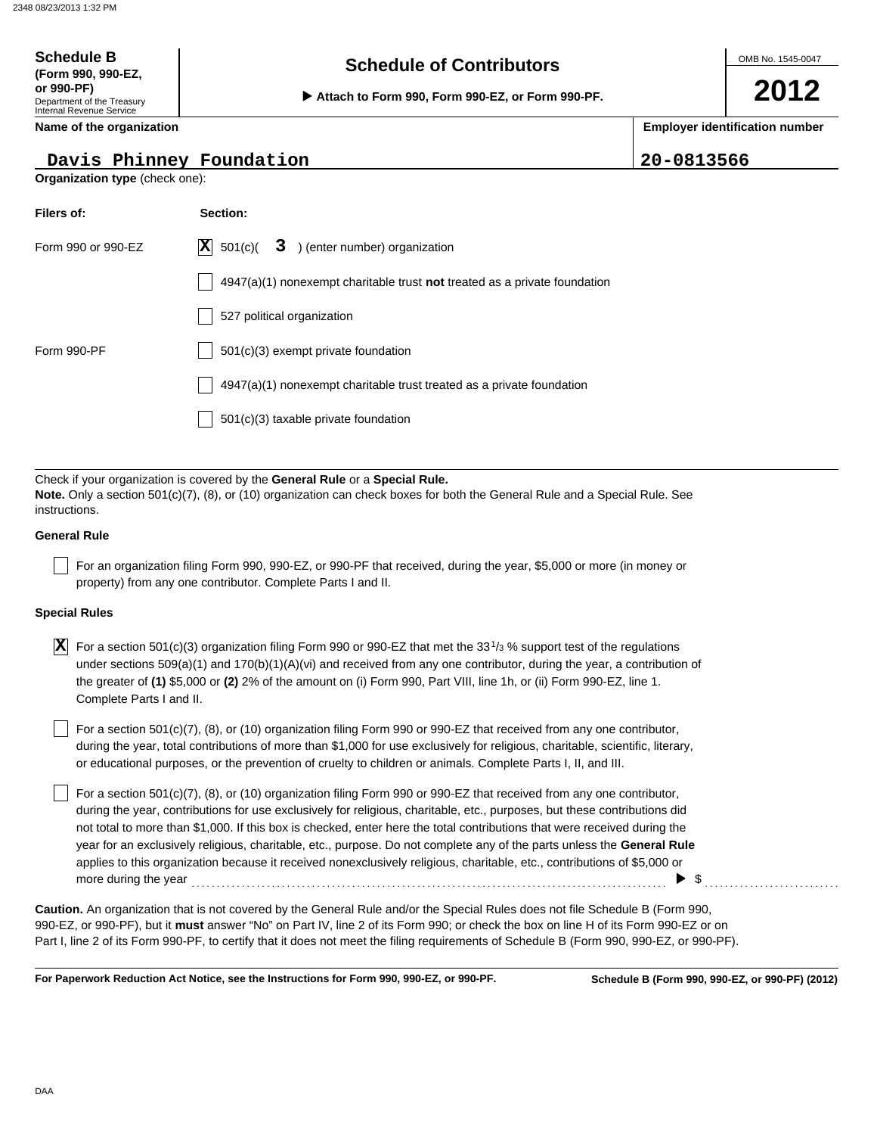Department of the Treasury Internal Revenue Service **Name of the organization**

**(Form 990, 990-EZ,**

# **Schedule of Contributors Schedule B**

**or 990-PF)**<br> **▶ Attach to Form 990, Form 990-EZ, or Form 990-PF.** 

# **2012**

**Employer identification number**

**Davis Phinney Foundation** 20-0813566

| Organization type (check one):  |                                                                                                                                                                                                                                                                                                                                                                                                 |  |  |  |  |  |
|---------------------------------|-------------------------------------------------------------------------------------------------------------------------------------------------------------------------------------------------------------------------------------------------------------------------------------------------------------------------------------------------------------------------------------------------|--|--|--|--|--|
| Filers of:                      | Section:                                                                                                                                                                                                                                                                                                                                                                                        |  |  |  |  |  |
| Form 990 or 990-EZ              | $ \mathbf{X} $ 501(c)(<br>3 ) (enter number) organization                                                                                                                                                                                                                                                                                                                                       |  |  |  |  |  |
|                                 | 4947(a)(1) nonexempt charitable trust not treated as a private foundation                                                                                                                                                                                                                                                                                                                       |  |  |  |  |  |
|                                 | 527 political organization                                                                                                                                                                                                                                                                                                                                                                      |  |  |  |  |  |
| Form 990-PF                     | $501(c)(3)$ exempt private foundation                                                                                                                                                                                                                                                                                                                                                           |  |  |  |  |  |
|                                 | 4947(a)(1) nonexempt charitable trust treated as a private foundation                                                                                                                                                                                                                                                                                                                           |  |  |  |  |  |
|                                 | 501(c)(3) taxable private foundation                                                                                                                                                                                                                                                                                                                                                            |  |  |  |  |  |
|                                 |                                                                                                                                                                                                                                                                                                                                                                                                 |  |  |  |  |  |
| instructions.                   | Check if your organization is covered by the General Rule or a Special Rule.<br>Note. Only a section 501(c)(7), (8), or (10) organization can check boxes for both the General Rule and a Special Rule. See                                                                                                                                                                                     |  |  |  |  |  |
| <b>General Rule</b>             |                                                                                                                                                                                                                                                                                                                                                                                                 |  |  |  |  |  |
|                                 | For an organization filing Form 990, 990-EZ, or 990-PF that received, during the year, \$5,000 or more (in money or<br>property) from any one contributor. Complete Parts I and II.                                                                                                                                                                                                             |  |  |  |  |  |
| <b>Special Rules</b>            |                                                                                                                                                                                                                                                                                                                                                                                                 |  |  |  |  |  |
| ΙXΙ<br>Complete Parts I and II. | For a section 501(c)(3) organization filing Form 990 or 990-EZ that met the 33 <sup>1</sup> / <sub>3</sub> % support test of the regulations<br>under sections 509(a)(1) and 170(b)(1)(A)(vi) and received from any one contributor, during the year, a contribution of<br>the greater of (1) \$5,000 or (2) 2% of the amount on (i) Form 990, Part VIII, line 1h, or (ii) Form 990-EZ, line 1. |  |  |  |  |  |
|                                 | For a section 501(c)(7), (8), or (10) organization filing Form 990 or 990-EZ that received from any one contributor,<br>during the year, total contributions of more than \$1,000 for use exclusively for religious, charitable, scientific, literary,<br>or educational purposes, or the prevention of cruelty to children or animals. Complete Parts I, II, and III.                          |  |  |  |  |  |

For a section 501(c)(7), (8), or (10) organization filing Form 990 or 990-EZ that received from any one contributor, during the year, contributions for use exclusively for religious, charitable, etc., purposes, but these contributions did not total to more than \$1,000. If this box is checked, enter here the total contributions that were received during the year for an exclusively religious, charitable, etc., purpose. Do not complete any of the parts unless the **General Rule** applies to this organization because it received nonexclusively religious, charitable, etc., contributions of \$5,000 or more during the year  $\ldots$  and  $\vdots$  are continuous contract to  $\blacksquare$ .

990-EZ, or 990-PF), but it **must** answer "No" on Part IV, line 2 of its Form 990; or check the box on line H of its Form 990-EZ or on Part I, line 2 of its Form 990-PF, to certify that it does not meet the filing requirements of Schedule B (Form 990, 990-EZ, or 990-PF). **Caution.** An organization that is not covered by the General Rule and/or the Special Rules does not file Schedule B (Form 990,

**For Paperwork Reduction Act Notice, see the Instructions for Form 990, 990-EZ, or 990-PF.**

**Schedule B (Form 990, 990-EZ, or 990-PF) (2012)**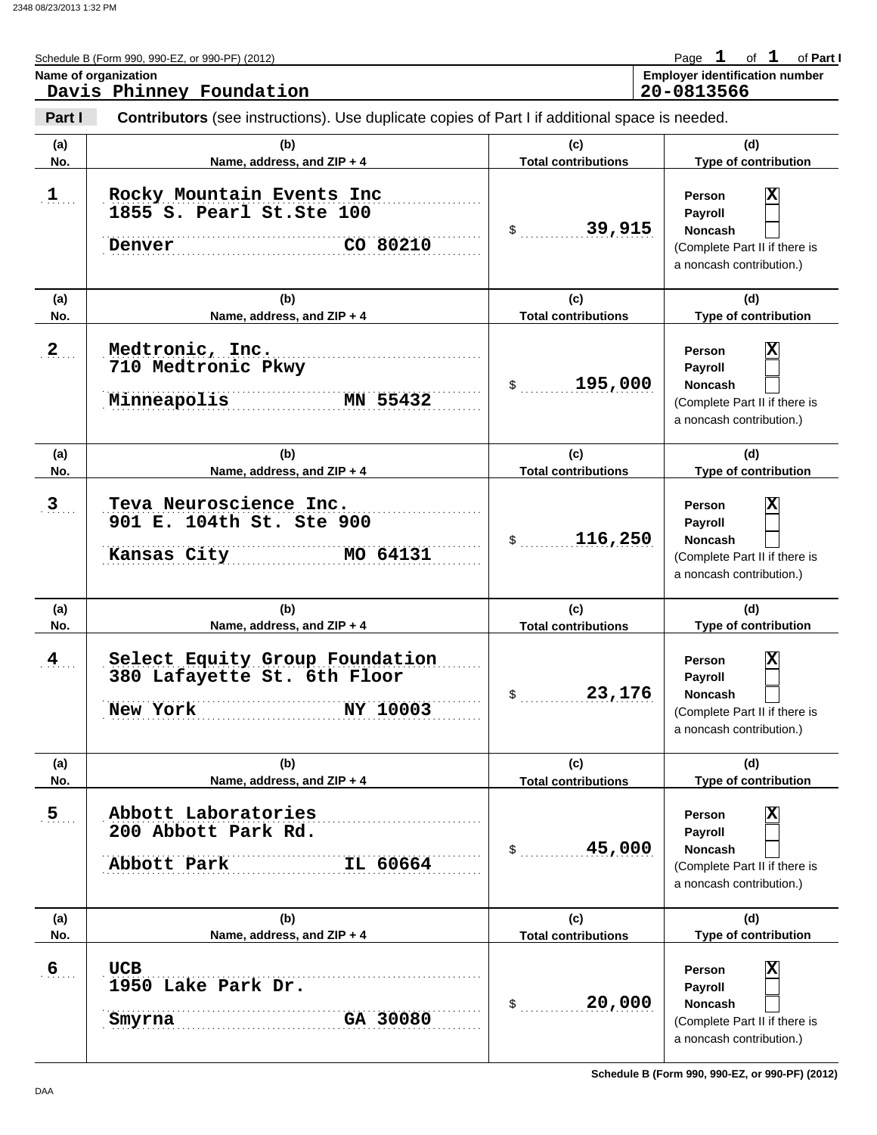|                | Schedule B (Form 990, 990-EZ, or 990-PF) (2012)                                                       |                                   | Page $1$ of $1$ of Part I                                                                                                   |
|----------------|-------------------------------------------------------------------------------------------------------|-----------------------------------|-----------------------------------------------------------------------------------------------------------------------------|
|                | Name of organization<br>Davis Phinney Foundation                                                      |                                   | <b>Employer identification number</b><br>20-0813566                                                                         |
| Part I         | <b>Contributors</b> (see instructions). Use duplicate copies of Part I if additional space is needed. |                                   |                                                                                                                             |
| (a)<br>No.     | (b)<br>Name, address, and ZIP + 4                                                                     | (c)<br><b>Total contributions</b> | (d)<br>Type of contribution                                                                                                 |
| $1$            | Rocky Mountain Events Inc<br>1855 S. Pearl St. Ste 100<br>CO 80210<br>Denver                          | 39,915<br>$\mathbb{S}$            | x<br><b>Person</b><br>Payroll<br><b>Noncash</b><br>(Complete Part II if there is<br>a noncash contribution.)                |
| (a)<br>No.     | (b)<br>Name, address, and ZIP + 4                                                                     | (c)<br><b>Total contributions</b> | (d)<br>Type of contribution                                                                                                 |
| 2 <sub>1</sub> | Medtronic, Inc.<br>710 Medtronic Pkwy<br>Minneapolis<br>MN 55432                                      | 195,000<br>\$                     | x<br><b>Person</b><br>Payroll<br><b>Noncash</b><br>(Complete Part II if there is<br>a noncash contribution.)                |
| (a)<br>No.     | (b)<br>Name, address, and ZIP + 4                                                                     | (c)<br><b>Total contributions</b> | (d)<br>Type of contribution                                                                                                 |
| $\overline{3}$ | Teva Neuroscience Inc.<br>901 E. 104th St. Ste 900<br>MO 64131<br>Kansas City                         | 116,250<br>\$                     | x<br><b>Person</b><br>Payroll<br><b>Noncash</b><br>(Complete Part II if there is<br>a noncash contribution.)                |
| (a)<br>No.     | (b)<br>Name, address, and ZIP + 4                                                                     | (c)<br><b>Total contributions</b> | (d)<br>Type of contribution                                                                                                 |
| $\frac{4}{1}$  | Select Equity Group Foundation<br>380 Lafayette St. 6th Floor<br>NY 10003<br>New York                 | 23,176<br>\$                      | $\overline{\textbf{x}}$<br>Person<br>Payroll<br><b>Noncash</b><br>(Complete Part II if there is<br>a noncash contribution.) |
| (a)<br>No.     | (b)<br>Name, address, and ZIP + 4                                                                     | (c)<br><b>Total contributions</b> | (d)<br>Type of contribution                                                                                                 |
| 5 <sub>1</sub> | Abbott Laboratories<br>200 Abbott Park Rd.<br>Abbott Park<br>IL 60664                                 | 45,000<br>\$                      | $\overline{\mathbf{x}}$<br>Person<br>Payroll<br>Noncash<br>(Complete Part II if there is<br>a noncash contribution.)        |
| (a)<br>No.     | (b)<br>Name, address, and ZIP + 4                                                                     | (c)<br><b>Total contributions</b> | (d)<br>Type of contribution                                                                                                 |
| 6              | <b>UCB</b><br>1950 Lake Park Dr.<br>GA 30080<br>Smyrna                                                | 20,000<br>\$                      | $\overline{\mathbf{x}}$<br>Person<br>Payroll<br>Noncash<br>(Complete Part II if there is<br>a noncash contribution.)        |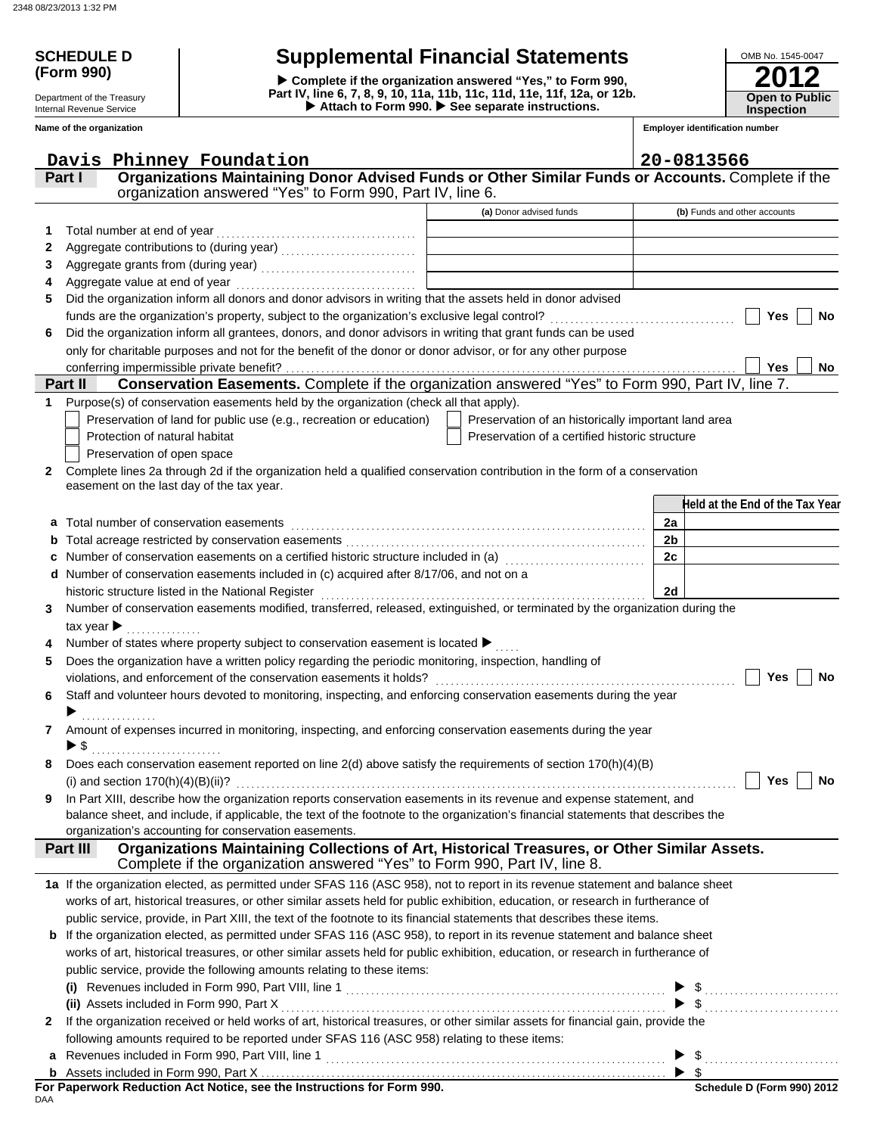**(Form 990)**

Department of the Treasury Internal Revenue Service **Name of the organization**

# **SCHEDULE D Supplemental Financial Statements**

▶ Attach to Form 990. ▶ See separate instructions. **Part IV, line 6, 7, 8, 9, 10, 11a, 11b, 11c, 11d, 11e, 11f, 12a, or 12b. Complete if the organization answered "Yes," to Form 990,**

| OMB No. 1545-0047                          |
|--------------------------------------------|
| 2012                                       |
| <b>Open to Public</b><br><b>Inspection</b> |

**Employer identification number**

|              | Davis Phinney Foundation                                                                                                                      |                                                     | 20-0813566                      |
|--------------|-----------------------------------------------------------------------------------------------------------------------------------------------|-----------------------------------------------------|---------------------------------|
|              | Organizations Maintaining Donor Advised Funds or Other Similar Funds or Accounts. Complete if the<br>Part I                                   |                                                     |                                 |
|              | organization answered "Yes" to Form 990, Part IV, line 6.                                                                                     |                                                     |                                 |
|              |                                                                                                                                               | (a) Donor advised funds                             | (b) Funds and other accounts    |
| 1.           | Total number at end of year                                                                                                                   |                                                     |                                 |
| 2            |                                                                                                                                               |                                                     |                                 |
| 3            |                                                                                                                                               |                                                     |                                 |
| 4            |                                                                                                                                               |                                                     |                                 |
| 5            | Did the organization inform all donors and donor advisors in writing that the assets held in donor advised                                    |                                                     |                                 |
|              |                                                                                                                                               |                                                     | Yes<br><b>No</b>                |
| 6            | Did the organization inform all grantees, donors, and donor advisors in writing that grant funds can be used                                  |                                                     |                                 |
|              | only for charitable purposes and not for the benefit of the donor or donor advisor, or for any other purpose                                  |                                                     |                                 |
|              | conferring impermissible private benefit?                                                                                                     |                                                     | Yes<br>No                       |
|              | Conservation Easements. Complete if the organization answered "Yes" to Form 990, Part IV, line 7.<br>Part II                                  |                                                     |                                 |
| 1            | Purpose(s) of conservation easements held by the organization (check all that apply).                                                         |                                                     |                                 |
|              | Preservation of land for public use (e.g., recreation or education)                                                                           | Preservation of an historically important land area |                                 |
|              | Protection of natural habitat                                                                                                                 | Preservation of a certified historic structure      |                                 |
|              | Preservation of open space                                                                                                                    |                                                     |                                 |
| $\mathbf{2}$ | Complete lines 2a through 2d if the organization held a qualified conservation contribution in the form of a conservation                     |                                                     |                                 |
|              | easement on the last day of the tax year.                                                                                                     |                                                     |                                 |
|              |                                                                                                                                               |                                                     | Held at the End of the Tax Year |
|              | a Total number of conservation easements                                                                                                      |                                                     | 2a                              |
|              |                                                                                                                                               |                                                     | 2 <sub>b</sub>                  |
|              | Number of conservation easements on a certified historic structure included in (a) [11] Number of conservation                                |                                                     | 2c                              |
|              | Number of conservation easements included in (c) acquired after 8/17/06, and not on a                                                         |                                                     |                                 |
|              |                                                                                                                                               |                                                     | 2d                              |
| 3            | Number of conservation easements modified, transferred, released, extinguished, or terminated by the organization during the                  |                                                     |                                 |
|              | tax year $\blacktriangleright$                                                                                                                |                                                     |                                 |
|              | Number of states where property subject to conservation easement is located $\blacktriangleright$                                             |                                                     |                                 |
| 5            | Does the organization have a written policy regarding the periodic monitoring, inspection, handling of                                        |                                                     |                                 |
|              |                                                                                                                                               |                                                     | Yes<br>No                       |
| 6            | Staff and volunteer hours devoted to monitoring, inspecting, and enforcing conservation easements during the year                             |                                                     |                                 |
|              | .                                                                                                                                             |                                                     |                                 |
| 7            | Amount of expenses incurred in monitoring, inspecting, and enforcing conservation easements during the year                                   |                                                     |                                 |
|              | ▶ \$                                                                                                                                          |                                                     |                                 |
|              | Does each conservation easement reported on line 2(d) above satisfy the requirements of section 170(h)(4)(B)                                  |                                                     |                                 |
|              |                                                                                                                                               |                                                     | Yes<br>No                       |
| 9            | In Part XIII, describe how the organization reports conservation easements in its revenue and expense statement, and                          |                                                     |                                 |
|              | balance sheet, and include, if applicable, the text of the footnote to the organization's financial statements that describes the             |                                                     |                                 |
|              | organization's accounting for conservation easements.                                                                                         |                                                     |                                 |
|              | Organizations Maintaining Collections of Art, Historical Treasures, or Other Similar Assets.<br>Part III                                      |                                                     |                                 |
|              | Complete if the organization answered "Yes" to Form 990, Part IV, line 8.                                                                     |                                                     |                                 |
|              | 1a If the organization elected, as permitted under SFAS 116 (ASC 958), not to report in its revenue statement and balance sheet               |                                                     |                                 |
|              | works of art, historical treasures, or other similar assets held for public exhibition, education, or research in furtherance of              |                                                     |                                 |
|              | public service, provide, in Part XIII, the text of the footnote to its financial statements that describes these items.                       |                                                     |                                 |
|              | <b>b</b> If the organization elected, as permitted under SFAS 116 (ASC 958), to report in its revenue statement and balance sheet             |                                                     |                                 |
|              | works of art, historical treasures, or other similar assets held for public exhibition, education, or research in furtherance of              |                                                     |                                 |
|              | public service, provide the following amounts relating to these items:                                                                        |                                                     |                                 |
|              |                                                                                                                                               |                                                     |                                 |
|              | (i) Revenues included in Form 990, Part VIII, line 1<br>(i) Revenues included in Form 990, Part X<br>(ii) Assets included in Form 990, Part X |                                                     |                                 |
| $\mathbf{2}$ | If the organization received or held works of art, historical treasures, or other similar assets for financial gain, provide the              |                                                     |                                 |
|              | following amounts required to be reported under SFAS 116 (ASC 958) relating to these items:                                                   |                                                     |                                 |
|              |                                                                                                                                               |                                                     |                                 |
|              |                                                                                                                                               |                                                     |                                 |

DAA **For Paperwork Reduction Act Notice, see the Instructions for Form 990.**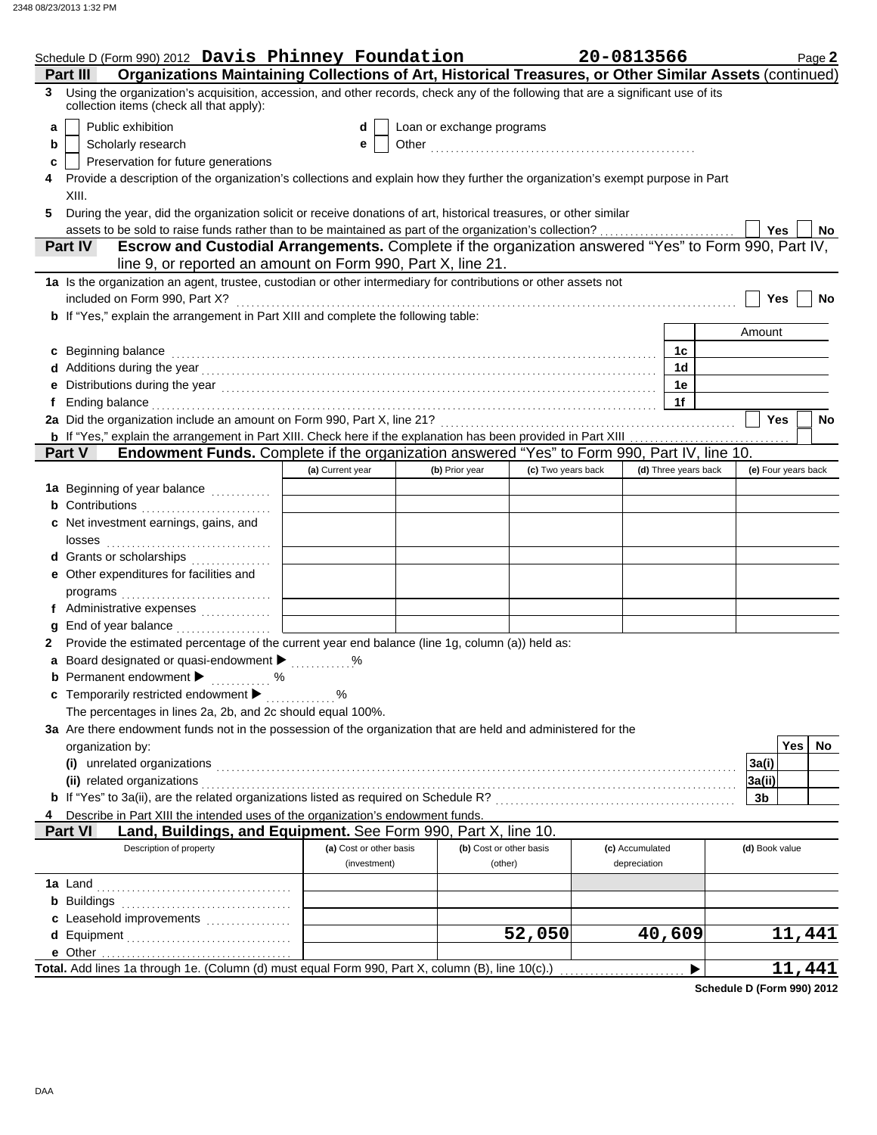|    | Schedule D (Form 990) 2012 Davis Phinney Foundation                                                                                                                                                                            |                         |                           |                    | 20-0813566      |                      |                     | Page 2      |
|----|--------------------------------------------------------------------------------------------------------------------------------------------------------------------------------------------------------------------------------|-------------------------|---------------------------|--------------------|-----------------|----------------------|---------------------|-------------|
|    | Organizations Maintaining Collections of Art, Historical Treasures, or Other Similar Assets (continued)<br>Part III                                                                                                            |                         |                           |                    |                 |                      |                     |             |
| 3  | Using the organization's acquisition, accession, and other records, check any of the following that are a significant use of its<br>collection items (check all that apply):                                                   |                         |                           |                    |                 |                      |                     |             |
| a  | Public exhibition                                                                                                                                                                                                              | d                       | Loan or exchange programs |                    |                 |                      |                     |             |
| b  | Scholarly research                                                                                                                                                                                                             | е                       |                           |                    |                 |                      |                     |             |
| c  | Preservation for future generations                                                                                                                                                                                            |                         |                           |                    |                 |                      |                     |             |
| 4  | Provide a description of the organization's collections and explain how they further the organization's exempt purpose in Part                                                                                                 |                         |                           |                    |                 |                      |                     |             |
|    | XIII.                                                                                                                                                                                                                          |                         |                           |                    |                 |                      |                     |             |
| 5  | During the year, did the organization solicit or receive donations of art, historical treasures, or other similar                                                                                                              |                         |                           |                    |                 |                      |                     |             |
|    |                                                                                                                                                                                                                                |                         |                           |                    |                 |                      | Yes                 | No          |
|    | Escrow and Custodial Arrangements. Complete if the organization answered "Yes" to Form 990, Part IV,<br><b>Part IV</b><br>line 9, or reported an amount on Form 990, Part X, line 21.                                          |                         |                           |                    |                 |                      |                     |             |
|    | 1a Is the organization an agent, trustee, custodian or other intermediary for contributions or other assets not                                                                                                                |                         |                           |                    |                 |                      |                     |             |
|    | included on Form 990, Part X?                                                                                                                                                                                                  |                         |                           |                    |                 |                      | Yes                 | No          |
|    | b If "Yes," explain the arrangement in Part XIII and complete the following table:                                                                                                                                             |                         |                           |                    |                 |                      |                     |             |
|    |                                                                                                                                                                                                                                |                         |                           |                    |                 |                      | Amount              |             |
|    | c Beginning balance                                                                                                                                                                                                            |                         |                           |                    |                 | 1c                   |                     |             |
|    |                                                                                                                                                                                                                                |                         |                           |                    |                 | 1d                   |                     |             |
|    |                                                                                                                                                                                                                                |                         |                           |                    |                 | 1е                   |                     |             |
| f  | Ending balance with the contract of the contract of the contract of the contract of the contract of the contract of the contract of the contract of the contract of the contract of the contract of the contract of the contra |                         |                           |                    |                 | 1f                   |                     |             |
|    |                                                                                                                                                                                                                                |                         |                           |                    |                 |                      | <b>Yes</b>          | No          |
|    | <b>b</b> If "Yes," explain the arrangement in Part XIII. Check here if the explanation has been provided in Part XIII                                                                                                          |                         |                           |                    |                 |                      |                     |             |
|    | Endowment Funds. Complete if the organization answered "Yes" to Form 990, Part IV, line 10.<br><b>Part V</b>                                                                                                                   |                         |                           |                    |                 |                      |                     |             |
|    |                                                                                                                                                                                                                                | (a) Current year        | (b) Prior year            | (c) Two years back |                 | (d) Three years back | (e) Four years back |             |
|    | 1a Beginning of year balance                                                                                                                                                                                                   |                         |                           |                    |                 |                      |                     |             |
|    | <b>b</b> Contributions                                                                                                                                                                                                         |                         |                           |                    |                 |                      |                     |             |
|    | c Net investment earnings, gains, and                                                                                                                                                                                          |                         |                           |                    |                 |                      |                     |             |
|    | d Grants or scholarships                                                                                                                                                                                                       |                         |                           |                    |                 |                      |                     |             |
|    | e Other expenditures for facilities and                                                                                                                                                                                        |                         |                           |                    |                 |                      |                     |             |
|    | $\mathsf{programs}_{\dots,\dots,\dots,\dots,\dots,\dots,\dots,\dots}$                                                                                                                                                          |                         |                           |                    |                 |                      |                     |             |
|    | f Administrative expenses                                                                                                                                                                                                      |                         |                           |                    |                 |                      |                     |             |
|    |                                                                                                                                                                                                                                |                         |                           |                    |                 |                      |                     |             |
| 2. | Provide the estimated percentage of the current year end balance (line 1g, column (a)) held as:                                                                                                                                |                         |                           |                    |                 |                      |                     |             |
| a  | Board designated or quasi-endowment > %                                                                                                                                                                                        |                         |                           |                    |                 |                      |                     |             |
|    | <b>b</b> Permanent endowment <b>D</b> %                                                                                                                                                                                        |                         |                           |                    |                 |                      |                     |             |
|    | c Temporarily restricted endowment $\blacktriangleright$                                                                                                                                                                       | %                       |                           |                    |                 |                      |                     |             |
|    | The percentages in lines 2a, 2b, and 2c should equal 100%.                                                                                                                                                                     |                         |                           |                    |                 |                      |                     |             |
|    | 3a Are there endowment funds not in the possession of the organization that are held and administered for the                                                                                                                  |                         |                           |                    |                 |                      |                     |             |
|    | organization by:                                                                                                                                                                                                               |                         |                           |                    |                 |                      |                     | Yes  <br>No |
|    | (i) unrelated organizations entertainment and all the contract of the contract of the contract of the contract of the contract of the contract of the contract of the contract of the contract of the contract of the contract |                         |                           |                    |                 |                      | 3a(i)               |             |
|    |                                                                                                                                                                                                                                |                         |                           |                    |                 |                      | 3a(ii)              |             |
|    |                                                                                                                                                                                                                                |                         |                           |                    |                 |                      | 3b                  |             |
|    | Describe in Part XIII the intended uses of the organization's endowment funds.<br>Land, Buildings, and Equipment. See Form 990, Part X, line 10.<br><b>Part VI</b>                                                             |                         |                           |                    |                 |                      |                     |             |
|    | Description of property                                                                                                                                                                                                        | (a) Cost or other basis | (b) Cost or other basis   |                    | (c) Accumulated |                      | (d) Book value      |             |
|    |                                                                                                                                                                                                                                | (investment)            | (other)                   |                    | depreciation    |                      |                     |             |
|    |                                                                                                                                                                                                                                |                         |                           |                    |                 |                      |                     |             |
|    |                                                                                                                                                                                                                                |                         |                           |                    |                 |                      |                     |             |
|    |                                                                                                                                                                                                                                |                         |                           |                    |                 |                      |                     |             |
|    |                                                                                                                                                                                                                                |                         |                           | 52,050             |                 | 40,609               |                     | 11,441      |
|    |                                                                                                                                                                                                                                |                         |                           |                    |                 |                      |                     |             |
|    | Total. Add lines 1a through 1e. (Column (d) must equal Form 990, Part X, column (B), line 10(c).)                                                                                                                              |                         |                           |                    |                 | ▶                    |                     | 11,441      |

**Schedule D (Form 990) 2012**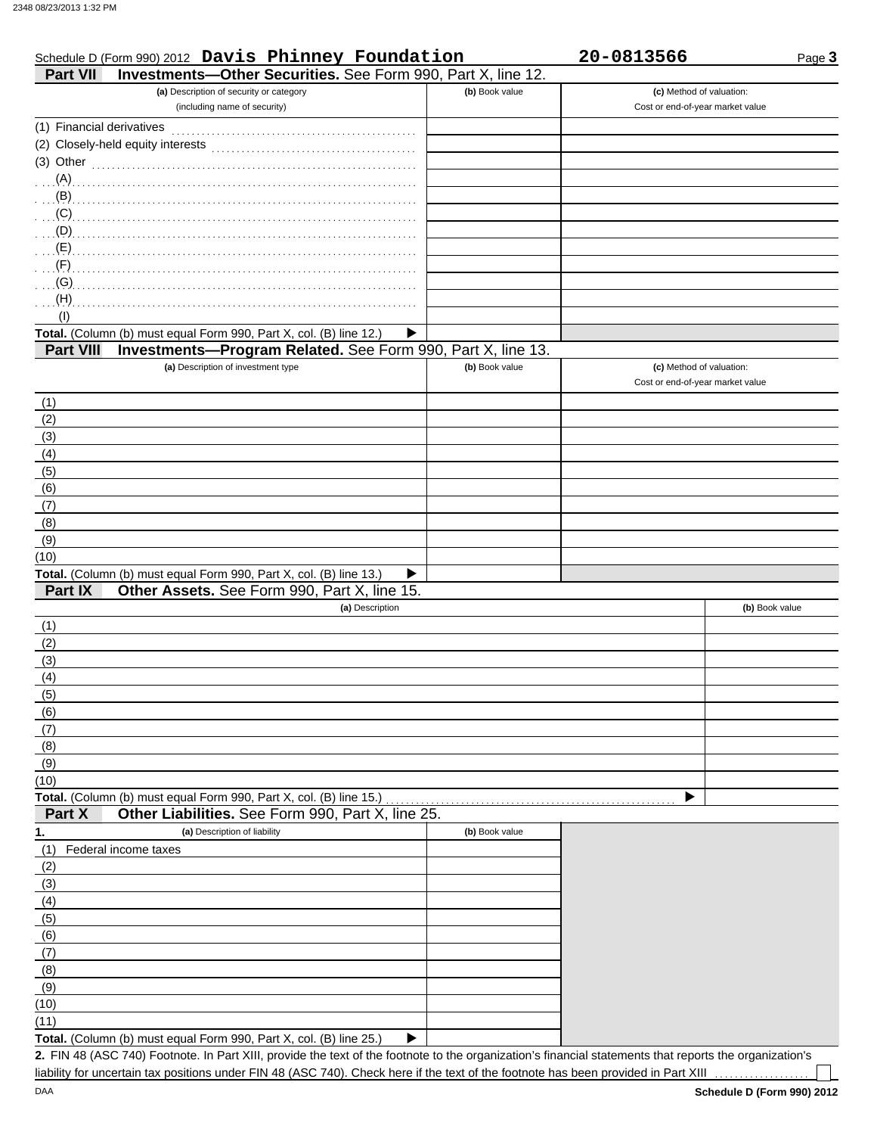| Schedule D (Form 990) 2012 Davis Phinney Foundation<br>Investments-Other Securities. See Form 990, Part X, line 12.<br><b>Part VII</b> |                | 20-0813566                       | Page 3         |
|----------------------------------------------------------------------------------------------------------------------------------------|----------------|----------------------------------|----------------|
| (a) Description of security or category                                                                                                | (b) Book value | (c) Method of valuation:         |                |
| (including name of security)                                                                                                           |                | Cost or end-of-year market value |                |
|                                                                                                                                        |                |                                  |                |
|                                                                                                                                        |                |                                  |                |
| (3) Other $\ldots$ $\ldots$ $\ldots$ $\ldots$ $\ldots$ $\ldots$ $\ldots$ $\ldots$ $\ldots$                                             |                |                                  |                |
|                                                                                                                                        |                |                                  |                |
| $\ldots$ (B)                                                                                                                           |                |                                  |                |
| (C)                                                                                                                                    |                |                                  |                |
| (D)                                                                                                                                    |                |                                  |                |
| (E)                                                                                                                                    |                |                                  |                |
| (F)                                                                                                                                    |                |                                  |                |
| (G)                                                                                                                                    |                |                                  |                |
| (H)                                                                                                                                    |                |                                  |                |
| (1)                                                                                                                                    |                |                                  |                |
| Total. (Column (b) must equal Form 990, Part X, col. (B) line 12.)                                                                     | ▶              |                                  |                |
| Investments-Program Related. See Form 990, Part X, line 13.<br><b>Part VIII</b>                                                        |                |                                  |                |
| (a) Description of investment type                                                                                                     | (b) Book value | (c) Method of valuation:         |                |
|                                                                                                                                        |                | Cost or end-of-year market value |                |
| (1)                                                                                                                                    |                |                                  |                |
| (2)                                                                                                                                    |                |                                  |                |
| (3)                                                                                                                                    |                |                                  |                |
| (4)                                                                                                                                    |                |                                  |                |
| (5)                                                                                                                                    |                |                                  |                |
| (6)                                                                                                                                    |                |                                  |                |
| (7)                                                                                                                                    |                |                                  |                |
| (8)                                                                                                                                    |                |                                  |                |
| (9)                                                                                                                                    |                |                                  |                |
| (10)                                                                                                                                   |                |                                  |                |
| Total. (Column (b) must equal Form 990, Part X, col. (B) line 13.)                                                                     | ▶              |                                  |                |
| Other Assets. See Form 990, Part X, line 15.<br>Part IX                                                                                |                |                                  |                |
| (a) Description                                                                                                                        |                |                                  | (b) Book value |
| (1)                                                                                                                                    |                |                                  |                |
| (2)                                                                                                                                    |                |                                  |                |
| (3)                                                                                                                                    |                |                                  |                |
| (4)                                                                                                                                    |                |                                  |                |
| (5)                                                                                                                                    |                |                                  |                |
| (6)                                                                                                                                    |                |                                  |                |
| (7)                                                                                                                                    |                |                                  |                |
| (8)                                                                                                                                    |                |                                  |                |
| (9)                                                                                                                                    |                |                                  |                |
| (10)                                                                                                                                   |                |                                  |                |
| Total. (Column (b) must equal Form 990, Part X, col. (B) line 15.)                                                                     |                |                                  |                |

**Part X Other Liabilities.** See Form 990, Part X, line 25.

| $\cdots$ | <b>Strict Elabilities:</b> Occ Form Coo, Fait A, line Lo.                 |                |
|----------|---------------------------------------------------------------------------|----------------|
| 1.       | (a) Description of liability                                              | (b) Book value |
| (1)      | Federal income taxes                                                      |                |
| (2)      |                                                                           |                |
| (3)      |                                                                           |                |
| (4)      |                                                                           |                |
| (5)      |                                                                           |                |
| (6)      |                                                                           |                |
| (7)      |                                                                           |                |
| (8)      |                                                                           |                |
| (9)      |                                                                           |                |
| (10)     |                                                                           |                |
| (11)     |                                                                           |                |
|          | <b>Total.</b> (Column (b) must equal Form 990, Part X, col. (B) line 25.) |                |

FIN 48 (ASC 740) Footnote. In Part XIII, provide the text of the footnote to the organization's financial statements that reports the organization's **2.** liability for uncertain tax positions under FIN 48 (ASC 740). Check here if the text of the footnote has been provided in Part XIII ...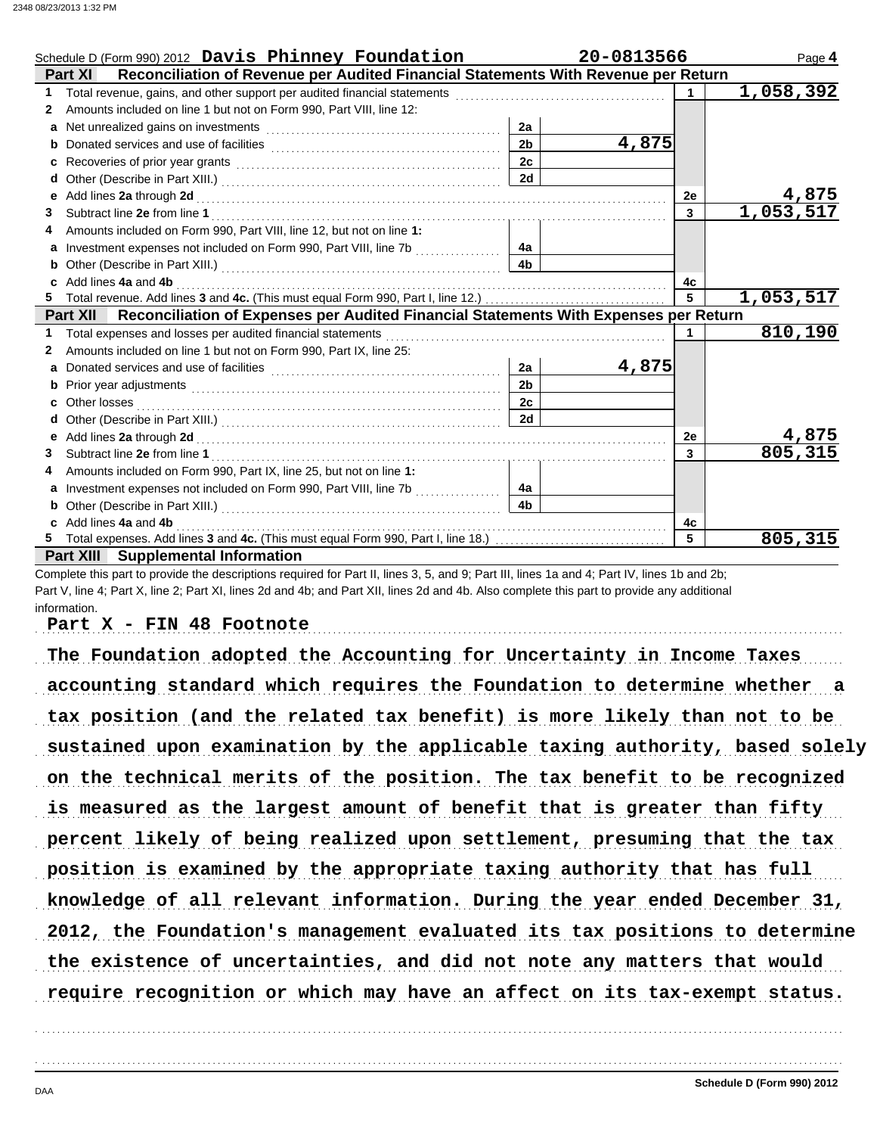|              | Schedule D (Form 990) 2012 Davis Phinney Foundation                                                  |                | 20-0813566 |                | Page 4       |
|--------------|------------------------------------------------------------------------------------------------------|----------------|------------|----------------|--------------|
|              | Reconciliation of Revenue per Audited Financial Statements With Revenue per Return<br><b>Part XI</b> |                |            |                |              |
| 1            |                                                                                                      |                |            | $\blacksquare$ | 1,058,392    |
| $\mathbf{2}$ | Amounts included on line 1 but not on Form 990, Part VIII, line 12:                                  |                |            |                |              |
| a            |                                                                                                      | 2a             |            |                |              |
| b            |                                                                                                      | 2 <sub>b</sub> | 4,875      |                |              |
| c            |                                                                                                      | 2c             |            |                |              |
| d            |                                                                                                      | 2d             |            |                |              |
| е            |                                                                                                      |                |            | 2е             | <u>4,875</u> |
| 3.           |                                                                                                      |                |            | 3              | 1,053,517    |
| 4            | Amounts included on Form 990, Part VIII, line 12, but not on line 1:                                 |                |            |                |              |
| a            | Investment expenses not included on Form 990, Part VIII, line 7b [[[[[[[[[[[[[[[[[[[[[[[]]]]]]]]     | 4a             |            |                |              |
| b            |                                                                                                      | 4b             |            |                |              |
| c.           | Add lines 4a and 4b                                                                                  |                |            | 4c             |              |
|              |                                                                                                      |                |            | 5              | 1,053,517    |
|              | Part XII Reconciliation of Expenses per Audited Financial Statements With Expenses per Return        |                |            |                |              |
| 1.           |                                                                                                      |                |            | $\overline{1}$ | 810,190      |
| 2            | Amounts included on line 1 but not on Form 990, Part IX, line 25:                                    |                |            |                |              |
| a            |                                                                                                      | 2a             | 4,875      |                |              |
| b            |                                                                                                      | 2 <sub>b</sub> |            |                |              |
| c            |                                                                                                      | 2c             |            |                |              |
| d            |                                                                                                      | 2d             |            |                |              |
| е            |                                                                                                      |                |            | 2е             | 4,875        |
| 3.           |                                                                                                      |                |            | 3              | 805, 315     |
|              | Amounts included on Form 990, Part IX, line 25, but not on line 1:                                   |                |            |                |              |
| a            | Investment expenses not included on Form 990, Part VIII, line 7b [[[[[[[[[[[[[[[[[[[[[[[]]]]]]]]     | 4a             |            |                |              |
| b            |                                                                                                      | 4 <sub>b</sub> |            |                |              |
| c            | Add lines 4a and 4b                                                                                  |                |            | 4с             |              |
|              |                                                                                                      |                |            | 5              | 805,315      |
|              | <b>Part XIII</b> Supplemental Information                                                            |                |            |                |              |

Complete this part to provide the descriptions required for Part II, lines 3, 5, and 9; Part III, lines 1a and 4; Part IV, lines 1b and 2b; Part V, line 4; Part X, line 2; Part XI, lines 2d and 4b; and Part XII, lines 2d and 4b. Also complete this part to provide any additional information.

Part X - FIN 48 Footnote

The Foundation adopted the Accounting for Uncertainty in Income Taxes accounting standard which requires the Foundation to determine whether a tax position (and the related tax benefit) is more likely than not to be sustained upon examination by the applicable taxing authority, based solely on the technical merits of the position. The tax benefit to be recognized is measured as the largest amount of benefit that is greater than fifty knowledge of all relevant information. During the year ended December 31, percent likely of being realized upon settlement, presuming that the tax position is examined by the appropriate taxing authority that has full 2012, the Foundation's management evaluated its tax positions to determine the existence of uncertainties, and did not note any matters that would require recognition or which may have an affect on its tax-exempt status.

. . . . . . . . . . . . . . . . . . . . . . . . . . . . . . . . . . . . . . . . . . . . . . . . . . . . . . . . . . . . . . . . . . . . . . . . . . . . . . . . . . . . . . . . . . . . . . . . . . . . . . . . . . . . . . . . . . . . . . . . . . . . . . . . . . . . . . . . . . . . . . . . . . . . . . . . . . . . . . . . .

. . . . . . . . . . . . . . . . . . . . . . . . . . . . . . . . . . . . . . . . . . . . . . . . . . . . . . . . . . . . . . . . . . . . . . . . . . . . . . . . . . . . . . . . . . . . . . . . . . . . . . . . . . . . . . . . . . . . . . . . . . . . . . . . . . . . . . . . . . . . . . . . . . . . . . . . . . . . . . . . .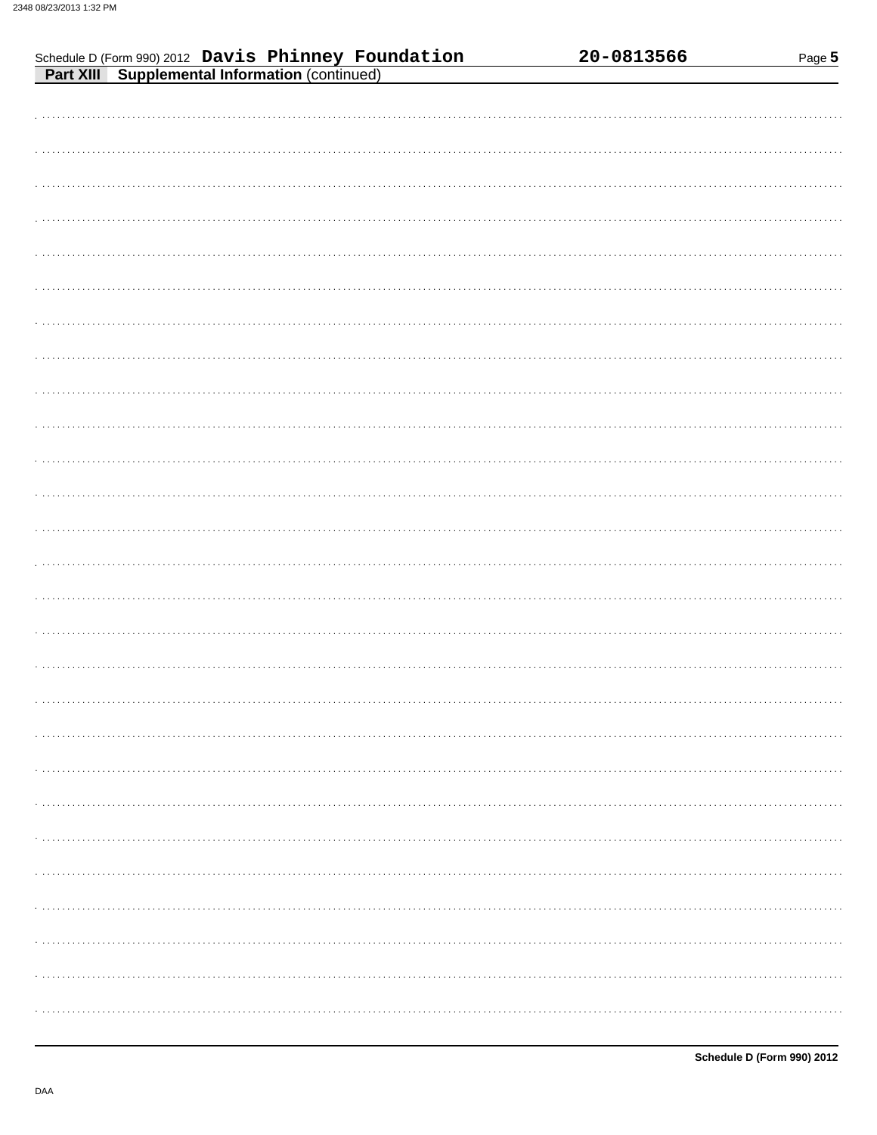| Schedule D (Form 990) 2012 Davis Phinney Foundation<br>Part XIII Supplemental Information (continued) |  |  | 20-0813566 | Page 5 |
|-------------------------------------------------------------------------------------------------------|--|--|------------|--------|
|                                                                                                       |  |  |            |        |
|                                                                                                       |  |  |            |        |
|                                                                                                       |  |  |            |        |
|                                                                                                       |  |  |            |        |
|                                                                                                       |  |  |            |        |
|                                                                                                       |  |  |            |        |
|                                                                                                       |  |  |            |        |
|                                                                                                       |  |  |            |        |
|                                                                                                       |  |  |            |        |
|                                                                                                       |  |  |            |        |
|                                                                                                       |  |  |            |        |
|                                                                                                       |  |  |            |        |
|                                                                                                       |  |  |            |        |
|                                                                                                       |  |  |            |        |
|                                                                                                       |  |  |            |        |
|                                                                                                       |  |  |            |        |
|                                                                                                       |  |  |            |        |
|                                                                                                       |  |  |            |        |
|                                                                                                       |  |  |            |        |
|                                                                                                       |  |  |            |        |
|                                                                                                       |  |  |            |        |
|                                                                                                       |  |  |            |        |
|                                                                                                       |  |  |            |        |
|                                                                                                       |  |  |            |        |
|                                                                                                       |  |  |            |        |
|                                                                                                       |  |  |            |        |
|                                                                                                       |  |  |            |        |
|                                                                                                       |  |  |            |        |
|                                                                                                       |  |  |            |        |
|                                                                                                       |  |  |            |        |
|                                                                                                       |  |  |            |        |
|                                                                                                       |  |  |            |        |
|                                                                                                       |  |  |            |        |
|                                                                                                       |  |  |            |        |
|                                                                                                       |  |  |            |        |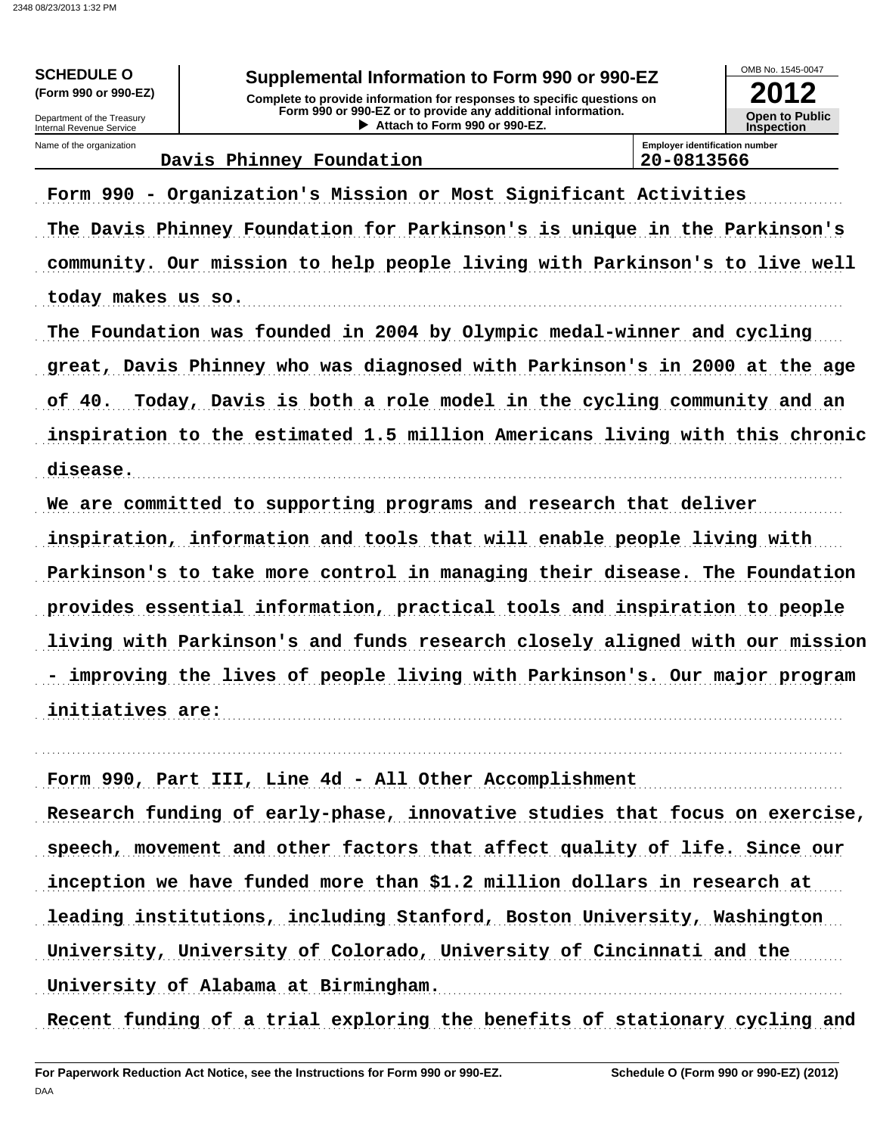### Supplemental Information to Form 990 or 990-EZ

Complete to provide information for responses to specific questions on Form 990 or 990-EZ or to provide any additional information. Attach to Form 990 or 990-EZ.



Internal Revenue Service Name of the organization

**SCHEDULE O** 

(Form 990 or 990-EZ)

Department of the Treasury

Davis Phinney Foundation

**Employer identification number** 20-0813566

# Form 990 - Organization's Mission or Most Significant Activities The Davis Phinney Foundation for Parkinson's is unique in the Parkinson's community. Our mission to help people living with Parkinson's to live well today makes us so. The Foundation was founded in 2004 by Olympic medal-winner and cycling great, Davis Phinney who was diagnosed with Parkinson's in 2000 at the age of 40. Today, Davis is both a role model in the cycling community and an inspiration to the estimated 1.5 million Americans living with this chronic disease. We are committed to supporting programs and research that deliver inspiration, information and tools that will enable people living with Parkinson's to take more control in managing their disease. The Foundation provides essential information, practical tools and inspiration to people living with Parkinson's and funds research closely aligned with our mission - improving the lives of people living with Parkinson's. Our major program

initiatives are:

Form 990, Part III, Line 4d - All Other Accomplishment Research funding of early-phase, innovative studies that focus on exercise, speech, movement and other factors that affect quality of life. Since our inception we have funded more than \$1.2 million dollars in research at leading institutions, including Stanford, Boston University, Washington University, University of Colorado, University of Cincinnati and the University of Alabama at Birmingham.

Recent funding of a trial exploring the benefits of stationary cycling and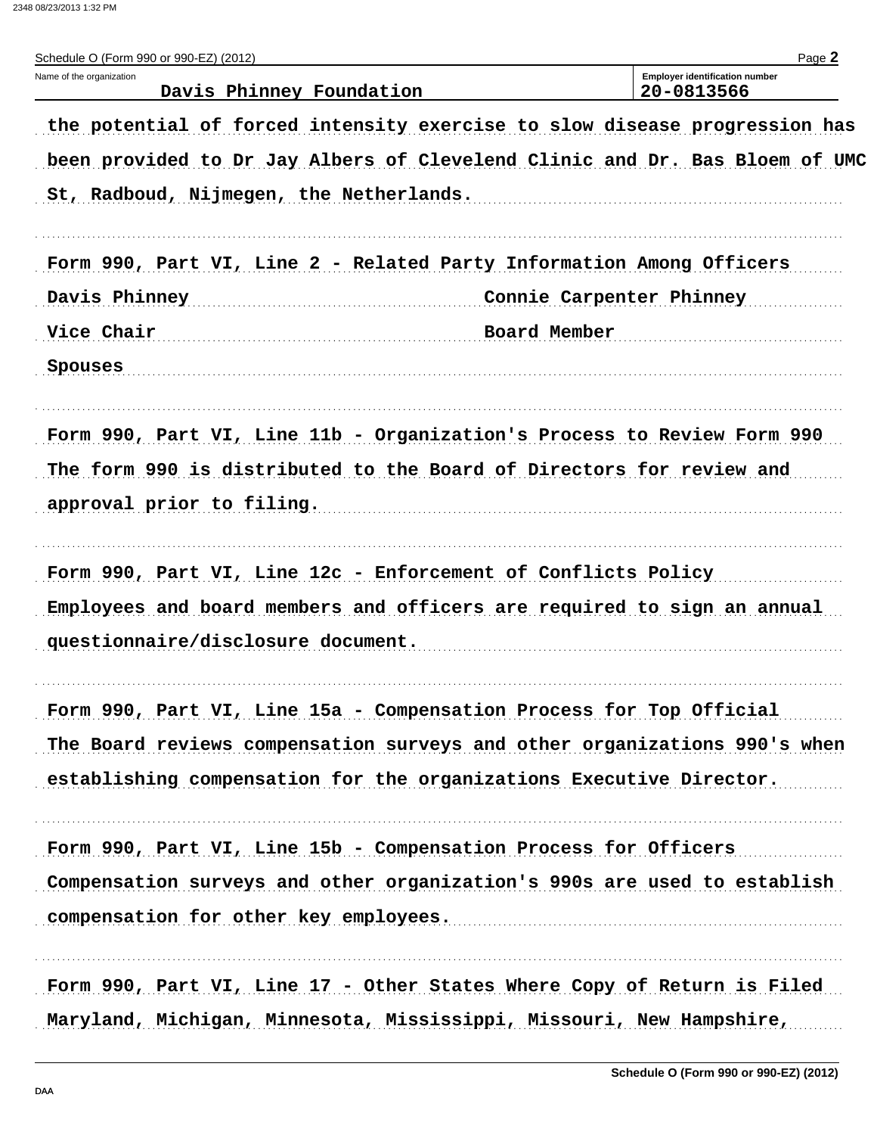2348 08/23/2013 1:32 PM

| Schedule O (Form 990 or 990-EZ) (2012)               |                                                                             | Page 2 |
|------------------------------------------------------|-----------------------------------------------------------------------------|--------|
| Name of the organization<br>Davis Phinney Foundation | <b>Employer identification number</b><br>20-0813566                         |        |
|                                                      | the potential of forced intensity exercise to slow disease progression has  |        |
|                                                      | been provided to Dr Jay Albers of Clevelend Clinic and Dr. Bas Bloem of UMC |        |
| St, Radboud, Nijmegen, the Netherlands.              |                                                                             |        |
|                                                      | Form 990, Part VI, Line 2 - Related Party Information Among Officers        |        |
| Davis Phinney                                        | Connie Carpenter Phinney                                                    |        |
| Vice Chair                                           | Board Member                                                                |        |
| Spouses                                              |                                                                             |        |
|                                                      | Form 990, Part VI, Line 11b - Organization's Process to Review Form 990     |        |
|                                                      | The form 990 is distributed to the Board of Directors for review and        |        |
| approval prior to filing.                            |                                                                             |        |
|                                                      | Form 990, Part VI, Line 12c - Enforcement of Conflicts Policy               |        |
|                                                      | Employees and board members and officers are required to sign an annual     |        |
| questionnaire/disclosure document.                   |                                                                             |        |
|                                                      | Form 990, Part VI, Line 15a - Compensation Process for Top Official         |        |
|                                                      | The Board reviews compensation surveys and other organizations 990's when   |        |
|                                                      | establishing compensation for the organizations Executive Director.         |        |
|                                                      | Form 990, Part VI, Line 15b - Compensation Process for Officers             |        |
|                                                      | Compensation surveys and other organization's 990s are used to establish    |        |
| compensation for other key employees.                |                                                                             |        |
|                                                      | Form 990, Part VI, Line 17 - Other States Where Copy of Return is Filed     |        |
|                                                      | Maryland, Michigan, Minnesota, Mississippi, Missouri, New Hampshire,        |        |